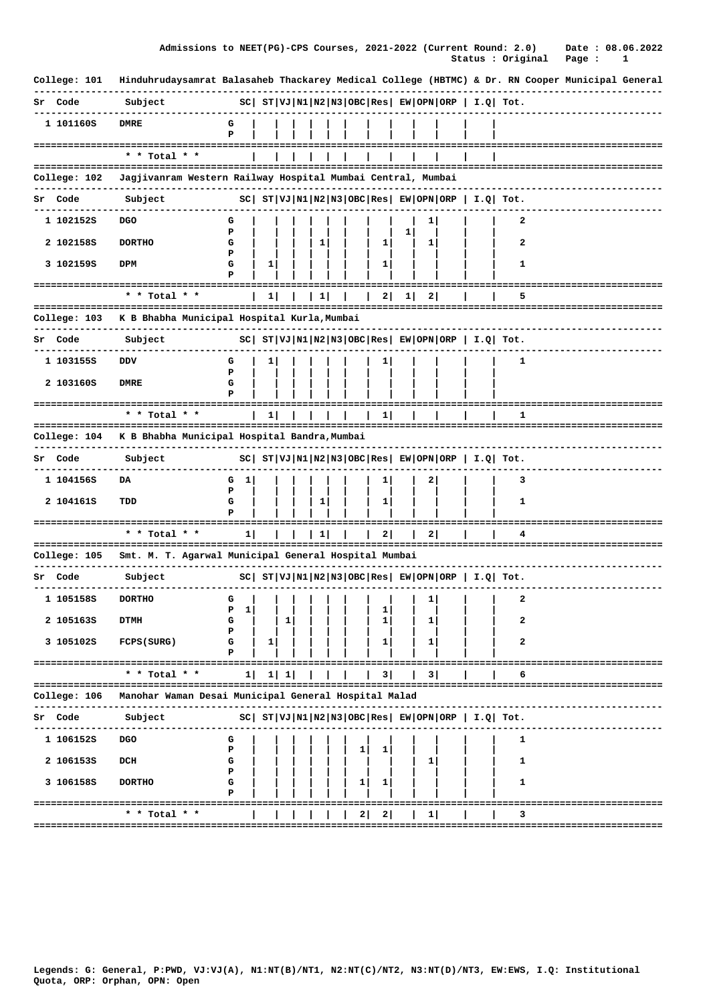|  | Admissions to NEET(PG)-CPS Courses, 2021-2022 (Current Round: 2.0) |  |                          |  | Date: 08.06.2022 |
|--|--------------------------------------------------------------------|--|--------------------------|--|------------------|
|  |                                                                    |  | Status : Original Page : |  |                  |

| College: 101        | Hinduhrudaysamrat Balasaheb Thackarey Medical College (HBTMC) & Dr. RN Cooper Municipal General |             |   |                   |           |   |                |    |    |         |                                                                |   |  |                                    |
|---------------------|-------------------------------------------------------------------------------------------------|-------------|---|-------------------|-----------|---|----------------|----|----|---------|----------------------------------------------------------------|---|--|------------------------------------|
| Sr Code             | Subject                                                                                         |             |   |                   |           |   |                |    |    |         | $ SC $ $ST VJ N1 N2 N3 OBC Res EW OPN ORP  I.Q  Tot.$          |   |  |                                    |
| 1 101160S           | <b>DMRE</b>                                                                                     | G<br>P      |   |                   |           |   |                |    |    |         |                                                                |   |  |                                    |
|                     | * * Total * *                                                                                   |             |   |                   |           |   |                |    |    |         |                                                                |   |  |                                    |
| College: 102        | Jagjivanram Western Railway Hospital Mumbai Central, Mumbai                                     |             |   |                   |           |   |                |    |    |         |                                                                |   |  |                                    |
| Sr Code             | Subject                                                                                         |             |   |                   |           |   |                |    |    |         | $ SC $ $ST VJ N1 N2 N3 OBC Res $ $EW OPN ORP$   $I.Q$   $Tot.$ |   |  |                                    |
| 1 102152S           | DGO                                                                                             | G           |   |                   |           |   |                |    | 1  |         |                                                                | 2 |  |                                    |
| 2 1021585           | <b>DORTHO</b>                                                                                   | P<br>G      |   |                   | 1         |   | ı              | 1  | 1  |         |                                                                | 2 |  |                                    |
| 3 1021595           | DPM                                                                                             | Р<br>G<br>Р | 1 |                   |           |   | ı              |    |    |         |                                                                | 1 |  |                                    |
|                     | * * Total * *                                                                                   |             | 1 |                   | 1         |   | 2              | 11 | 21 |         |                                                                | 5 |  |                                    |
| College: 103        | --------------------------------------<br>K B Bhabha Municipal Hospital Kurla, Mumbai           |             |   |                   |           |   |                |    |    |         |                                                                |   |  |                                    |
| Sr Code             | Subject                                                                                         |             |   |                   |           |   |                |    |    |         | $ SC $ $ST VJ N1 N2 N3 OBC Res $ $EW OPN ORP$   $I.Q$   $Tot.$ |   |  |                                    |
| 1 1031555           | DDV                                                                                             | G           | 1 |                   |           |   |                |    |    |         |                                                                | 1 |  |                                    |
| 2 103160S           | <b>DMRE</b>                                                                                     | Р<br>G<br>Р |   |                   |           |   |                |    |    |         |                                                                |   |  |                                    |
| =================== | $*$ * Total * *                                                                                 |             | 1 |                   |           |   | ı              |    |    |         |                                                                | 1 |  |                                    |
| College: 104        | K B Bhabha Municipal Hospital Bandra, Mumbai                                                    |             |   |                   |           |   | ===            |    |    |         |                                                                |   |  | ================================== |
| Sr Code             | Subject                                                                                         |             |   |                   |           |   |                |    |    |         | $ SC $ $ST VJ N1 N2 N3 OBC Res EW OPN ORP  I.Q  Tot.$          |   |  |                                    |
| 1 104156S           | DA                                                                                              | G<br>ı      |   |                   |           |   | ı              |    | 2  |         |                                                                | з |  |                                    |
| 2 104161S           | TDD                                                                                             | Р<br>G<br>Р |   |                   | 1         |   | 1              |    |    |         |                                                                | 1 |  |                                    |
|                     | =============================<br>$*$ * Total * *                                                | ı           |   |                   | $1 \vert$ |   | 21             |    | 2. |         |                                                                | 4 |  |                                    |
| College: 105        | ======================================<br>Smt. M. T. Agarwal Municipal General Hospital Mumbai  |             |   |                   |           |   | =====          |    |    | ======= |                                                                |   |  |                                    |
| Sr Code             | Subject                                                                                         |             |   |                   |           |   |                |    |    |         | $ SC $ $ST VJ N1 N2 N3 OBC Res  EW OPN ORP   I.Q  Tot.$        |   |  |                                    |
| 1 1051585           | <b>DORTHO</b>                                                                                   | G           |   |                   |           |   |                |    | 1  |         |                                                                | 2 |  |                                    |
| 2 105163S           | <b>DTMH</b>                                                                                     | 1<br>P<br>G |   | 1                 |           |   | 1              |    | ı  |         |                                                                | 2 |  |                                    |
| 3 105102S           | <b>FCPS (SURG)</b>                                                                              | Р<br>G<br>Р | 1 |                   |           |   | Ъ.             |    | 1  |         |                                                                | 2 |  |                                    |
|                     | * * Total * *                                                                                   | 1           |   | $1 \vert 1 \vert$ |           |   | 3              |    | 3  |         |                                                                | 6 |  |                                    |
| College: 106        | =====================================<br>Manohar Waman Desai Municipal General Hospital Malad   |             |   |                   |           |   |                |    |    |         |                                                                |   |  | -------------------------------    |
| Code                | Subject                                                                                         |             |   |                   |           |   |                |    |    |         | $ SC $ $ST VJ N1 N2 N3 OBC Res EW OPN ORP  I.Q  Tot.$          |   |  |                                    |
| 1 106152S           | <b>DGO</b>                                                                                      | G           |   |                   |           |   |                |    |    |         |                                                                | 1 |  |                                    |
| 2 1061535           | DCH                                                                                             | Р<br>G      |   |                   |           | 1 |                |    | 1  |         |                                                                | 1 |  |                                    |
| 3 1061585           | <b>DORTHO</b>                                                                                   | Р<br>G      |   |                   |           | 1 | ı              |    |    |         |                                                                | 1 |  |                                    |
|                     | -------------------------------<br>* * Total * *                                                |             |   |                   |           | 2 | $\overline{2}$ |    | 1  |         |                                                                | з |  |                                    |
|                     |                                                                                                 |             |   |                   |           |   |                |    |    |         |                                                                |   |  |                                    |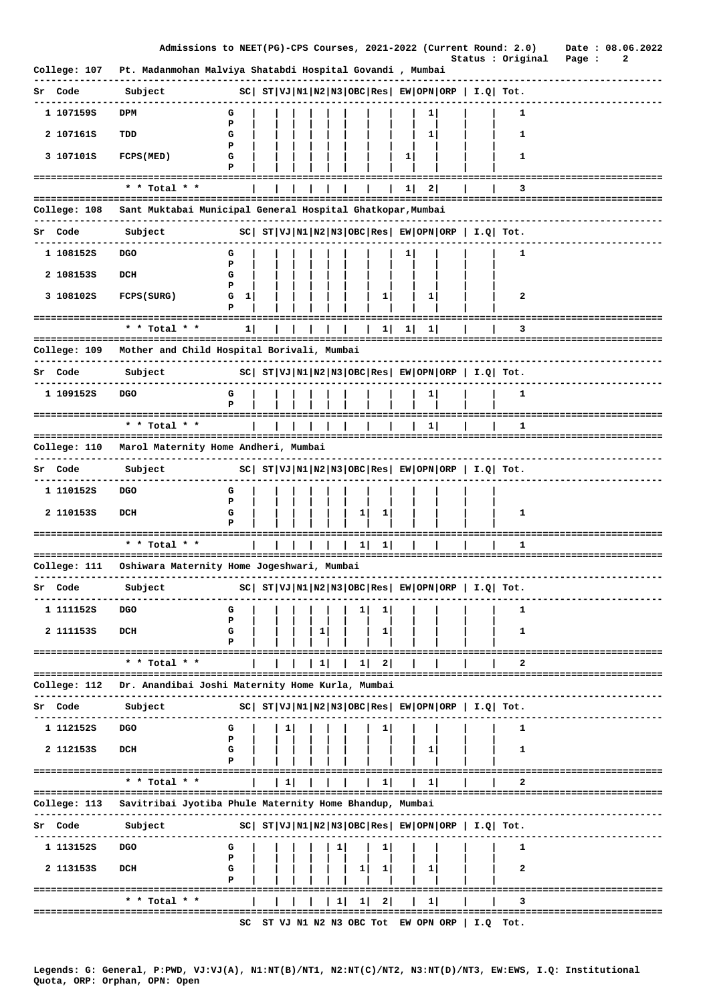|              | Admissions to NEET(PG)-CPS Courses, 2021-2022 (Current Round: 2.0) |                  |    |   |   |    |              |                |    |                                                                                                                                                                                                                                                                                                                                                                                          | Status : Original                                          |                                      | Page : | 2 | Date: 08.06.2022 |
|--------------|--------------------------------------------------------------------|------------------|----|---|---|----|--------------|----------------|----|------------------------------------------------------------------------------------------------------------------------------------------------------------------------------------------------------------------------------------------------------------------------------------------------------------------------------------------------------------------------------------------|------------------------------------------------------------|--------------------------------------|--------|---|------------------|
| College: 107 | Pt. Madanmohan Malviya Shatabdi Hospital Govandi , Mumbai          |                  |    |   |   |    |              |                |    |                                                                                                                                                                                                                                                                                                                                                                                          |                                                            |                                      |        |   |                  |
| Sr Code      | Subject                                                            |                  |    |   |   |    |              |                |    | $ SC $ $ST VJ N1 N2 N3 OBC Res  EW OPN ORP   I.Q  Tot.$                                                                                                                                                                                                                                                                                                                                  |                                                            |                                      |        |   |                  |
| 1 107159S    | DPM                                                                | G                |    |   |   |    |              |                | 1  |                                                                                                                                                                                                                                                                                                                                                                                          | 1                                                          |                                      |        |   |                  |
| 2 107161S    | TDD                                                                | P<br>G           |    |   |   |    |              |                | 1  |                                                                                                                                                                                                                                                                                                                                                                                          | 1                                                          |                                      |        |   |                  |
| 3 107101S    | FCPS (MED)                                                         | P<br>G           |    |   |   |    |              | 1              |    |                                                                                                                                                                                                                                                                                                                                                                                          | 1                                                          |                                      |        |   |                  |
|              | :===============================                                   | P                |    |   |   |    |              |                |    |                                                                                                                                                                                                                                                                                                                                                                                          |                                                            |                                      |        |   |                  |
|              | * * Total * *<br>;=================================                |                  |    |   |   |    |              | 11             | 21 |                                                                                                                                                                                                                                                                                                                                                                                          | 3                                                          |                                      |        |   |                  |
| College: 108 | Sant Muktabai Municipal General Hospital Ghatkopar, Mumbai         |                  |    |   |   |    |              |                |    |                                                                                                                                                                                                                                                                                                                                                                                          |                                                            |                                      |        |   |                  |
| Sr Code      | Subject                                                            |                  |    |   |   |    |              |                |    | $ SC $ $ST VJ N1 N2 N3 OBC Res  EW OPN ORP   I.Q  Tot.$                                                                                                                                                                                                                                                                                                                                  |                                                            |                                      |        |   |                  |
| 1 1081525    | DGO                                                                | G                |    |   |   |    |              |                |    |                                                                                                                                                                                                                                                                                                                                                                                          | 1                                                          |                                      |        |   |                  |
| 2 1081535    | DCH                                                                | Р<br>G           |    |   |   |    |              |                |    |                                                                                                                                                                                                                                                                                                                                                                                          |                                                            |                                      |        |   |                  |
| 3 108102S    | FCPS (SURG)                                                        | Р<br>G<br>1<br>Р |    |   |   |    | 1            |                | 1  |                                                                                                                                                                                                                                                                                                                                                                                          | 2                                                          |                                      |        |   |                  |
|              | ------------------------------------<br>* * Total * *              | 1 <sub>1</sub>   |    |   |   |    | 1 I          | 1 <sub>1</sub> | 1  |                                                                                                                                                                                                                                                                                                                                                                                          | з                                                          |                                      |        |   |                  |
| College: 109 | Mother and Child Hospital Borivali, Mumbai                         |                  |    |   |   |    |              |                |    |                                                                                                                                                                                                                                                                                                                                                                                          |                                                            |                                      |        |   |                  |
| Sr Code      | Subject                                                            |                  |    |   |   |    |              |                |    | $ SC $ $ST VJ N1 N2 N3 OBC Res $ $EW OPN ORP$   $I.Q$ Tot.                                                                                                                                                                                                                                                                                                                               |                                                            |                                      |        |   |                  |
| 1 1091525    | <b>DGO</b>                                                         | G                |    |   |   |    |              |                |    |                                                                                                                                                                                                                                                                                                                                                                                          | 1                                                          |                                      |        |   |                  |
|              | ================                                                   | P                |    |   |   |    |              |                |    |                                                                                                                                                                                                                                                                                                                                                                                          |                                                            |                                      |        |   |                  |
|              | * * Total * *                                                      |                  |    |   |   |    |              |                | 1  |                                                                                                                                                                                                                                                                                                                                                                                          | 1                                                          |                                      |        |   |                  |
|              | College: 110 - Marol Maternity Home Andheri, Mumbai                |                  |    |   |   |    |              |                |    |                                                                                                                                                                                                                                                                                                                                                                                          |                                                            | -----------------------              |        |   |                  |
| Sr Code      | Subject                                                            |                  |    |   |   |    |              |                |    |                                                                                                                                                                                                                                                                                                                                                                                          | $ SC $ $ST VJ N1 N2 N3 OBC Res $ $EW OPN ORP$   $I.Q$ Tot. |                                      |        |   |                  |
| 1 110152S    | <b>DGO</b>                                                         | G                |    |   |   |    |              |                |    |                                                                                                                                                                                                                                                                                                                                                                                          |                                                            |                                      |        |   |                  |
| 2 1101535    | DCH                                                                | P<br>G           |    |   |   | 1  | 1            |                |    |                                                                                                                                                                                                                                                                                                                                                                                          | 1                                                          |                                      |        |   |                  |
|              | -----------------------                                            |                  |    |   |   |    |              |                |    |                                                                                                                                                                                                                                                                                                                                                                                          |                                                            |                                      |        |   |                  |
|              | * * Total * *<br>========================                          |                  |    |   |   |    | ı            |                |    |                                                                                                                                                                                                                                                                                                                                                                                          | 1                                                          |                                      |        |   |                  |
| College: 111 | Oshiwara Maternity Home Jogeshwari, Mumbai                         |                  |    |   |   |    |              |                |    |                                                                                                                                                                                                                                                                                                                                                                                          |                                                            |                                      |        |   |                  |
| Sr Code      | Subject                                                            |                  |    |   |   |    |              |                |    | $SC \left  \begin{array}{l l l l} \hbox{ST} & \hbox{VI} & \hbox{NI} & \hbox{NI} \\ \hbox{ST} & \hbox{VI} & \hbox{IV} & \hbox{IV} & \hbox{IV} \\ \hbox{S} & \hbox{O} & \hbox{IV} & \hbox{IV} & \hbox{IV} \\ \hbox{S} & \hbox{S} & \hbox{V} & \hbox{IV} & \hbox{IV} \\ \hbox{S} & \hbox{S} & \hbox{V} & \hbox{IV} & \hbox{IV} \\ \hbox{S} & \hbox{S} & \hbox{S} & \hbox{V} & \hbox{IV} \\$ |                                                            |                                      |        |   |                  |
| 1 111152s    | <b>DGO</b>                                                         | G                |    |   |   |    |              |                |    |                                                                                                                                                                                                                                                                                                                                                                                          | 1                                                          |                                      |        |   |                  |
| 2 1111535    | DCH                                                                | P<br>G           |    | ı |   |    | ı            |                |    |                                                                                                                                                                                                                                                                                                                                                                                          | 1                                                          |                                      |        |   |                  |
|              |                                                                    | Р                |    |   |   |    |              |                |    |                                                                                                                                                                                                                                                                                                                                                                                          |                                                            |                                      |        |   |                  |
|              | * * Total * *                                                      |                  |    | 1 |   | 11 | $\mathbf{2}$ |                |    |                                                                                                                                                                                                                                                                                                                                                                                          | 2                                                          |                                      |        |   |                  |
| College: 112 | Dr. Anandibai Joshi Maternity Home Kurla, Mumbai                   |                  |    |   |   |    |              |                |    |                                                                                                                                                                                                                                                                                                                                                                                          |                                                            |                                      |        |   |                  |
| Code<br>Sr   | Subject                                                            |                  |    |   |   |    |              |                |    | $ SC $ $ST VJ N1 N2 N3 OBC Res  EW OPN ORP   I.Q  Tot.$                                                                                                                                                                                                                                                                                                                                  |                                                            |                                      |        |   |                  |
| 1 112152s    | <b>DGO</b>                                                         | G<br>P           | ı. |   |   |    | ı.           |                |    |                                                                                                                                                                                                                                                                                                                                                                                          | 1                                                          |                                      |        |   |                  |
| 2 1121535    | DCH                                                                | G                |    |   |   |    |              |                | 1  |                                                                                                                                                                                                                                                                                                                                                                                          | 1                                                          |                                      |        |   |                  |
|              | ================================                                   |                  |    |   |   |    |              |                |    |                                                                                                                                                                                                                                                                                                                                                                                          |                                                            |                                      |        |   |                  |
|              | $*$ * Total * *                                                    |                  | 1  |   |   |    | 1            |                | 1  |                                                                                                                                                                                                                                                                                                                                                                                          | 2                                                          |                                      |        |   |                  |
| College: 113 | Savitribai Jyotiba Phule Maternity Home Bhandup, Mumbai            |                  |    |   |   |    |              |                |    |                                                                                                                                                                                                                                                                                                                                                                                          |                                                            |                                      |        |   |                  |
| Code<br>Sr   | Subject                                                            |                  |    |   |   |    |              |                |    | $ SC $ $ST VJ N1 N2 N3 OBC Res  EW OPN ORP   I.Q  Tot.$                                                                                                                                                                                                                                                                                                                                  |                                                            |                                      |        |   |                  |
| 1 113152s    | <b>DGO</b>                                                         | G                |    |   | 1 |    | 1            |                |    |                                                                                                                                                                                                                                                                                                                                                                                          | 1                                                          |                                      |        |   |                  |
| 2 1131535    | DCH                                                                | Р<br>G           |    |   |   | ı  | ı.           |                | ı  |                                                                                                                                                                                                                                                                                                                                                                                          | 2                                                          |                                      |        |   |                  |
|              | ======================                                             | Р                |    |   |   |    |              |                |    | ==========                                                                                                                                                                                                                                                                                                                                                                               |                                                            |                                      |        |   |                  |
|              | * * Total * *<br>==================================                |                  |    |   | 1 | 1  | $\mathbf{2}$ |                | 1  |                                                                                                                                                                                                                                                                                                                                                                                          | з                                                          | ------------------------------------ |        |   |                  |
|              |                                                                    |                  |    |   |   |    |              |                |    | SC ST VJ N1 N2 N3 OBC Tot EW OPN ORP $ $ I.Q Tot.                                                                                                                                                                                                                                                                                                                                        |                                                            |                                      |        |   |                  |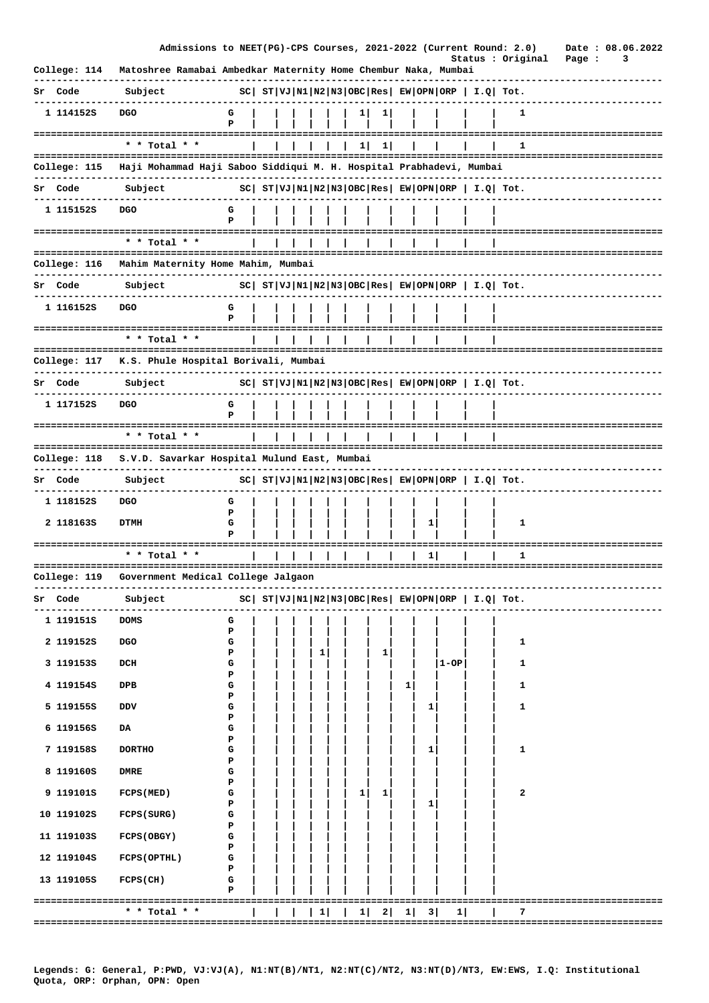|                     | Admissions to NEET(PG)-CPS Courses, 2021-2022 (Current Round: 2.0)  |             |  |            |    |          |   |   |      |                                                       | Status : Original                                              | Page : | Date: 08.06.2022<br>3 |  |
|---------------------|---------------------------------------------------------------------|-------------|--|------------|----|----------|---|---|------|-------------------------------------------------------|----------------------------------------------------------------|--------|-----------------------|--|
| College: 114        | Matoshree Ramabai Ambedkar Maternity Home Chembur Naka, Mumbai      |             |  |            |    |          |   |   |      |                                                       |                                                                |        |                       |  |
| Sr Code             | Subject                                                             |             |  |            |    |          |   |   |      | $ SC $ $ST VJ N1 N2 N3 OBC Res EW OPN ORP  I.Q  Tot.$ |                                                                |        |                       |  |
| 1 1141528           | <b>DGO</b>                                                          | G<br>Р      |  |            |    | 1        |   |   |      |                                                       | 1                                                              |        |                       |  |
|                     | * * Total * *                                                       |             |  |            |    |          |   |   |      |                                                       |                                                                |        |                       |  |
|                     |                                                                     |             |  |            | 1. | $1\vert$ |   |   |      |                                                       | 1                                                              |        |                       |  |
| College: 115        | Haji Mohammad Haji Saboo Siddiqui M. H. Hospital Prabhadevi, Mumbai |             |  |            |    |          |   |   |      |                                                       |                                                                |        |                       |  |
| Sr Code             | Subject                                                             |             |  |            |    |          |   |   |      |                                                       | $ SC $ $ST VJ N1 N2 N3 OBC Res EW OPN ORP   I.Q  Tot.$         |        |                       |  |
| 1 115152S           | <b>DGO</b>                                                          | G<br>P      |  |            |    |          |   |   |      |                                                       |                                                                |        |                       |  |
|                     | * * Total * *                                                       |             |  |            |    |          |   |   |      |                                                       |                                                                |        |                       |  |
|                     |                                                                     |             |  | ========== |    |          |   |   |      |                                                       | ------------------------------------                           |        |                       |  |
| College: 116        | Mahim Maternity Home Mahim, Mumbai                                  |             |  |            |    |          |   |   |      |                                                       |                                                                |        |                       |  |
| Sr Code             | Subject                                                             |             |  |            |    |          |   |   |      |                                                       | $ SC $ $ST VJ N1 N2 N3 OBC Res EW OPN ORP  I.Q  Tot.$          |        |                       |  |
| 1 1161525           | <b>DGO</b>                                                          | G<br>P      |  |            |    |          |   |   |      |                                                       |                                                                |        |                       |  |
|                     | * * Total * *                                                       |             |  |            |    |          |   |   |      |                                                       |                                                                |        |                       |  |
| College: 117        | K.S. Phule Hospital Borivali, Mumbai                                |             |  |            |    |          |   |   |      |                                                       | -------------------------------------                          |        |                       |  |
| Sr Code             | Subject                                                             |             |  |            |    |          |   |   |      |                                                       | $ SC $ $ST VJ N1 N2 N3 OBC Res EW OPN ORP  I.Q  Tot.$          |        |                       |  |
| 1 117152S           | <b>DGO</b>                                                          | G           |  |            |    |          |   |   |      |                                                       |                                                                |        |                       |  |
|                     | $*$ * Total * *                                                     |             |  |            |    |          |   |   |      |                                                       |                                                                |        |                       |  |
|                     |                                                                     |             |  |            |    |          |   |   |      |                                                       |                                                                |        |                       |  |
| College: 118        | S.V.D. Savarkar Hospital Mulund East, Mumbai                        |             |  |            |    |          |   |   |      |                                                       |                                                                |        |                       |  |
| Sr Code             | Subject                                                             |             |  |            |    |          |   |   |      |                                                       | $ SC $ $ST VJ N1 N2 N3 OBC Res EW OPN ORP  I.Q  Tot.$          |        |                       |  |
| 1 118152S           | <b>DGO</b>                                                          | G<br>P      |  |            |    |          |   |   |      |                                                       |                                                                |        |                       |  |
| 2 1181635           | <b>DTMH</b>                                                         | G<br>Р      |  |            |    |          |   | 1 |      |                                                       | 1                                                              |        |                       |  |
| =================== |                                                                     |             |  |            |    |          |   |   |      | ============                                          |                                                                |        |                       |  |
|                     | * * Total * *                                                       |             |  |            |    |          |   |   |      |                                                       | 1                                                              |        |                       |  |
|                     | College: 119 Government Medical College Jalgaon                     |             |  |            |    |          |   |   |      |                                                       |                                                                |        |                       |  |
| Sr Code             | Subject                                                             |             |  |            |    |          |   |   |      |                                                       | $ SC $ $ST VJ N1 N2 N3 OBC Res $ $EW OPN ORP$   $I.Q$   $Tot.$ |        |                       |  |
| 1 119151S           | DOMS                                                                | G           |  |            |    |          |   |   |      |                                                       |                                                                |        |                       |  |
| 2 1191528           | <b>DGO</b>                                                          | Р<br>G      |  |            |    |          |   |   |      |                                                       | 1                                                              |        |                       |  |
| 3 1191538           | DCH                                                                 | Р<br>G      |  | 1          |    | 1        |   |   | 1-OP |                                                       | 1                                                              |        |                       |  |
| 4 119154S           | DPB                                                                 | Р<br>G      |  |            |    |          | 1 |   |      |                                                       | 1                                                              |        |                       |  |
| 5 119155S           | DDV                                                                 | Р<br>G      |  |            |    |          |   | 1 |      |                                                       | 1                                                              |        |                       |  |
| 6 119156S           | DA                                                                  | Р<br>G      |  |            |    |          |   |   |      |                                                       |                                                                |        |                       |  |
| 7 119158S           | <b>DORTHO</b>                                                       | Р<br>G<br>Р |  |            |    |          |   | 1 |      |                                                       | 1                                                              |        |                       |  |
| 8 119160S           | <b>DMRE</b>                                                         | G           |  |            |    |          |   |   |      |                                                       |                                                                |        |                       |  |
| 9 119101S           | FCPS (MED)                                                          | Р<br>G<br>Р |  |            | 1  | ı        |   | 1 |      |                                                       | 2                                                              |        |                       |  |
| 10 119102S          | FCPS (SURG)                                                         | G<br>Р      |  |            |    |          |   |   |      |                                                       |                                                                |        |                       |  |
| 11 1191035          | FCPS (OBGY)                                                         | G<br>Р      |  |            |    |          |   |   |      |                                                       |                                                                |        |                       |  |
| 12 119104S          | FCPS (OPTHL)                                                        | G<br>Р      |  |            |    |          |   |   |      |                                                       |                                                                |        |                       |  |
| 13 119105S          | $FCPS$ (CH)                                                         | G<br>P      |  |            |    |          |   |   |      |                                                       |                                                                |        |                       |  |
|                     | -------------------------------------<br>* * Total * *              |             |  | 1          | 1  | 2        | 1 | 3 | 1    |                                                       | 7                                                              |        |                       |  |
|                     |                                                                     |             |  |            |    |          |   |   |      |                                                       |                                                                |        |                       |  |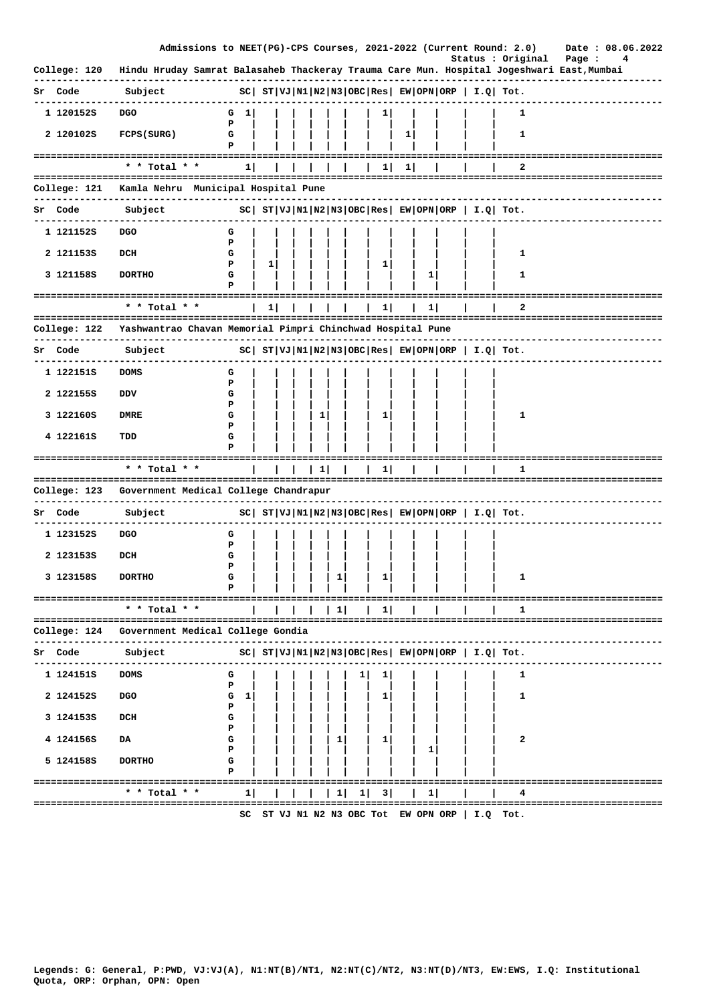|                              | Admissions to NEET(PG)-CPS Courses, 2021-2022 (Current Round: 2.0)                        |                                                     |    |                 |   |   |    |   |              |                                               |             |                                                             | Date: 08.06.2022 |
|------------------------------|-------------------------------------------------------------------------------------------|-----------------------------------------------------|----|-----------------|---|---|----|---|--------------|-----------------------------------------------|-------------|-------------------------------------------------------------|------------------|
| College: 120                 | Hindu Hruday Samrat Balasaheb Thackeray Trauma Care Mun. Hospital Jogeshwari East, Mumbai |                                                     |    |                 |   |   |    |   |              |                                               |             | Status : Original                                           | Page :<br>4      |
| Sr Code                      | Subject                                                                                   |                                                     |    |                 |   |   |    |   |              |                                               |             | $ SC $ $ST VJ N1 N2 N3 OBC Res $ $EW OPN ORP$   $I.Q$ Tot.  |                  |
| 1 1201525                    | <b>DGO</b>                                                                                | G $1$                                               |    |                 |   |   | 11 |   |              |                                               |             | 1                                                           |                  |
| 2 1201025                    | FCPS (SURG)                                                                               | P<br>G<br>P                                         |    |                 |   |   |    | 1 |              |                                               |             | 1                                                           |                  |
|                              | * * Total * *                                                                             | 1                                                   |    |                 |   |   | 1  | 1 |              |                                               |             | 2                                                           |                  |
|                              |                                                                                           |                                                     |    |                 |   |   |    |   |              |                                               |             |                                                             |                  |
|                              | College: 121 Kamla Nehru Municipal Hospital Pune                                          |                                                     |    |                 |   |   |    |   |              |                                               |             |                                                             |                  |
| Sr Code                      | Subject                                                                                   | $ SC $ $ST VJ N1 N2 N3 OBC Res EW OPN ORP I.Q Tot.$ |    |                 |   |   |    |   |              |                                               |             |                                                             |                  |
| 1 1211525                    | DGO                                                                                       | G<br>Р                                              |    |                 |   |   |    |   |              |                                               |             |                                                             |                  |
| 2 1211535                    | DCH                                                                                       | G<br>Р                                              | 1  |                 |   |   | 1  |   |              |                                               |             | 1                                                           |                  |
| 3 121158S                    | <b>DORTHO</b>                                                                             | G<br>Р                                              |    |                 |   |   |    |   | 1            |                                               |             | 1                                                           |                  |
|                              |                                                                                           |                                                     |    |                 |   |   |    |   |              |                                               |             | ========================                                    |                  |
|                              | $*$ * Total * *                                                                           |                                                     | 11 |                 |   |   | 1  |   | 1            |                                               |             | 2                                                           |                  |
| College: 122<br>. <u>.</u> . | Yashwantrao Chavan Memorial Pimpri Chinchwad Hospital Pune<br>---------------             |                                                     |    |                 |   |   |    |   |              |                                               |             |                                                             |                  |
| Sr Code                      | Subject                                                                                   |                                                     |    |                 |   |   |    |   |              |                                               |             | $ SC $ $ST VJ N1 N2 N3 OBC Res EW OPN ORP  I.Q  Tot.$       |                  |
| 1 122151s                    | <b>DOMS</b>                                                                               | G                                                   |    |                 |   |   |    |   |              |                                               |             |                                                             |                  |
| 2 1221555                    | DDV                                                                                       | Р<br>G                                              |    |                 |   |   |    |   |              |                                               |             |                                                             |                  |
| 3 122160S                    | DMRE                                                                                      | Р<br>G<br>P                                         |    | 1               |   |   | 1  |   |              |                                               |             | 1                                                           |                  |
| 4 122161S                    | TDD                                                                                       | G<br>Р                                              |    |                 |   |   |    |   |              |                                               |             |                                                             |                  |
| ========================     | * * Total * *                                                                             |                                                     |    | $\vert 1 \vert$ |   |   | 11 |   |              |                                               |             | 1                                                           |                  |
|                              |                                                                                           |                                                     |    |                 |   |   |    |   |              |                                               |             |                                                             |                  |
|                              | College: 123 Government Medical College Chandrapur                                        |                                                     |    |                 |   |   |    |   |              |                                               |             |                                                             |                  |
| Sr Code                      | Subject                                                                                   |                                                     |    |                 |   |   |    |   |              |                                               |             | $ SC $ $ST VJ N1 N2 N3 OBC Res $ $EW OPN ORP $ $I.Q$ $Tot.$ |                  |
| 1 1231525                    | DGO                                                                                       | G<br>Р                                              |    |                 |   |   |    |   |              |                                               |             |                                                             |                  |
| 2 1231535                    | DCH                                                                                       | G<br>Р                                              |    |                 |   |   |    |   |              |                                               |             |                                                             |                  |
| 3 123158S                    | <b>DORTHO</b>                                                                             |                                                     |    |                 |   |   |    |   |              |                                               |             |                                                             |                  |
|                              | ---------------------------<br>* * Total * *                                              |                                                     |    |                 | ı |   |    |   |              |                                               |             |                                                             |                  |
| College: 124                 | ===================================<br>Government Medical College Gondia                  |                                                     |    |                 |   |   |    |   |              |                                               |             |                                                             |                  |
| Code<br>Sr                   | Subject                                                                                   |                                                     |    |                 |   |   |    |   |              |                                               |             | $ SC $ $ST VJ N1 N2 N3 OBC Res EW OPN ORP I.Q Tot.$         |                  |
| 1 124151S                    | <b>DOMS</b>                                                                               | G<br>Р                                              |    |                 |   | ı | ı  |   |              |                                               |             | 1                                                           |                  |
| 2 124152S                    | <b>DGO</b>                                                                                | G<br>1                                              |    |                 |   |   | 1  |   |              |                                               |             | 1                                                           |                  |
| 3 1241535                    | DCH                                                                                       | Р<br>G<br>Р                                         |    |                 |   |   |    |   |              |                                               |             |                                                             |                  |
| 4 124156S                    | DA                                                                                        | G                                                   |    |                 | 1 |   | ı  |   |              |                                               |             | 2                                                           |                  |
| 5 124158S                    | <b>DORTHO</b>                                                                             | Р<br>G<br>P                                         |    |                 |   |   |    |   | 1            |                                               |             |                                                             |                  |
|                              |                                                                                           |                                                     |    |                 |   |   |    |   |              |                                               |             |                                                             |                  |
|                              | * * Total * *<br>.=============================                                           | 1                                                   |    |                 | 1 | 1 | 3  |   | $\mathbf{1}$ |                                               |             | 4                                                           |                  |
|                              |                                                                                           | sc.                                                 |    |                 |   |   |    |   |              | $ST$ VJ N1 N2 N3 OBC Tot $FW$ OPN ORP $\vert$ | <b>T.O.</b> | ™n+                                                         |                  |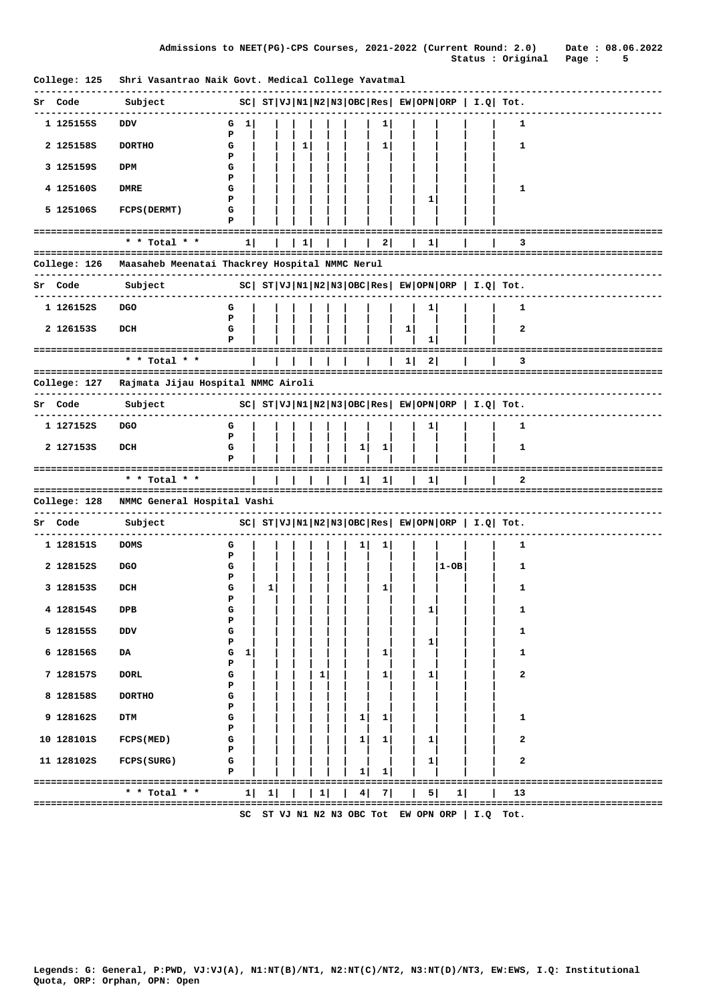| College: 125 | Shri Vasantrao Naik Govt. Medical College Yavatmal                       |                       |   |   |   |                |              |              |              |      |                                                                |                                 |
|--------------|--------------------------------------------------------------------------|-----------------------|---|---|---|----------------|--------------|--------------|--------------|------|----------------------------------------------------------------|---------------------------------|
| Code<br>Sr   | Subject                                                                  |                       |   |   |   |                |              |              |              |      | $ SC $ $ST VJ N1 N2 N3 OBC Res $ $EW OPN ORP$   $I.Q$ Tot.     |                                 |
| 1 125155S    | DDV                                                                      | G 1                   |   |   |   |                | 1            |              |              |      | 1                                                              |                                 |
| 2 125158S    | <b>DORTHO</b>                                                            | P<br>G<br>P           |   | 1 |   |                | 1            |              |              |      | 1                                                              |                                 |
| 3 1251598    | DPM                                                                      | G<br>Р                |   |   |   |                |              |              |              |      |                                                                |                                 |
| 4 125160S    | DMRE                                                                     | G                     |   |   |   |                |              |              |              |      | 1                                                              |                                 |
| 5 125106S    | <b>FCPS (DERMT)</b>                                                      | P<br>G<br>P           |   |   |   |                |              |              | 1            |      |                                                                |                                 |
|              | * * Total * *                                                            | 1.                    |   | 1 |   |                | 21           |              | $\mathbf{1}$ |      | 3                                                              |                                 |
| College: 126 | Maasaheb Meenatai Thackrey Hospital NMMC Nerul                           |                       |   |   |   |                |              |              |              |      |                                                                |                                 |
|              |                                                                          |                       |   |   |   |                |              |              |              |      |                                                                |                                 |
| Code<br>Sr   | Subject                                                                  |                       |   |   |   |                |              |              |              |      | $ SC $ $ST VJ N1 N2 N3 OBC Res EW OPN ORP  I.Q  Tot.$          |                                 |
| 1 126152S    | <b>DGO</b>                                                               | G<br>P                |   |   |   |                |              |              | ı            |      | 1                                                              |                                 |
| 2 1261538    | DCH                                                                      | G<br>Р                |   |   |   |                |              | $\mathbf{1}$ | 1            |      | 2                                                              |                                 |
|              | ---------------------------------<br>* * Total * *                       |                       |   |   |   |                |              | $\mathbf{1}$ | 2            |      | 3                                                              |                                 |
| College: 127 | ----------------------------------<br>Rajmata Jijau Hospital NMMC Airoli |                       |   |   |   |                |              |              |              |      |                                                                |                                 |
| Sr Code      | Subject                                                                  |                       |   |   |   |                |              |              |              |      | $ SC $ $ST VJ N1 N2 N3 OBC Res $ $EW OPN ORP$   $I.Q$ Tot.     |                                 |
| 1 127152S    | DGO                                                                      | G                     |   |   |   |                |              |              | 1            |      | 1                                                              |                                 |
| 2 1271535    | DCH                                                                      | Р<br>G<br>P           |   |   |   | ı              | 1            |              |              |      | 1                                                              |                                 |
|              | * * Total * *                                                            |                       |   |   |   | 1              | $\mathbf{1}$ |              | 1            |      | 2                                                              | ------------------------------- |
|              |                                                                          |                       |   |   |   |                |              |              |              |      | ===============                                                |                                 |
| College: 128 | NMMC General Hospital Vashi                                              |                       |   |   |   |                |              |              |              |      |                                                                |                                 |
| Sr Code      | Subject                                                                  |                       |   |   |   |                |              |              |              |      | $ SC $ $ST VJ N1 N2 N3 OBC Res $ $EW OPN ORP$   $I.Q$   $Tot.$ |                                 |
| 1 128151S    | <b>DOMS</b>                                                              | G<br>P                |   |   |   |                | 1            |              |              |      | 1                                                              |                                 |
| 2 128152S    | <b>DGO</b>                                                               | G<br>Р                |   |   |   |                |              |              |              | 1-ов | 1                                                              |                                 |
| 3 1281535    | DCH                                                                      | G<br>P                | 1 |   |   |                | 1            |              |              |      | 1                                                              |                                 |
| 4 128154S    | DPB                                                                      | G                     |   |   |   |                |              |              | 1            |      | 1                                                              |                                 |
| 5 128155S    | <b>DDV</b>                                                               | P<br>G                |   |   |   |                |              |              |              |      | 1                                                              |                                 |
| 6 128156S    | DA                                                                       | $\mathbf P$<br>G<br>1 |   |   |   |                | 1            |              | 1            |      | 1                                                              |                                 |
| 7 128157S    | <b>DORL</b>                                                              | P<br>G                |   |   | 1 |                | 1            |              | 1            |      | 2                                                              |                                 |
| 8 128158S    | <b>DORTHO</b>                                                            | P<br>G                |   |   |   |                |              |              |              |      |                                                                |                                 |
| 9 128162S    | <b>DTM</b>                                                               | P<br>G<br>P           |   |   |   | $\mathbf{1}$   | 1            |              |              |      | 1                                                              |                                 |
| 10 128101S   | FCPS (MED)                                                               | G                     |   |   |   | 1              | 1            |              | 1            |      | 2                                                              |                                 |
| 11 128102S   | FCPS (SURG)                                                              | Р<br>G<br>Р           |   |   |   | ı              | ı            |              | 1            |      | 2                                                              |                                 |
|              | ===============<br>* * Total * *                                         | 1                     | 1 |   | 1 | 4 <sup>1</sup> | 7            |              | 5            | 1    | 13                                                             |                                 |
|              |                                                                          |                       |   |   |   |                |              |              |              |      |                                                                |                                 |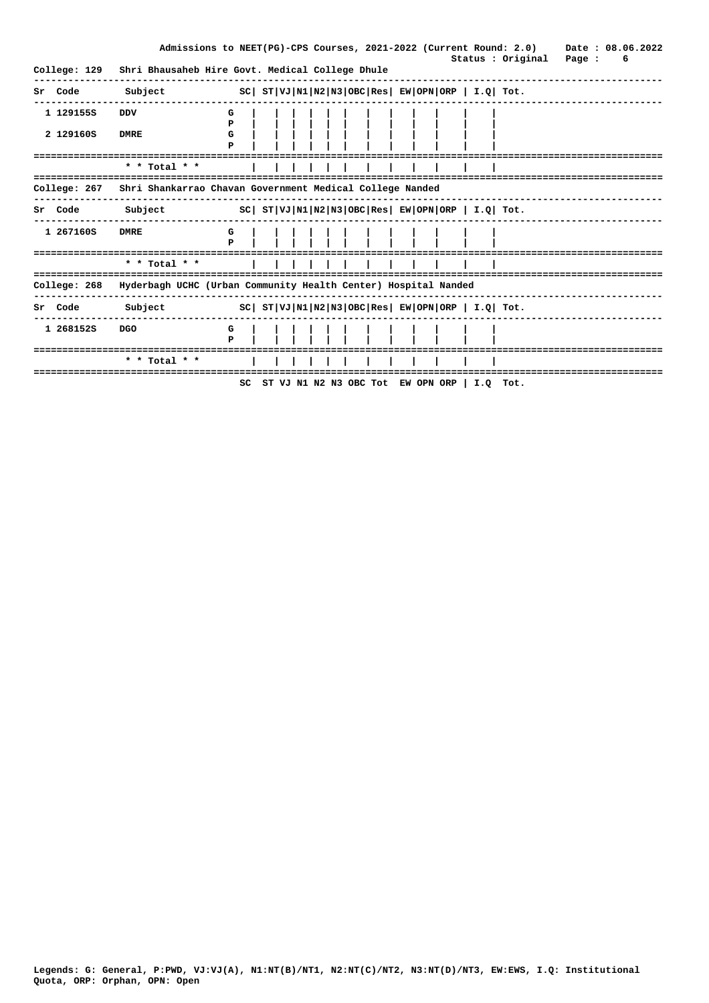|         |                                                                      |             |                                                                |        |  |  |  |  |  |  | Admissions to NEET(PG)-CPS Courses, 2021-2022 (Current Round: 2.0) |  | Date: 08.06.2022 |
|---------|----------------------------------------------------------------------|-------------|----------------------------------------------------------------|--------|--|--|--|--|--|--|--------------------------------------------------------------------|--|------------------|
|         | College: 129                                                         |             | Shri Bhausaheb Hire Govt. Medical College Dhule                |        |  |  |  |  |  |  | Status : Original Page :                                           |  | 6                |
| Sr Code |                                                                      | Subject     |                                                                |        |  |  |  |  |  |  | $ SC $ $ST VJ N1 N2 N3 OBC Res $ $EW OPN ORP$   $I.Q$ Tot.         |  |                  |
|         | 1 1291555                                                            | <b>DDV</b>  |                                                                | G<br>P |  |  |  |  |  |  |                                                                    |  |                  |
|         | 2 129160S                                                            | <b>DMRE</b> |                                                                | G<br>P |  |  |  |  |  |  |                                                                    |  |                  |
|         |                                                                      |             | * * Total * *                                                  |        |  |  |  |  |  |  |                                                                    |  |                  |
|         | College: 267                                                         |             | Shri Shankarrao Chavan Government Medical College Nanded       |        |  |  |  |  |  |  |                                                                    |  |                  |
|         | Sr Code Subject $SC  ST VJ N1 N2 N3 OBC Res  EW OPN ORP   I.Q  Tot.$ |             |                                                                |        |  |  |  |  |  |  |                                                                    |  |                  |
|         | 1 2671605                                                            | <b>DMRE</b> |                                                                | G<br>Þ |  |  |  |  |  |  |                                                                    |  |                  |
|         |                                                                      |             | * * Total * *                                                  |        |  |  |  |  |  |  |                                                                    |  |                  |
|         | College: 268                                                         |             | Hyderbagh UCHC (Urban Community Health Center) Hospital Nanded |        |  |  |  |  |  |  |                                                                    |  |                  |
| Sr Code |                                                                      | Subject     |                                                                |        |  |  |  |  |  |  | $SC ST VJ N1 N2 N3 OBC Res EW OPN ORP I.Q Tot.$                    |  |                  |
|         | 1 2681525                                                            | <b>DGO</b>  | ==============                                                 | G<br>P |  |  |  |  |  |  |                                                                    |  |                  |
|         |                                                                      |             | * * Total * *                                                  |        |  |  |  |  |  |  |                                                                    |  |                  |
|         |                                                                      |             |                                                                |        |  |  |  |  |  |  | SC ST VJ N1 N2 N3 OBC Tot EW OPN ORP $\vert$ I.O Tot.              |  |                  |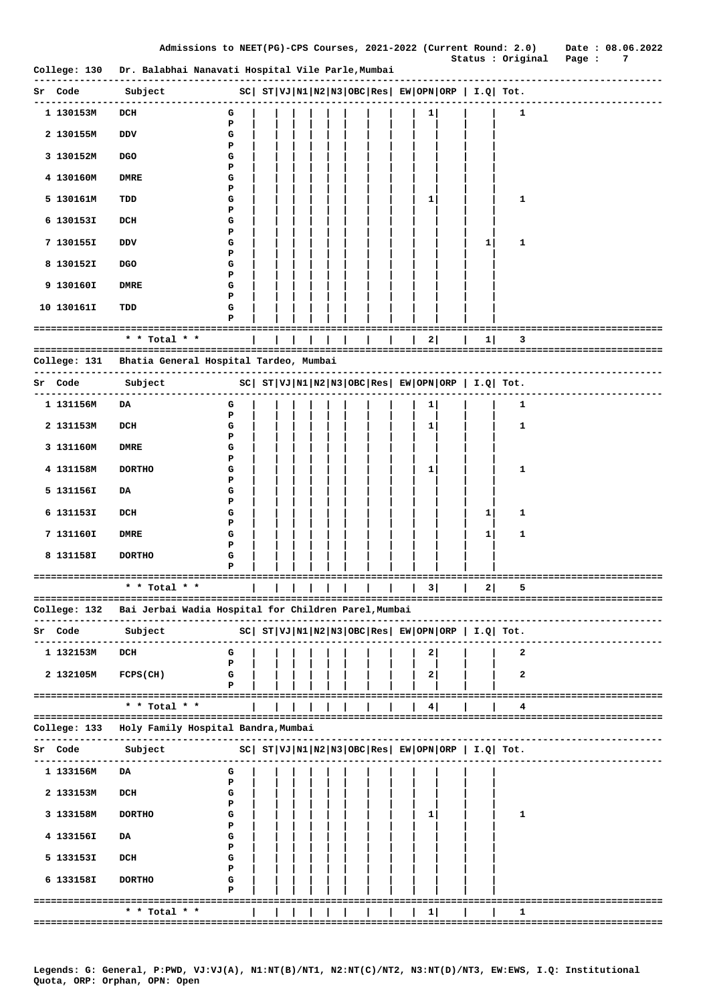|                     | College: 130 Dr. Balabhai Nanavati Hospital Vile Parle, Mumbai    |             |  |  |  |  |   |   |                                                                |                                       |
|---------------------|-------------------------------------------------------------------|-------------|--|--|--|--|---|---|----------------------------------------------------------------|---------------------------------------|
| Sr Code             | Subject                                                           |             |  |  |  |  |   |   | $ SC $ $ST VJ N1 N2 N3 OBC Res EW OPN ORP I.Q Tot.$            |                                       |
| 1 130153M           | DCH                                                               | G<br>Р      |  |  |  |  | 1 |   | 1                                                              |                                       |
| 2 130155M           | vסם                                                               | G<br>Р      |  |  |  |  |   |   |                                                                |                                       |
| 3 130152M           | <b>DGO</b>                                                        | G<br>Р      |  |  |  |  |   |   |                                                                |                                       |
| 4 130160M           | DMRE                                                              | G           |  |  |  |  |   |   |                                                                |                                       |
| 5 130161M           | TDD                                                               | Р<br>G      |  |  |  |  | 1 |   | 1                                                              |                                       |
| 6 130153I           | DCH                                                               | Р<br>G      |  |  |  |  |   |   |                                                                |                                       |
| 7 130155I           | vסם                                                               | Р<br>G      |  |  |  |  |   | 1 | $\mathbf{1}$                                                   |                                       |
| 8 130152I           | <b>DGO</b>                                                        | Р<br>G      |  |  |  |  |   |   |                                                                |                                       |
| 9 130160I           | <b>DMRE</b>                                                       | Р<br>G      |  |  |  |  |   |   |                                                                |                                       |
| 10 130161I          | TDD                                                               | P<br>G<br>P |  |  |  |  |   |   |                                                                |                                       |
|                     |                                                                   |             |  |  |  |  |   |   |                                                                |                                       |
|                     | * * Total * *                                                     |             |  |  |  |  | 2 | 1 | з                                                              |                                       |
| College: 131        | Bhatia General Hospital Tardeo, Mumbai                            |             |  |  |  |  |   |   |                                                                |                                       |
| Sr Code             | Subject                                                           |             |  |  |  |  |   |   | $ SC $ $ST VJ N1 N2 N3 OBC Res $ $EW OPN ORP $ $I.Q$ $Tot.$    |                                       |
| 1 131156M           | DA                                                                | G<br>P      |  |  |  |  | 1 |   | 1                                                              |                                       |
| 2 131153M           | DCH                                                               | G<br>P      |  |  |  |  | 1 |   | 1                                                              |                                       |
| 3 131160M           | DMRE                                                              | G<br>Р      |  |  |  |  |   |   |                                                                |                                       |
| 4 131158M           | <b>DORTHO</b>                                                     | G<br>Р      |  |  |  |  | 1 |   | 1                                                              |                                       |
| 5 131156I           | DA                                                                | G           |  |  |  |  |   |   |                                                                |                                       |
| 6 131153I           | DCH                                                               | Р<br>G      |  |  |  |  |   | 1 | 1                                                              |                                       |
| 7 131160I           | DMRE                                                              | P<br>G      |  |  |  |  |   | 1 | 1                                                              |                                       |
| 8 131158I           | <b>DORTHO</b>                                                     | Р<br>G      |  |  |  |  |   |   |                                                                |                                       |
| =================== | ====================                                              | P           |  |  |  |  |   |   |                                                                | ==============================        |
|                     | * * Total * *                                                     |             |  |  |  |  | 3 | 2 | 5                                                              |                                       |
|                     | College: 132  Bai Jerbai Wadia Hospital for Children Parel,Mumbai |             |  |  |  |  |   |   |                                                                |                                       |
| Sr Code             | Subject                                                           |             |  |  |  |  |   |   | $ SC $ $ST VJ N1 N2 N3 OBC Res $ $EW OPN ORP$   $I.Q$   $Tot.$ |                                       |
| 1 132153M           | DCH                                                               | G<br>Р      |  |  |  |  | 2 |   | 2                                                              |                                       |
| 2 132105M           | FCPS (CH)                                                         | G<br>P      |  |  |  |  | 2 |   | 2                                                              |                                       |
|                     | =====================================                             |             |  |  |  |  |   |   |                                                                | ===================================== |
|                     | $*$ * Total * *                                                   |             |  |  |  |  | 4 |   | 4                                                              |                                       |
|                     | College: 133   Holy Family Hospital Bandra,Mumbai                 |             |  |  |  |  |   |   |                                                                | ------------------------------        |
| Sr Code             | Subject                                                           |             |  |  |  |  |   |   | $ SC $ $ST VJ N1 N2 N3 OBC Res $ $EW OPN ORP$   $I.Q$   $Tot.$ |                                       |
| 1 133156M           | .<br>DA                                                           | G           |  |  |  |  |   |   |                                                                |                                       |
| 2 133153M           | DCH                                                               | P<br>G      |  |  |  |  |   |   |                                                                |                                       |
| 3 133158M           | <b>DORTHO</b>                                                     | Р<br>G      |  |  |  |  | 1 |   | 1                                                              |                                       |
| 4 133156I           | DA                                                                | Р<br>G      |  |  |  |  |   |   |                                                                |                                       |
| 5 133153I           | DCH                                                               | Р<br>G      |  |  |  |  |   |   |                                                                |                                       |
| 6 133158I           | <b>DORTHO</b>                                                     | Р<br>G      |  |  |  |  |   |   |                                                                |                                       |
| ========            | ==============================                                    | Р           |  |  |  |  |   |   |                                                                | ========================              |
|                     | * * Total * *<br>=====================                            |             |  |  |  |  | 1 |   | 1                                                              | ================================      |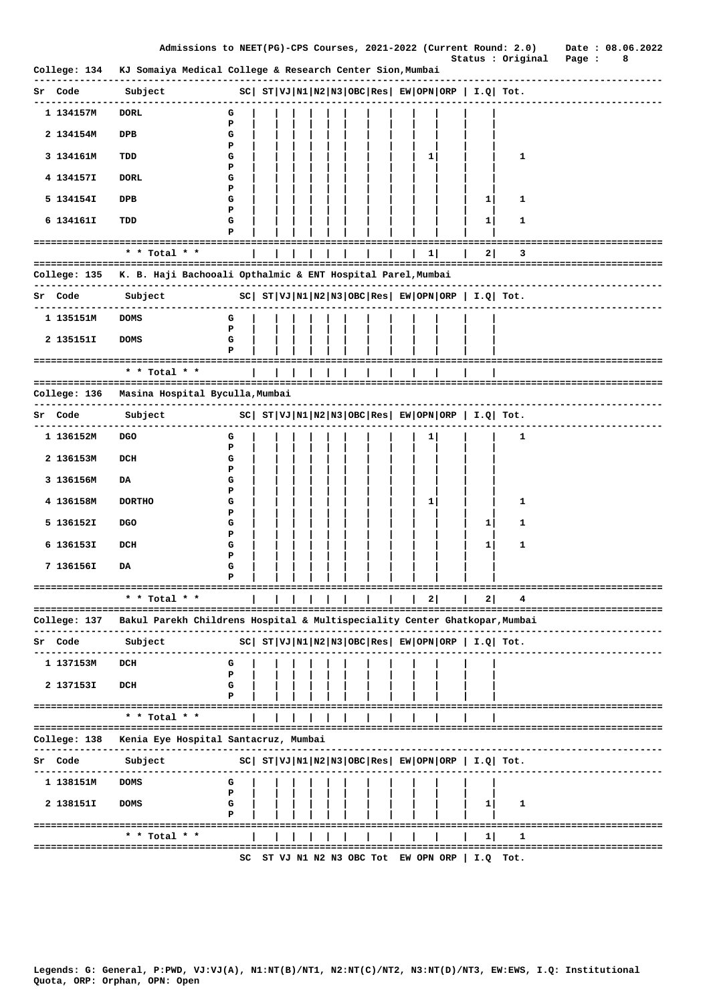|                                 | Admissions to NEET(PG)-CPS Courses, 2021-2022 (Current Round: 2.0)                                                                                                                                                                                                                                             |             |  |  |  |  |           |                                                              | Status : Original                                     | Page :                    | Date: 08.06.2022 | 8 |  |
|---------------------------------|----------------------------------------------------------------------------------------------------------------------------------------------------------------------------------------------------------------------------------------------------------------------------------------------------------------|-------------|--|--|--|--|-----------|--------------------------------------------------------------|-------------------------------------------------------|---------------------------|------------------|---|--|
|                                 | College: 134 KJ Somaiya Medical College & Research Center Sion, Mumbai                                                                                                                                                                                                                                         |             |  |  |  |  |           |                                                              |                                                       |                           |                  |   |  |
| Sr Code                         | Subject                                                                                                                                                                                                                                                                                                        |             |  |  |  |  |           |                                                              | $ SC $ $ST VJ N1 N2 N3 OBC Res EW OPN ORP I.Q Tot.$   | --------------------      |                  |   |  |
| 1 134157M                       | <b>DORL</b>                                                                                                                                                                                                                                                                                                    | G<br>Р      |  |  |  |  |           |                                                              |                                                       |                           |                  |   |  |
| 2 134154M                       | DPB                                                                                                                                                                                                                                                                                                            | G<br>Р      |  |  |  |  |           |                                                              |                                                       |                           |                  |   |  |
| 3 134161M                       | TDD                                                                                                                                                                                                                                                                                                            | G<br>Р      |  |  |  |  | 1         |                                                              | 1                                                     |                           |                  |   |  |
| 4 134157I                       | <b>DORL</b>                                                                                                                                                                                                                                                                                                    | G<br>Р      |  |  |  |  |           |                                                              |                                                       |                           |                  |   |  |
| 5 134154I                       | DPB                                                                                                                                                                                                                                                                                                            | G<br>Р      |  |  |  |  |           | $\mathbf{1}$                                                 | 1                                                     |                           |                  |   |  |
| 6 134161I                       | TDD                                                                                                                                                                                                                                                                                                            | G<br>P      |  |  |  |  |           | $\mathbf{1}$                                                 | 1                                                     |                           |                  |   |  |
|                                 | * * Total * *                                                                                                                                                                                                                                                                                                  |             |  |  |  |  | $1 \vert$ | 2                                                            | 3                                                     |                           |                  |   |  |
|                                 | College: 135 K. B. Haji Bachooali Opthalmic & ENT Hospital Parel, Mumbai                                                                                                                                                                                                                                       |             |  |  |  |  |           |                                                              |                                                       |                           |                  |   |  |
| . <u>.</u> .<br>Sr Code Subject | ----------------<br>$SC \left  \begin{array}{c c c c c} \hline \text{ST} & \text{VI} & \text{NI} & \text{NI} \\ \hline \text{ST} & \text{VJ} & \text{NI} & \text{NI} & \text{OBC} & \text{Res} & \text{EW} & \text{OPN} & \text{ORP} & \text{I} & \text{I} & \text{Q} & \text{Tot} \end{array} \right. \text{$ |             |  |  |  |  |           |                                                              |                                                       |                           |                  |   |  |
| ----------<br>1 135151M         | ---------------<br><b>DOMS</b>                                                                                                                                                                                                                                                                                 |             |  |  |  |  |           |                                                              |                                                       |                           |                  |   |  |
|                                 |                                                                                                                                                                                                                                                                                                                | G<br>P      |  |  |  |  |           |                                                              |                                                       |                           |                  |   |  |
| 2 135151I                       | <b>DOMS</b>                                                                                                                                                                                                                                                                                                    | G<br>P      |  |  |  |  |           |                                                              |                                                       |                           |                  |   |  |
| ===================             | * * Total * *                                                                                                                                                                                                                                                                                                  |             |  |  |  |  |           |                                                              |                                                       |                           |                  |   |  |
|                                 | College: 136 Masina Hospital Byculla,Mumbai                                                                                                                                                                                                                                                                    |             |  |  |  |  |           |                                                              |                                                       |                           |                  |   |  |
| Sr Code                         | Subject                                                                                                                                                                                                                                                                                                        |             |  |  |  |  |           |                                                              | $ SC $ $ST VJ N1 N2 N3 OBC Res EW OPN ORP  I.Q  Tot.$ |                           |                  |   |  |
| 1 136152M                       | DGO                                                                                                                                                                                                                                                                                                            | G<br>P      |  |  |  |  | 1         |                                                              | 1                                                     |                           |                  |   |  |
| 2 136153M                       | DCH                                                                                                                                                                                                                                                                                                            | G           |  |  |  |  |           |                                                              |                                                       |                           |                  |   |  |
| 3 136156M                       | DA                                                                                                                                                                                                                                                                                                             | P<br>G      |  |  |  |  |           |                                                              |                                                       |                           |                  |   |  |
| 4 136158M                       | <b>DORTHO</b>                                                                                                                                                                                                                                                                                                  | P<br>G      |  |  |  |  | 1         |                                                              | 1                                                     |                           |                  |   |  |
| 5 136152I                       | <b>DGO</b>                                                                                                                                                                                                                                                                                                     | P<br>G      |  |  |  |  |           | $\mathbf{1}$                                                 | 1                                                     |                           |                  |   |  |
| 6 136153I                       | DCH                                                                                                                                                                                                                                                                                                            | P<br>G      |  |  |  |  |           | 1                                                            | 1                                                     |                           |                  |   |  |
| 7 136156I                       | DA                                                                                                                                                                                                                                                                                                             | P<br>G<br>Р |  |  |  |  |           |                                                              |                                                       |                           |                  |   |  |
|                                 |                                                                                                                                                                                                                                                                                                                |             |  |  |  |  |           |                                                              |                                                       |                           |                  |   |  |
|                                 | * * Total * *                                                                                                                                                                                                                                                                                                  |             |  |  |  |  |           | 21                                                           |                                                       |                           |                  |   |  |
| College: 137                    | Bakul Parekh Childrens Hospital & Multispeciality Center Ghatkopar, Mumbai                                                                                                                                                                                                                                     |             |  |  |  |  |           |                                                              |                                                       |                           |                  |   |  |
| Sr Code                         | Subject                                                                                                                                                                                                                                                                                                        |             |  |  |  |  |           | $ SC $ $ST VJ N1 N2 N3 OBC Res EW OPN ORP  I.Q  Tot.$        |                                                       |                           |                  |   |  |
| 1 137153M                       | DCH                                                                                                                                                                                                                                                                                                            | G<br>Р      |  |  |  |  |           |                                                              |                                                       |                           |                  |   |  |
| 2 137153I                       | DCH                                                                                                                                                                                                                                                                                                            | G<br>P      |  |  |  |  |           |                                                              |                                                       |                           |                  |   |  |
|                                 | =====================================<br>* * Total * *                                                                                                                                                                                                                                                         |             |  |  |  |  |           |                                                              | :================================                     |                           |                  |   |  |
| College: 138                    | Kenia Eye Hospital Santacruz, Mumbai                                                                                                                                                                                                                                                                           |             |  |  |  |  |           |                                                              | ---------------------------------                     |                           |                  |   |  |
| Sr Code                         | --------<br>Subject                                                                                                                                                                                                                                                                                            |             |  |  |  |  |           | $ SC $ $ST VJ N1 N2 N3 OBC Res $ $EW OPN ORP $ $I.Q $ $Tot.$ |                                                       |                           |                  |   |  |
| --------<br>1 138151M           | <b>DOMS</b>                                                                                                                                                                                                                                                                                                    | G           |  |  |  |  |           |                                                              |                                                       |                           |                  |   |  |
| 2 138151I                       | <b>DOMS</b>                                                                                                                                                                                                                                                                                                    | P<br>G      |  |  |  |  |           | 1                                                            | 1                                                     |                           |                  |   |  |
|                                 | ====================================                                                                                                                                                                                                                                                                           | P           |  |  |  |  |           | ==================                                           |                                                       | ========================= |                  |   |  |
|                                 | * * Total * *                                                                                                                                                                                                                                                                                                  |             |  |  |  |  |           | 1                                                            | 1                                                     |                           |                  |   |  |
|                                 |                                                                                                                                                                                                                                                                                                                | SC          |  |  |  |  |           | ST VJ N1 N2 N3 OBC Tot EW OPN ORP $ $ I.Q Tot.               |                                                       |                           |                  |   |  |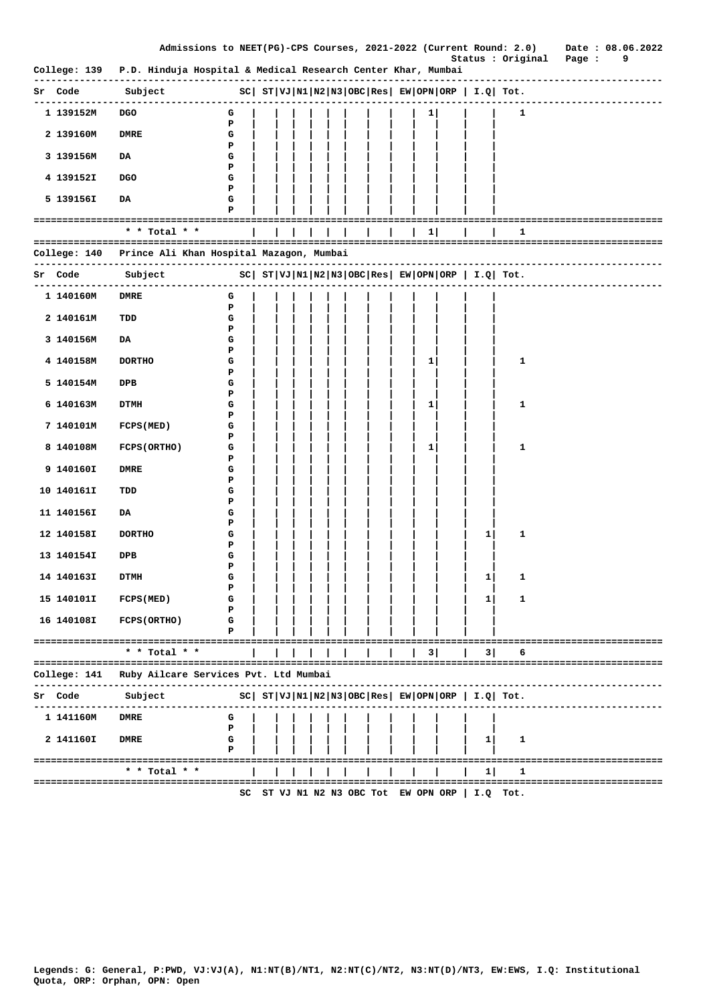|                             |                                                                           | Admissions to NEET(PG)-CPS Courses, 2021-2022 (Current Round: 2.0) |  |  |  |                     |  |              |                    |                                                     | Date: 08.06.2022<br>Status : Original<br>Page :<br>9 |
|-----------------------------|---------------------------------------------------------------------------|--------------------------------------------------------------------|--|--|--|---------------------|--|--------------|--------------------|-----------------------------------------------------|------------------------------------------------------|
|                             | College: 139 P.D. Hinduja Hospital & Medical Research Center Khar, Mumbai |                                                                    |  |  |  |                     |  |              |                    |                                                     |                                                      |
| Sr Code                     | Subject                                                                   | $ SC $ $ST VJ N1 N2 N3 OBC Res EW OPN ORP I.Q Tot.$                |  |  |  |                     |  |              |                    |                                                     |                                                      |
| 1 139152M                   | DGO                                                                       | G                                                                  |  |  |  |                     |  | $\mathbf{1}$ |                    | 1                                                   |                                                      |
| 2 139160M                   | <b>DMRE</b>                                                               | Р<br>G                                                             |  |  |  |                     |  |              |                    |                                                     |                                                      |
| 3 139156M                   | DA                                                                        | Р<br>G                                                             |  |  |  |                     |  |              |                    |                                                     |                                                      |
| 4 139152I                   | DGO                                                                       | Р<br>G                                                             |  |  |  |                     |  |              |                    |                                                     |                                                      |
| 5 139156I                   | DA                                                                        | P<br>G<br>Р                                                        |  |  |  |                     |  |              |                    |                                                     |                                                      |
| =========================== |                                                                           |                                                                    |  |  |  |                     |  |              |                    |                                                     |                                                      |
|                             | * * Total * *                                                             |                                                                    |  |  |  |                     |  | 1            |                    | 1                                                   |                                                      |
| College: 140                | Prince Ali Khan Hospital Mazagon, Mumbai                                  |                                                                    |  |  |  |                     |  |              |                    |                                                     |                                                      |
| Sr Code                     | Subject                                                                   | $ SC $ $ST VJ N1 N2 N3 OBC Res EW OPN ORP I.Q Tot.$                |  |  |  |                     |  |              |                    |                                                     |                                                      |
| ----------<br>1 140160M     | <b>DMRE</b>                                                               | G                                                                  |  |  |  |                     |  |              |                    |                                                     |                                                      |
| 2 140161M                   | TDD                                                                       | Р<br>G                                                             |  |  |  |                     |  |              |                    |                                                     |                                                      |
| 3 140156M                   | DA                                                                        | P<br>G                                                             |  |  |  |                     |  |              |                    |                                                     |                                                      |
| 4 140158M                   | <b>DORTHO</b>                                                             | Р<br>G                                                             |  |  |  |                     |  | 1            |                    | 1                                                   |                                                      |
| 5 140154M                   | DPB                                                                       | Р<br>G                                                             |  |  |  |                     |  |              |                    |                                                     |                                                      |
| 6 140163M                   | <b>DTMH</b>                                                               | Р<br>G                                                             |  |  |  |                     |  | 1            |                    | 1                                                   |                                                      |
| 7 140101M                   | <b>FCPS (MED)</b>                                                         | P<br>G                                                             |  |  |  |                     |  |              |                    |                                                     |                                                      |
| 8 140108M                   | FCPS (ORTHO)                                                              | P<br>G                                                             |  |  |  |                     |  | 1            |                    | 1                                                   |                                                      |
| 9 140160I                   | <b>DMRE</b>                                                               | P<br>G                                                             |  |  |  |                     |  |              |                    |                                                     |                                                      |
| 10 140161I                  | TDD                                                                       | Р<br>G                                                             |  |  |  |                     |  |              |                    |                                                     |                                                      |
| 11 140156I                  | DA                                                                        | P<br>G                                                             |  |  |  |                     |  |              |                    |                                                     |                                                      |
| 12 140158I                  | <b>DORTHO</b>                                                             | P<br>G                                                             |  |  |  |                     |  |              | 1                  | 1                                                   |                                                      |
| 13 140154I                  | DPB                                                                       | P<br>G<br>P                                                        |  |  |  |                     |  |              |                    |                                                     |                                                      |
| 14 140163I                  | <b>DTMH</b>                                                               | G<br>Р                                                             |  |  |  |                     |  |              | $\mathbf{1}$       | 1                                                   |                                                      |
| 15 140101I                  | <b>FCPS (MED)</b>                                                         | G<br>Р                                                             |  |  |  |                     |  |              | 1                  | 1                                                   |                                                      |
| 16 140108I                  | <b>FCPS (ORTHO)</b>                                                       | G<br>Р                                                             |  |  |  |                     |  |              |                    |                                                     |                                                      |
|                             | -----------------------------------                                       |                                                                    |  |  |  |                     |  |              |                    |                                                     | =====================                                |
|                             | $*$ * Total * *                                                           |                                                                    |  |  |  |                     |  | 3            | 3                  | 6                                                   |                                                      |
| College: 141                | Ruby Ailcare Services Pvt. Ltd Mumbai                                     |                                                                    |  |  |  |                     |  |              |                    |                                                     |                                                      |
| Code<br>Sr                  | Subject                                                                   |                                                                    |  |  |  |                     |  |              |                    | $SC  ST VJ N1 N2 N3 OBC Res EW OPN ORP   I.Q  Tot.$ |                                                      |
| 1 141160M                   | <b>DMRE</b>                                                               | G<br>Р                                                             |  |  |  |                     |  |              |                    |                                                     |                                                      |
| 2 1411601                   | <b>DMRE</b>                                                               | G<br>P                                                             |  |  |  |                     |  |              | 1                  | 1                                                   |                                                      |
|                             | ==================================<br>* * Total * *                       |                                                                    |  |  |  |                     |  |              | 11                 | 1                                                   |                                                      |
|                             |                                                                           | er.                                                                |  |  |  | ST WI NO NR ORC Tot |  |              | ח ד! פפח זאפח זאהד | ጥረተ                                                 |                                                      |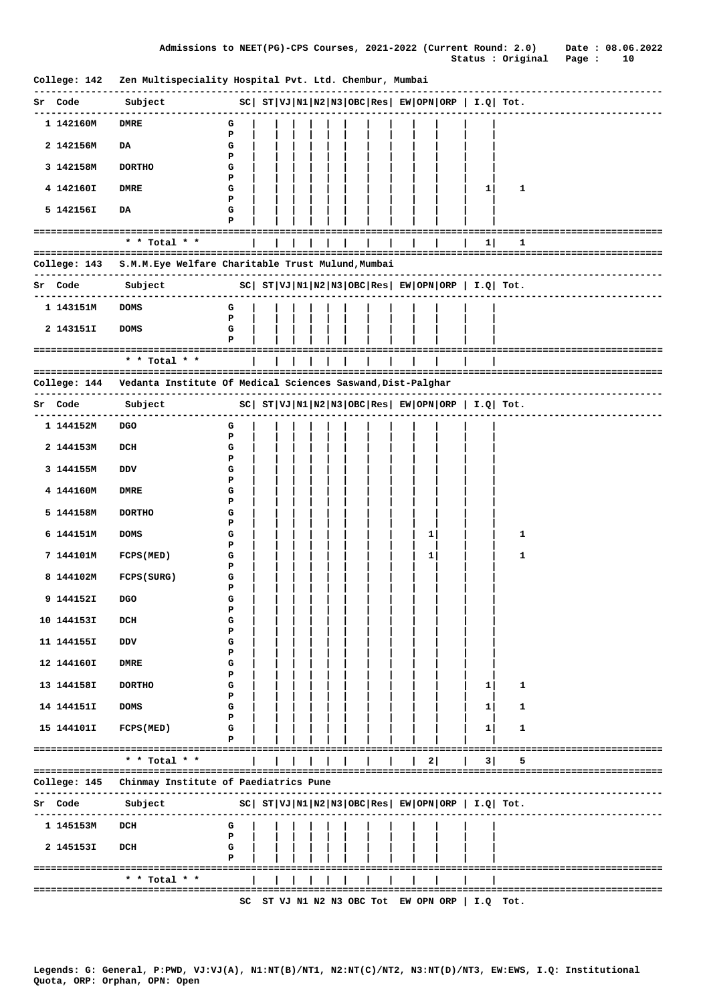| College: 142 | Zen Multispeciality Hospital Pvt. Ltd. Chembur, Mumbai                      |                                                     |  |  |  |  |   |                                                |                                                            |                                    |
|--------------|-----------------------------------------------------------------------------|-----------------------------------------------------|--|--|--|--|---|------------------------------------------------|------------------------------------------------------------|------------------------------------|
| Sr Code      | Subject                                                                     | $ SC $ $ST VJ N1 N2 N3 OBC Res EW OPN ORP I.Q Tot.$ |  |  |  |  |   |                                                |                                                            |                                    |
| 1 142160M    | <b>DMRE</b>                                                                 | G<br>P                                              |  |  |  |  |   |                                                |                                                            |                                    |
| 2 142156M    | DA                                                                          | G<br>Р                                              |  |  |  |  |   |                                                |                                                            |                                    |
| 3 142158M    | <b>DORTHO</b>                                                               | G<br>Р                                              |  |  |  |  |   |                                                |                                                            |                                    |
| 4 142160I    | <b>DMRE</b>                                                                 | G<br>Р                                              |  |  |  |  |   | 1                                              | 1                                                          |                                    |
| 5 142156I    | DA                                                                          | G<br>Р                                              |  |  |  |  |   |                                                |                                                            |                                    |
|              | $*$ * Total * *                                                             |                                                     |  |  |  |  |   | 1                                              | 1                                                          | ================================== |
|              |                                                                             |                                                     |  |  |  |  |   |                                                |                                                            |                                    |
| College: 143 | S.M.M. Eye Welfare Charitable Trust Mulund, Mumbai<br>-----------           |                                                     |  |  |  |  |   |                                                |                                                            |                                    |
| Sr Code      | Subject                                                                     |                                                     |  |  |  |  |   |                                                | $ SC $ $ST VJ N1 N2 N3 OBC Res $ $EW OPN ORP$   $I.Q$ Tot. |                                    |
| 1 143151M    | <b>DOMS</b>                                                                 | G<br>P                                              |  |  |  |  |   |                                                |                                                            |                                    |
| 2 143151I    | <b>DOMS</b>                                                                 | G<br>P                                              |  |  |  |  |   |                                                |                                                            |                                    |
|              | ===========================<br>* * Total * *                                |                                                     |  |  |  |  |   |                                                |                                                            |                                    |
|              | College: 144    Vedanta Institute Of Medical Sciences Saswand, Dist-Palghar |                                                     |  |  |  |  |   |                                                |                                                            |                                    |
| Sr Code      | Subject                                                                     |                                                     |  |  |  |  |   |                                                | $SC  ST VJ N1 N2 N3 OBC Res EW OPN ORP   I.Q  Tot.$        | ------------------------           |
| 1 144152M    | <b>DGO</b>                                                                  | G                                                   |  |  |  |  |   |                                                |                                                            |                                    |
| 2 144153M    | DCH                                                                         | P<br>G                                              |  |  |  |  |   |                                                |                                                            |                                    |
| 3 144155M    | DDV                                                                         | Р<br>G                                              |  |  |  |  |   |                                                |                                                            |                                    |
| 4 144160M    | DMRE                                                                        | Р<br>G                                              |  |  |  |  |   |                                                |                                                            |                                    |
| 5 144158M    | <b>DORTHO</b>                                                               | Р<br>G                                              |  |  |  |  |   |                                                |                                                            |                                    |
|              |                                                                             | Р                                                   |  |  |  |  |   |                                                |                                                            |                                    |
| 6 144151M    | <b>DOMS</b>                                                                 | G<br>Р                                              |  |  |  |  | 1 |                                                | 1                                                          |                                    |
| 7 144101M    | FCPS (MED)                                                                  | G<br>P                                              |  |  |  |  | 1 |                                                | 1                                                          |                                    |
| 8 144102M    | FCPS (SURG)                                                                 | G<br>Р                                              |  |  |  |  |   |                                                |                                                            |                                    |
| 9 144152I    | <b>DGO</b>                                                                  | G<br>Р                                              |  |  |  |  |   |                                                |                                                            |                                    |
| 10 144153I   | DCH                                                                         | G<br>Р                                              |  |  |  |  |   |                                                |                                                            |                                    |
| 11 144155I   | <b>DDV</b>                                                                  | G<br>Р                                              |  |  |  |  |   |                                                |                                                            |                                    |
| 12 144160I   | <b>DMRE</b>                                                                 | G<br>Р                                              |  |  |  |  |   |                                                |                                                            |                                    |
| 13 144158I   | <b>DORTHO</b>                                                               | G<br>Р                                              |  |  |  |  |   | 1                                              | 1                                                          |                                    |
| 14 144151I   | <b>DOMS</b>                                                                 | G<br>Р                                              |  |  |  |  |   | 1                                              | 1                                                          |                                    |
| 15 144101I   | FCPS (MED)                                                                  | G<br>P                                              |  |  |  |  |   | 1                                              | 1                                                          |                                    |
|              | ===================================<br>* * Total * *                        |                                                     |  |  |  |  | 2 | 31                                             | 5                                                          |                                    |
|              |                                                                             |                                                     |  |  |  |  |   |                                                |                                                            |                                    |
| College: 145 | Chinmay Institute of Paediatrics Pune                                       |                                                     |  |  |  |  |   |                                                |                                                            |                                    |
| Sr Code      | Subject                                                                     |                                                     |  |  |  |  |   |                                                | $ SC $ $ST VJ N1 N2 N3 OBC Res $ $EW OPN ORP$   $I.Q$ Tot. |                                    |
| 1 145153M    | DCH                                                                         | G<br>Р                                              |  |  |  |  |   |                                                |                                                            |                                    |
| 2 145153I    | DCH                                                                         | G<br>P                                              |  |  |  |  |   |                                                |                                                            |                                    |
|              | * * Total * *                                                               |                                                     |  |  |  |  |   |                                                |                                                            |                                    |
|              |                                                                             | sc                                                  |  |  |  |  |   |                                                |                                                            |                                    |
|              |                                                                             |                                                     |  |  |  |  |   | ST VJ N1 N2 N3 OBC Tot EW OPN ORP $ $ I.Q Tot. |                                                            |                                    |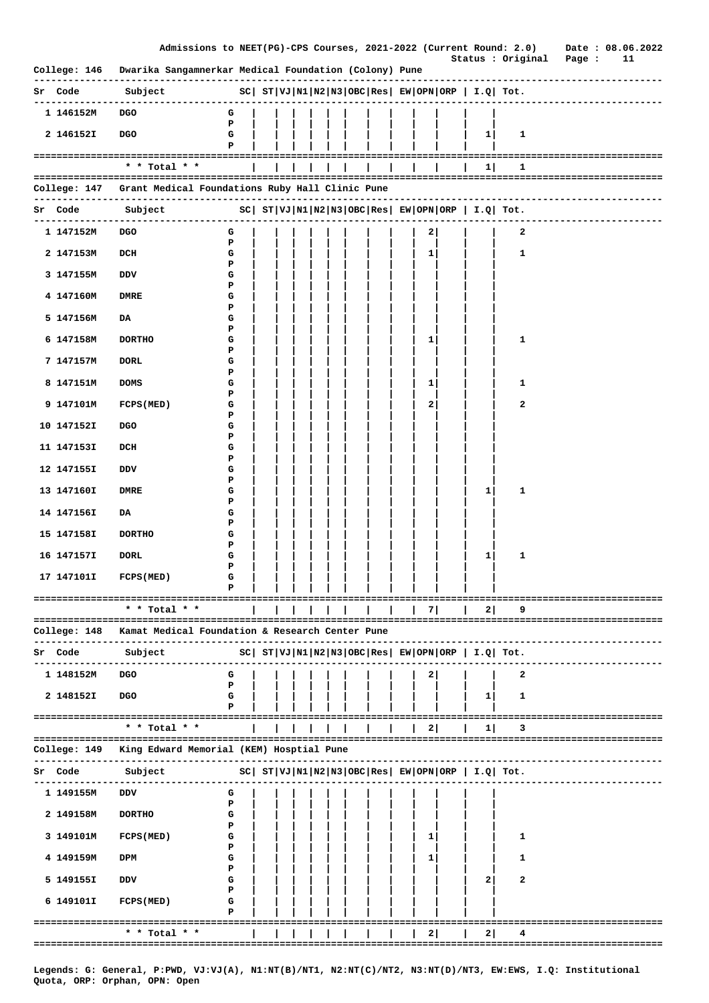|              | Admissions to NEET(PG)-CPS Courses, 2021-2022 (Current Round: 2.0) Date : 08.06.2022                                                                                                                                              |                   |  |  |  |  |   |                                                         |   | Status : Original                     | Page : | 11 |
|--------------|-----------------------------------------------------------------------------------------------------------------------------------------------------------------------------------------------------------------------------------|-------------------|--|--|--|--|---|---------------------------------------------------------|---|---------------------------------------|--------|----|
|              | College: 146 Dwarika Sangamnerkar Medical Foundation (Colony) Pune                                                                                                                                                                |                   |  |  |  |  |   |                                                         |   |                                       |        |    |
| Sr Code      | $\texttt{subject}$ $\texttt{SC} \mid \texttt{ST} \mid \texttt{VJ} \mid \texttt{N1} \mid \texttt{N2} \mid \texttt{N3} \mid \texttt{OBC} \mid \texttt{Res} \mid \texttt{EW} \mid \texttt{ORP} \mid \texttt{I.Q} \mid \texttt{Tot.}$ |                   |  |  |  |  |   |                                                         |   | ------------------------              |        |    |
| 1 146152M    | ---------------<br>DGO                                                                                                                                                                                                            | G                 |  |  |  |  |   |                                                         |   |                                       |        |    |
| 2 146152I    | <b>DGO</b>                                                                                                                                                                                                                        | P<br>G            |  |  |  |  |   | $1 \mid$                                                | 1 |                                       |        |    |
|              |                                                                                                                                                                                                                                   | P                 |  |  |  |  |   |                                                         |   |                                       |        |    |
|              | $*$ * Total * *                                                                                                                                                                                                                   |                   |  |  |  |  |   | 1                                                       | 1 |                                       |        |    |
|              | College: 147 Grant Medical Foundations Ruby Hall Clinic Pune                                                                                                                                                                      |                   |  |  |  |  |   |                                                         |   |                                       |        |    |
| Sr Code      | -----------                                                                                                                                                                                                                       |                   |  |  |  |  |   |                                                         |   | ------------------------------------- |        |    |
| 1 147152M    | <b>DGO</b>                                                                                                                                                                                                                        | G                 |  |  |  |  | 2 |                                                         | 2 | -------------------------             |        |    |
| 2 147153M    | DCH                                                                                                                                                                                                                               | $\mathbf{P}$<br>G |  |  |  |  | 1 |                                                         | 1 |                                       |        |    |
|              |                                                                                                                                                                                                                                   | P                 |  |  |  |  |   |                                                         |   |                                       |        |    |
| 3 147155M    | DDV                                                                                                                                                                                                                               | G<br>P            |  |  |  |  |   |                                                         |   |                                       |        |    |
| 4 147160M    | DMRE                                                                                                                                                                                                                              | G<br>P            |  |  |  |  |   |                                                         |   |                                       |        |    |
| 5 147156M    | DA                                                                                                                                                                                                                                | G<br>P            |  |  |  |  |   |                                                         |   |                                       |        |    |
| 6 147158M    | <b>DORTHO</b>                                                                                                                                                                                                                     | G                 |  |  |  |  | 1 |                                                         | 1 |                                       |        |    |
| 7 147157M    | <b>DORL</b>                                                                                                                                                                                                                       | P<br>G            |  |  |  |  |   |                                                         |   |                                       |        |    |
| 8 147151M    | <b>DOMS</b>                                                                                                                                                                                                                       | P<br>G            |  |  |  |  | 1 |                                                         | 1 |                                       |        |    |
| 9 147101M    | FCPS (MED)                                                                                                                                                                                                                        | P<br>G            |  |  |  |  | 2 |                                                         | 2 |                                       |        |    |
| 10 147152I   | <b>DGO</b>                                                                                                                                                                                                                        | P<br>G            |  |  |  |  |   |                                                         |   |                                       |        |    |
|              |                                                                                                                                                                                                                                   | P                 |  |  |  |  |   |                                                         |   |                                       |        |    |
| 11 147153I   | DCH                                                                                                                                                                                                                               | G<br>P            |  |  |  |  |   |                                                         |   |                                       |        |    |
| 12 147155I   | DDV                                                                                                                                                                                                                               | G<br>Р            |  |  |  |  |   |                                                         |   |                                       |        |    |
| 13 147160I   | DMRE                                                                                                                                                                                                                              | G<br>P            |  |  |  |  |   | 1                                                       | 1 |                                       |        |    |
| 14 147156I   | DA                                                                                                                                                                                                                                | G                 |  |  |  |  |   |                                                         |   |                                       |        |    |
| 15 147158I   | <b>DORTHO</b>                                                                                                                                                                                                                     | P<br>G            |  |  |  |  |   |                                                         |   |                                       |        |    |
| 16 147157I   | <b>DORL</b>                                                                                                                                                                                                                       | P<br>G            |  |  |  |  |   | 1                                                       | 1 |                                       |        |    |
| 17 147101I   | FCPS (MED)                                                                                                                                                                                                                        | P<br>G            |  |  |  |  |   |                                                         |   |                                       |        |    |
|              |                                                                                                                                                                                                                                   |                   |  |  |  |  |   |                                                         |   | -------------------------             |        |    |
|              | * * Total * *                                                                                                                                                                                                                     |                   |  |  |  |  | 7 | $\mathbf{2}$                                            | 9 |                                       |        |    |
| College: 148 | Kamat Medical Foundation & Research Center Pune                                                                                                                                                                                   |                   |  |  |  |  |   |                                                         |   |                                       |        |    |
| Sr Code      | Subject                                                                                                                                                                                                                           |                   |  |  |  |  |   | $ SC $ $ST VJ N1 N2 N3 OBC Res  EW OPN ORP   I.Q  Tot.$ |   |                                       |        |    |
| 1 148152M    | <b>DGO</b>                                                                                                                                                                                                                        | G                 |  |  |  |  | 2 |                                                         | 2 |                                       |        |    |
|              |                                                                                                                                                                                                                                   | P                 |  |  |  |  |   |                                                         |   |                                       |        |    |
| 2 148152I    | <b>DGO</b>                                                                                                                                                                                                                        | G<br>Р            |  |  |  |  |   | 1                                                       | 1 |                                       |        |    |
|              | ================================<br>* * Total * *                                                                                                                                                                                 |                   |  |  |  |  | 2 | 1                                                       | 3 |                                       |        |    |
| College: 149 | ======================================<br>King Edward Memorial (KEM) Hosptial Pune                                                                                                                                                |                   |  |  |  |  |   |                                                         |   | ------------------------------------- |        |    |
| Sr Code      | Subject                                                                                                                                                                                                                           |                   |  |  |  |  |   | $ SC $ $ST VJ N1 N2 N3 OBC Res  EW OPN ORP   I.Q  Tot.$ |   |                                       |        |    |
|              |                                                                                                                                                                                                                                   |                   |  |  |  |  |   |                                                         |   |                                       |        |    |
| 1 149155M    | DDV                                                                                                                                                                                                                               | G<br>P            |  |  |  |  |   |                                                         |   |                                       |        |    |
| 2 149158M    | <b>DORTHO</b>                                                                                                                                                                                                                     | G<br>Р            |  |  |  |  |   |                                                         |   |                                       |        |    |
| 3 149101M    | FCPS (MED)                                                                                                                                                                                                                        | G<br>P            |  |  |  |  | 1 |                                                         | 1 |                                       |        |    |
| 4 149159M    | <b>DPM</b>                                                                                                                                                                                                                        | G                 |  |  |  |  | 1 |                                                         | 1 |                                       |        |    |
| 5 149155I    | DDV                                                                                                                                                                                                                               | P<br>G            |  |  |  |  |   | 2                                                       | 2 |                                       |        |    |
| 6 149101I    | FCPS (MED)                                                                                                                                                                                                                        | P<br>G            |  |  |  |  |   |                                                         |   |                                       |        |    |
|              | ==============<br>===========                                                                                                                                                                                                     | Р                 |  |  |  |  |   |                                                         |   |                                       |        |    |
|              | * * Total *                                                                                                                                                                                                                       |                   |  |  |  |  | 2 | $\mathbf{2}$                                            |   |                                       |        |    |
|              |                                                                                                                                                                                                                                   |                   |  |  |  |  |   |                                                         |   |                                       |        |    |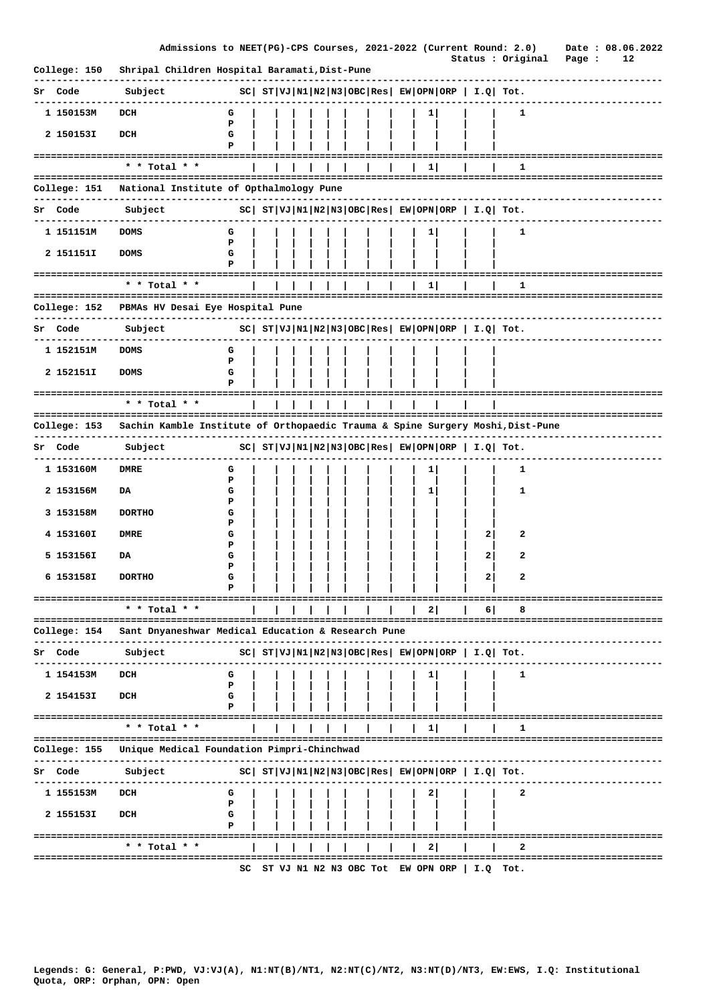|                | Admissions to NEET(PG)-CPS Courses, 2021-2022 (Current Round: 2.0)             |        |  |  |  |  |              |                                                                | Status : Original               | Page : | Date: 08.06.2022<br>12 |
|----------------|--------------------------------------------------------------------------------|--------|--|--|--|--|--------------|----------------------------------------------------------------|---------------------------------|--------|------------------------|
| College: 150   | Shripal Children Hospital Baramati, Dist-Pune                                  |        |  |  |  |  |              |                                                                |                                 |        |                        |
| Sr Code        | Subject                                                                        |        |  |  |  |  |              | $ SC $ $ST VJ N1 N2 N3 OBC Res EW OPN ORP  I.Q  Tot.$          |                                 |        |                        |
| 1 150153M      | DCH                                                                            | G      |  |  |  |  | $1 \vert$    |                                                                | 1                               |        |                        |
| 2 150153I      | DCH                                                                            | P<br>G |  |  |  |  |              |                                                                |                                 |        |                        |
|                |                                                                                | P      |  |  |  |  |              |                                                                |                                 |        |                        |
|                | * * Total * *                                                                  |        |  |  |  |  | $1 \vert$    |                                                                | 1                               |        |                        |
| .              | College: 151    National Institute of Opthalmology Pune<br>-----------         |        |  |  |  |  |              |                                                                | ------------------------------- |        |                        |
| <b>Sr Code</b> | Subject                                                                        |        |  |  |  |  |              | $ SC $ $ST VJ N1 N2 N3 OBC Res $ $EW OPN ORP$   $I.Q$ Tot.     |                                 |        |                        |
| 1 151151M      | <b>DOMS</b>                                                                    | G      |  |  |  |  | 1            |                                                                | 1                               |        |                        |
| 2 151151I      | <b>DOMS</b>                                                                    | P<br>G |  |  |  |  |              |                                                                |                                 |        |                        |
|                |                                                                                | P      |  |  |  |  |              |                                                                |                                 |        |                        |
|                | * * Total * *                                                                  |        |  |  |  |  | $\mathbf{1}$ |                                                                | 1                               |        |                        |
|                | College: 152 - PBMAs HV Desai Eye Hospital Pune                                |        |  |  |  |  |              |                                                                |                                 |        |                        |
| Sr Code        | Subject                                                                        |        |  |  |  |  |              | $ SC $ $ST VJ N1 N2 N3 OBC Res EW OPN ORP I.Q Tot.$            |                                 |        |                        |
| 1 152151M      | <b>DOMS</b>                                                                    | G      |  |  |  |  |              |                                                                |                                 |        |                        |
| 2 152151I      | <b>DOMS</b>                                                                    | P<br>G |  |  |  |  |              |                                                                |                                 |        |                        |
|                | ====================================                                           | P      |  |  |  |  |              |                                                                |                                 |        |                        |
|                | * * Total * *                                                                  |        |  |  |  |  |              |                                                                |                                 |        |                        |
| College: 153   | Sachin Kamble Institute of Orthopaedic Trauma & Spine Surgery Moshi, Dist-Pune |        |  |  |  |  |              |                                                                |                                 |        |                        |
|                |                                                                                |        |  |  |  |  |              |                                                                |                                 |        |                        |
| Sr Code        | Subject                                                                        |        |  |  |  |  |              | $ SC $ $ST VJ N1 N2 N3 OBC Res $ $EW OPN ORP$   $I.Q$   $Tot.$ |                                 |        |                        |
| 1 153160M      | DMRE                                                                           | G<br>P |  |  |  |  | 1            |                                                                | 1                               |        |                        |
| 2 153156M      | DA                                                                             | G<br>Р |  |  |  |  | 1            |                                                                | 1                               |        |                        |
| 3 153158M      | <b>DORTHO</b>                                                                  | G      |  |  |  |  |              |                                                                |                                 |        |                        |
| 4 153160I      | <b>DMRE</b>                                                                    | Р<br>G |  |  |  |  |              | $\mathbf{2}$                                                   | 2                               |        |                        |
| 5 1531561      | DA                                                                             | Р<br>G |  |  |  |  |              | $\mathbf{2}$                                                   | 2                               |        |                        |
| 6 153158I      | <b>DORTHO</b>                                                                  | Р<br>G |  |  |  |  |              | $\mathbf{2}$                                                   | 2                               |        |                        |
|                |                                                                                |        |  |  |  |  |              |                                                                |                                 |        |                        |
|                | * * Total * *                                                                  |        |  |  |  |  | 21           | 6                                                              |                                 |        |                        |
| College: 154   | Sant Dnyaneshwar Medical Education & Research Pune                             |        |  |  |  |  |              |                                                                |                                 |        |                        |
| Code<br>Sr     | Subject                                                                        |        |  |  |  |  |              | $ SC $ $ST VJ N1 N2 N3 OBC Res  EW OPN ORP   I.Q  Tot.$        |                                 |        |                        |
|                |                                                                                |        |  |  |  |  |              |                                                                |                                 |        |                        |
| 1 154153M      | DCH                                                                            | G<br>P |  |  |  |  |              |                                                                | 1                               |        |                        |
| 2 154153I      | DCH                                                                            | G      |  |  |  |  |              |                                                                |                                 |        |                        |
|                | ------------------------------------<br>* * Total * *                          |        |  |  |  |  | $1\vert$     |                                                                | 1                               |        |                        |
|                | ================================                                               |        |  |  |  |  |              |                                                                | =============================== |        |                        |
| College: 155   | Unique Medical Foundation Pimpri-Chinchwad                                     |        |  |  |  |  |              |                                                                |                                 |        |                        |
| Sr Code        | Subject                                                                        |        |  |  |  |  |              | $ SC $ $ST VJ N1 N2 N3 OBC Res $ $EW OPN ORP$   $I.Q$ Tot.     |                                 |        |                        |
| 1 155153M      | DCH                                                                            | G<br>Р |  |  |  |  | 2            |                                                                | 2                               |        |                        |
| 2 155153I      | DCH                                                                            | G      |  |  |  |  |              |                                                                |                                 |        |                        |
|                | =========================                                                      | Р      |  |  |  |  |              |                                                                |                                 |        |                        |
|                | * * Total * *<br>====================                                          |        |  |  |  |  | $\mathbf{2}$ |                                                                | ============                    |        |                        |
|                |                                                                                | SC     |  |  |  |  |              | ST VJ N1 N2 N3 OBC Tot EW OPN ORP $ $ I.Q Tot.                 |                                 |        |                        |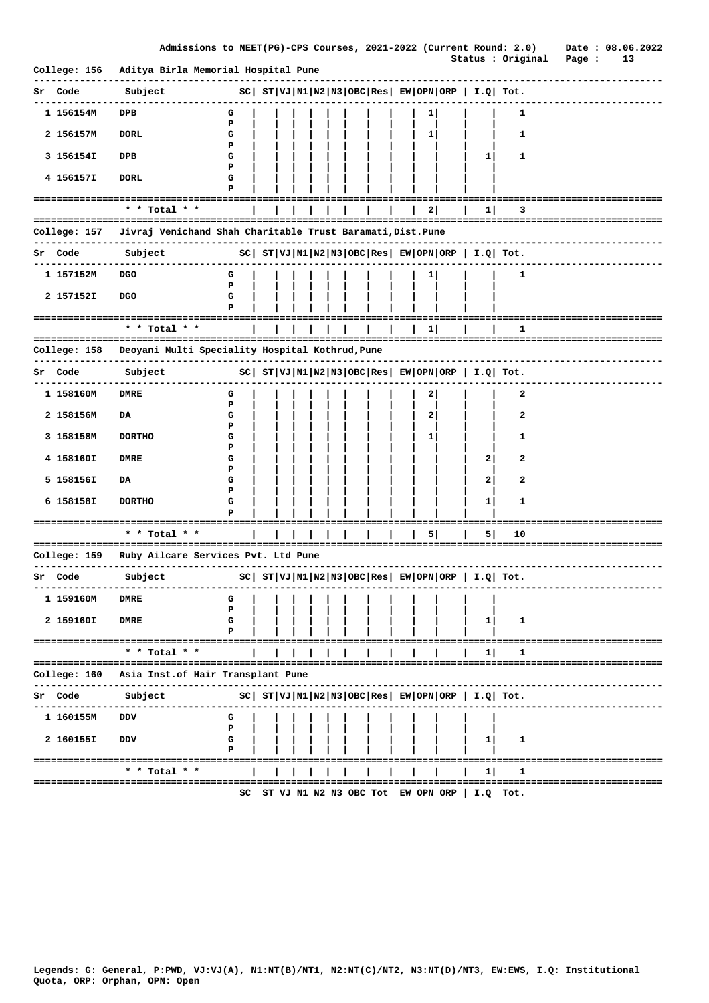|              | Admissions to NEET(PG)-CPS Courses, 2021-2022 (Current Round: 2.0)       |                                                       |  |  |                       |  |              |                                                       |                                                             | Date: 08.06.2022                  |    |
|--------------|--------------------------------------------------------------------------|-------------------------------------------------------|--|--|-----------------------|--|--------------|-------------------------------------------------------|-------------------------------------------------------------|-----------------------------------|----|
| College: 156 | Aditya Birla Memorial Hospital Pune<br>--------------                    |                                                       |  |  |                       |  |              |                                                       |                                                             | Status : Original Page :          | 13 |
| Sr Code      | Subject<br>----------                                                    | $ SC $ $ST VJ N1 N2 N3 OBC Res EW OPN ORP  I.Q  Tot.$ |  |  |                       |  |              |                                                       |                                                             |                                   |    |
| 1 156154M    | <b>DPB</b>                                                               | G                                                     |  |  |                       |  | $1 \vert$    |                                                       | 1                                                           |                                   |    |
| 2 156157M    | <b>DORL</b>                                                              | Р<br>G                                                |  |  |                       |  | 1            |                                                       | 1                                                           |                                   |    |
| 3 156154I    | DPB                                                                      | P<br>G                                                |  |  |                       |  |              | 1                                                     | 1                                                           |                                   |    |
| 4 156157I    | <b>DORL</b>                                                              | P<br>G                                                |  |  |                       |  |              |                                                       |                                                             |                                   |    |
|              | =================================                                        | P                                                     |  |  |                       |  |              |                                                       |                                                             |                                   |    |
|              | * * Total * *                                                            |                                                       |  |  |                       |  | 2            | $1 \mid$                                              | 3                                                           |                                   |    |
|              | College: 157 Jivraj Venichand Shah Charitable Trust Baramati, Dist. Pune |                                                       |  |  |                       |  |              |                                                       |                                                             |                                   |    |
| Sr Code      | Subject                                                                  | $ SC $ $ST VJ N1 N2 N3 OBC Res EW OPN ORP  I.Q  Tot.$ |  |  |                       |  |              |                                                       |                                                             |                                   |    |
| 1 157152M    | <b>DGO</b>                                                               | G                                                     |  |  |                       |  | 11           |                                                       | $\mathbf{1}$                                                |                                   |    |
| 2 157152I    | <b>DGO</b>                                                               | Р<br>G                                                |  |  |                       |  |              |                                                       |                                                             |                                   |    |
|              |                                                                          | P                                                     |  |  |                       |  |              |                                                       |                                                             |                                   |    |
|              | =====================================<br>* * Total * *                   |                                                       |  |  |                       |  | 1            |                                                       | 1                                                           |                                   |    |
|              | College: 158 Deoyani Multi Speciality Hospital Kothrud, Pune             |                                                       |  |  |                       |  |              |                                                       |                                                             |                                   |    |
| Sr Code      | Subject                                                                  |                                                       |  |  |                       |  |              |                                                       | $SC  ST VJ N1 N2 N3 OBC Res  EW OPN ORP   I.Q  Tot.$        | ------------------------------    |    |
| 1 158160M    | DMRE                                                                     | G                                                     |  |  |                       |  | $\mathbf{2}$ |                                                       | 2                                                           |                                   |    |
| 2 158156M    | DA                                                                       | P<br>G                                                |  |  |                       |  | 2            |                                                       | 2                                                           |                                   |    |
| 3 158158M    | <b>DORTHO</b>                                                            | Р<br>G                                                |  |  |                       |  | 1            |                                                       | 1                                                           |                                   |    |
|              |                                                                          | Р                                                     |  |  |                       |  |              |                                                       |                                                             |                                   |    |
| 4 158160I    | DMRE                                                                     | G<br>Р                                                |  |  |                       |  |              | 2                                                     | 2                                                           |                                   |    |
| 5 158156I    | DA                                                                       | G<br>Р                                                |  |  |                       |  |              | 2                                                     | 2                                                           |                                   |    |
| 6 158158I    | <b>DORTHO</b>                                                            | G                                                     |  |  |                       |  |              | 1                                                     | 1                                                           |                                   |    |
|              |                                                                          | Р                                                     |  |  |                       |  |              |                                                       |                                                             |                                   |    |
|              | * * Total * *                                                            |                                                       |  |  |                       |  | 5            | 5                                                     | 10                                                          |                                   |    |
|              | College: 159 Ruby Ailcare Services Pvt. Ltd Pune                         |                                                       |  |  | --------------------- |  |              |                                                       |                                                             |                                   |    |
| Sr Code      | Subject                                                                  |                                                       |  |  |                       |  |              | $ SC $ $ST VJ N1 N2 N3 OBC Res EW OPN ORP  I.Q  Tot.$ |                                                             |                                   |    |
| 1 159160M    | <b>DMRE</b>                                                              | G                                                     |  |  |                       |  |              |                                                       |                                                             |                                   |    |
| 2 159160I    | <b>DMRE</b>                                                              | P<br>G                                                |  |  |                       |  |              | $\mathbf{1}$                                          | 1                                                           |                                   |    |
|              | ------------------------------------                                     |                                                       |  |  |                       |  |              |                                                       |                                                             | ========================          |    |
|              | $*$ * Total * *                                                          |                                                       |  |  |                       |  |              | 1                                                     | ı                                                           |                                   |    |
| College: 160 | Asia Inst.of Hair Transplant Pune                                        |                                                       |  |  |                       |  |              |                                                       |                                                             | =============================     |    |
| Sr Code      | Subject                                                                  |                                                       |  |  |                       |  |              |                                                       | $ SC $ $ST VJ N1 N2 N3 OBC Res $ $EW OPN ORP $ $I.Q$ $Tot.$ |                                   |    |
| 1 160155M    | vסם                                                                      | G                                                     |  |  |                       |  |              |                                                       |                                                             |                                   |    |
| 2 160155I    | DDV                                                                      | Р<br>G                                                |  |  |                       |  |              | 1                                                     | 1                                                           |                                   |    |
|              |                                                                          | Р                                                     |  |  |                       |  |              |                                                       |                                                             |                                   |    |
|              | --------------------------------------<br>* * Total * *                  |                                                       |  |  |                       |  |              | 1                                                     | 1                                                           | ========================          |    |
|              |                                                                          |                                                       |  |  |                       |  |              |                                                       |                                                             | --------------------------------- |    |
|              |                                                                          |                                                       |  |  |                       |  |              | SC ST VJ N1 N2 N3 OBC Tot EW OPN ORP $ $ I.Q Tot.     |                                                             |                                   |    |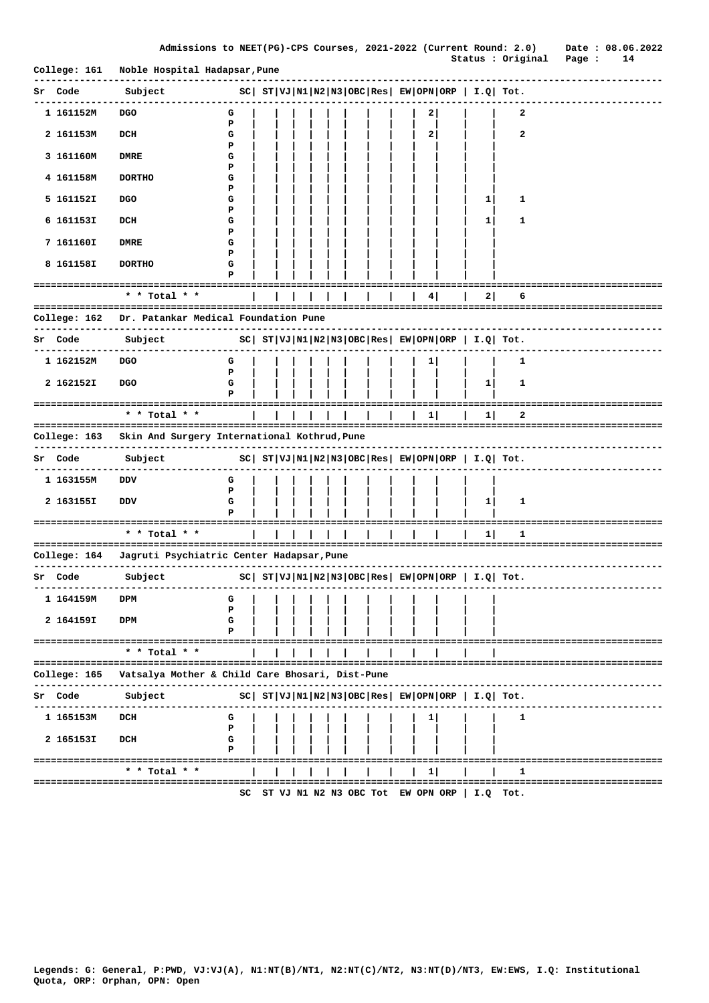| Admissions to NEET(PG)-CPS Courses, 2021-2022 (Current Round: 2.0) |  |  |  |
|--------------------------------------------------------------------|--|--|--|

Date: 08.06.2022 Status : Original Page : 14

| College: 161                   | Noble Hospital Hadapsar, Pune                                           |                                           |  |  |                    |  |   |                |                                                                |                                       |
|--------------------------------|-------------------------------------------------------------------------|-------------------------------------------|--|--|--------------------|--|---|----------------|----------------------------------------------------------------|---------------------------------------|
| Sr Code                        | Subject                                                                 |                                           |  |  |                    |  |   |                | $ SC $ $ST VJ N1 N2 N3 OBC Res $ $EW OPN ORP $ $I.Q$ Tot.      |                                       |
| 1 161152M                      | <b>DGO</b>                                                              | G<br>P                                    |  |  |                    |  | 2 |                | 2                                                              |                                       |
| 2 161153M                      | DCH                                                                     | G<br>Р                                    |  |  |                    |  | 2 |                | 2                                                              |                                       |
| 3 161160M                      | <b>DMRE</b>                                                             | G<br>P                                    |  |  |                    |  |   |                |                                                                |                                       |
| 4 161158M                      | <b>DORTHO</b>                                                           | G<br>P                                    |  |  |                    |  |   |                |                                                                |                                       |
| 5 161152I                      | <b>DGO</b>                                                              | G<br>P                                    |  |  |                    |  |   | 1              | 1                                                              |                                       |
| 6 161153I                      | DCH                                                                     | G<br>Р                                    |  |  |                    |  |   | 1              | 1                                                              |                                       |
| 7 161160I                      | DMRE                                                                    | G<br>P                                    |  |  |                    |  |   |                |                                                                |                                       |
| 8 161158I                      | <b>DORTHO</b>                                                           | G<br>P                                    |  |  |                    |  |   |                |                                                                |                                       |
|                                | =======================<br>* * Total * *                                |                                           |  |  |                    |  | 4 | 2              | 6                                                              |                                       |
| College: 162                   | Dr. Patankar Medical Foundation Pune                                    |                                           |  |  |                    |  |   |                |                                                                |                                       |
| Sr Code                        | Subject                                                                 |                                           |  |  |                    |  |   |                | $ SC $ $ST VJ N1 N2 N3 OBC Res $ $EW OPN ORP$   $I.Q$   $Tot.$ |                                       |
| 1 162152M                      | <b>DGO</b>                                                              | G<br>P                                    |  |  |                    |  | 1 |                | 1                                                              |                                       |
| 2 1621521                      | <b>DGO</b>                                                              | G<br>P                                    |  |  |                    |  |   | 1 <sub>1</sub> | 1                                                              |                                       |
|                                | * * Total * *                                                           |                                           |  |  |                    |  | 1 | 1              | 2                                                              |                                       |
|                                |                                                                         |                                           |  |  | ================== |  |   |                |                                                                |                                       |
|                                |                                                                         |                                           |  |  |                    |  |   |                |                                                                |                                       |
| College: 163<br><b>Sr Code</b> | Skin And Surgery International Kothrud, Pune<br>------------<br>Subject |                                           |  |  |                    |  |   |                |                                                                |                                       |
| 1 163155M                      | DDV                                                                     | G                                         |  |  |                    |  |   |                | $ SC $ $ST VJ N1 N2 N3 OBC Res $ $EW OPN ORP $ $I.Q $ $Tot.$   |                                       |
| 2 163155I                      | DDV                                                                     | P<br>G                                    |  |  |                    |  |   | 1              | 1                                                              |                                       |
| ==========================     |                                                                         | P                                         |  |  |                    |  |   |                |                                                                |                                       |
|                                | * * Total * *                                                           |                                           |  |  |                    |  |   | 1              | 1                                                              |                                       |
| College: 164                   | Jagruti Psychiatric Center Hadapsar, Pune                               |                                           |  |  |                    |  |   |                |                                                                | -----------------------------         |
| Sr Code                        | Subject                                                                 |                                           |  |  |                    |  |   |                | $ SC $ $ST VJ N1 N2 N3 OBC Res EW OPN ORP  I.Q  Tot.$          | ------------------------              |
| 1 164159M DPM                  |                                                                         | <b>G</b>                            <br>P |  |  |                    |  |   |                |                                                                |                                       |
| 2 164159I                      | DPM                                                                     | G<br>P                                    |  |  |                    |  |   |                |                                                                |                                       |
|                                | ======================================<br>* * Total * *                 |                                           |  |  |                    |  |   |                |                                                                |                                       |
| College: 165                   | Vatsalya Mother & Child Care Bhosari, Dist-Pune                         |                                           |  |  |                    |  |   |                |                                                                | -------------------------------       |
| Sr Code                        | Subject                                                                 |                                           |  |  |                    |  |   |                | $ SC $ $ST VJ N1 N2 N3 OBC Res EW OPN ORP  I.Q  Tot.$          |                                       |
| 1 165153M                      | DCH                                                                     | G                                         |  |  |                    |  | 1 |                | 1                                                              |                                       |
| 2 165153I                      | DCH                                                                     | P<br>G                                    |  |  |                    |  |   |                |                                                                |                                       |
|                                | ====================================<br>* * Total * *                   | P                                         |  |  |                    |  | 1 |                | 1                                                              | ------------------------------------- |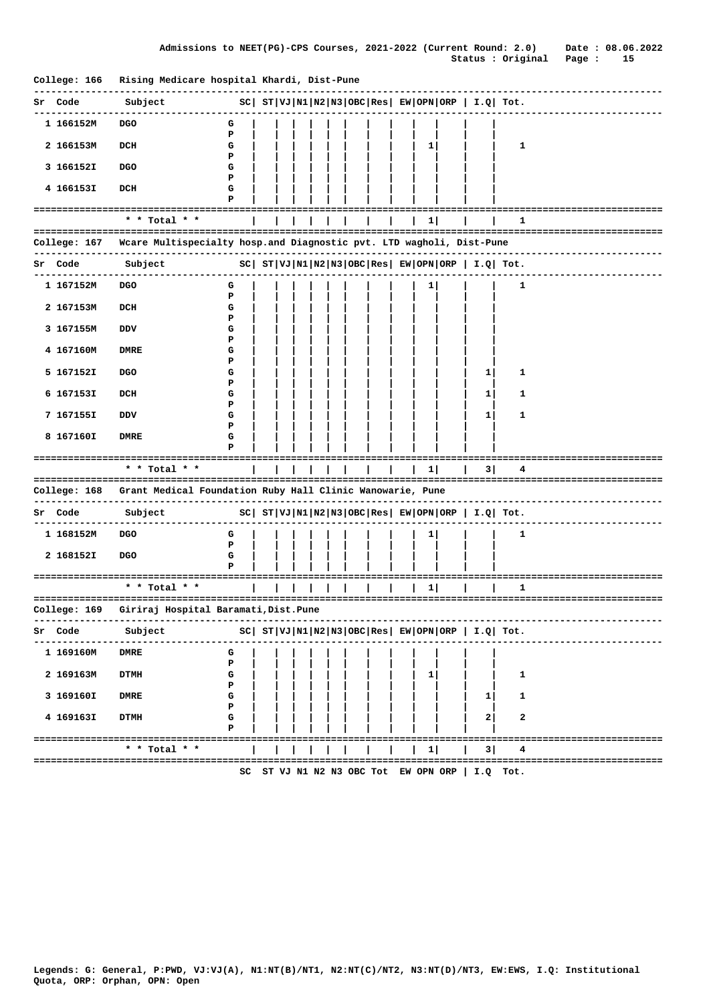| College: 166 | Rising Medicare hospital Khardi, Dist-Pune                           |                                                              |  |  |  |  |              |                                                 |                                                              |  |
|--------------|----------------------------------------------------------------------|--------------------------------------------------------------|--|--|--|--|--------------|-------------------------------------------------|--------------------------------------------------------------|--|
| Code<br>sr   | Subject                                                              |                                                              |  |  |  |  |              |                                                 | $ SC $ $ST VJ N1 N2 N3 OBC Res  EW OPN ORP   I.Q  Tot.$      |  |
| 1 166152M    | <b>DGO</b>                                                           | G<br>Р                                                       |  |  |  |  |              |                                                 |                                                              |  |
| 2 166153M    | DCH                                                                  | G<br>Р                                                       |  |  |  |  | 1            |                                                 | 1                                                            |  |
| 3 166152I    | <b>DGO</b>                                                           | G<br>Р                                                       |  |  |  |  |              |                                                 |                                                              |  |
| 4 166153I    | DCH                                                                  | G<br>P                                                       |  |  |  |  |              |                                                 |                                                              |  |
|              | ====================                                                 |                                                              |  |  |  |  |              |                                                 |                                                              |  |
|              | * * Total * *                                                        |                                                              |  |  |  |  | $\mathbf{1}$ |                                                 | 1                                                            |  |
| College: 167 | Wcare Multispecialty hosp.and Diagnostic pvt. LTD wagholi, Dist-Pune |                                                              |  |  |  |  |              |                                                 |                                                              |  |
| Sr Code      | Subject                                                              |                                                              |  |  |  |  |              |                                                 | $ SC $ $ST VJ N1 N2 N3 OBC Res $ $EW OPN ORP $ $I.Q $ $Tot.$ |  |
| 1 167152M    | <b>DGO</b>                                                           | G<br>Р                                                       |  |  |  |  |              |                                                 | 1                                                            |  |
| 2 167153M    | DCH                                                                  | G<br>Р                                                       |  |  |  |  |              |                                                 |                                                              |  |
| 3 167155M    | DDV                                                                  | G<br>Р                                                       |  |  |  |  |              |                                                 |                                                              |  |
| 4 167160M    | <b>DMRE</b>                                                          | G<br>Р                                                       |  |  |  |  |              |                                                 |                                                              |  |
| 5 167152I    | <b>DGO</b>                                                           | G<br>Р                                                       |  |  |  |  |              | 1                                               | 1                                                            |  |
| 6 167153I    | DCH                                                                  | G<br>Р                                                       |  |  |  |  |              | 1                                               | 1                                                            |  |
| 7 167155I    | DDV                                                                  | G<br>Р                                                       |  |  |  |  |              | 1                                               | 1                                                            |  |
| 8 167160I    | <b>DMRE</b>                                                          | G<br>Р                                                       |  |  |  |  |              |                                                 |                                                              |  |
|              | * * Total * *                                                        |                                                              |  |  |  |  | $1 \vert$    | 3                                               | 4                                                            |  |
|              |                                                                      |                                                              |  |  |  |  |              |                                                 |                                                              |  |
| College: 168 | Grant Medical Foundation Ruby Hall Clinic Wanowarie, Pune            |                                                              |  |  |  |  |              |                                                 |                                                              |  |
| Sr Code      | Subject                                                              |                                                              |  |  |  |  |              |                                                 | $ SC $ $ST VJ N1 N2 N3 OBC Res $ $EW OPN ORP$   $I.Q$ Tot.   |  |
| 1 168152M    | <b>DGO</b>                                                           | G<br>Р                                                       |  |  |  |  | 1            |                                                 | 1                                                            |  |
| 2 168152I    | <b>DGO</b>                                                           | G<br>P                                                       |  |  |  |  |              |                                                 |                                                              |  |
|              |                                                                      |                                                              |  |  |  |  |              |                                                 |                                                              |  |
|              | * * Total * *                                                        |                                                              |  |  |  |  | $\mathbf{1}$ |                                                 | 1                                                            |  |
|              | College: 169 Giriraj Hospital Baramati, Dist. Pune                   |                                                              |  |  |  |  |              |                                                 |                                                              |  |
| Code<br>Sr   | Subject                                                              | $ SC $ $ST VJ N1 N2 N3 OBC Res $ $EW OPN ORP $ $I.Q $ $Tot.$ |  |  |  |  |              |                                                 |                                                              |  |
| 1 169160M    | <b>DMRE</b>                                                          | G<br>Р                                                       |  |  |  |  |              |                                                 |                                                              |  |
| 2 169163M    | <b>DTMH</b>                                                          | G<br>Р                                                       |  |  |  |  | 1            |                                                 | 1                                                            |  |
| 3 169160I    | <b>DMRE</b>                                                          | G<br>Р                                                       |  |  |  |  |              | 1                                               | 1                                                            |  |
| 4 169163I    | <b>DTMH</b>                                                          | G<br>Р                                                       |  |  |  |  |              | 2                                               | 2                                                            |  |
|              |                                                                      |                                                              |  |  |  |  |              |                                                 |                                                              |  |
|              | * * Total * *                                                        |                                                              |  |  |  |  | 1            | 3                                               | 4                                                            |  |
|              |                                                                      |                                                              |  |  |  |  |              | SC ST VJ N1 N2 N3 OBC Tot EW OPN ORP   I.Q Tot. |                                                              |  |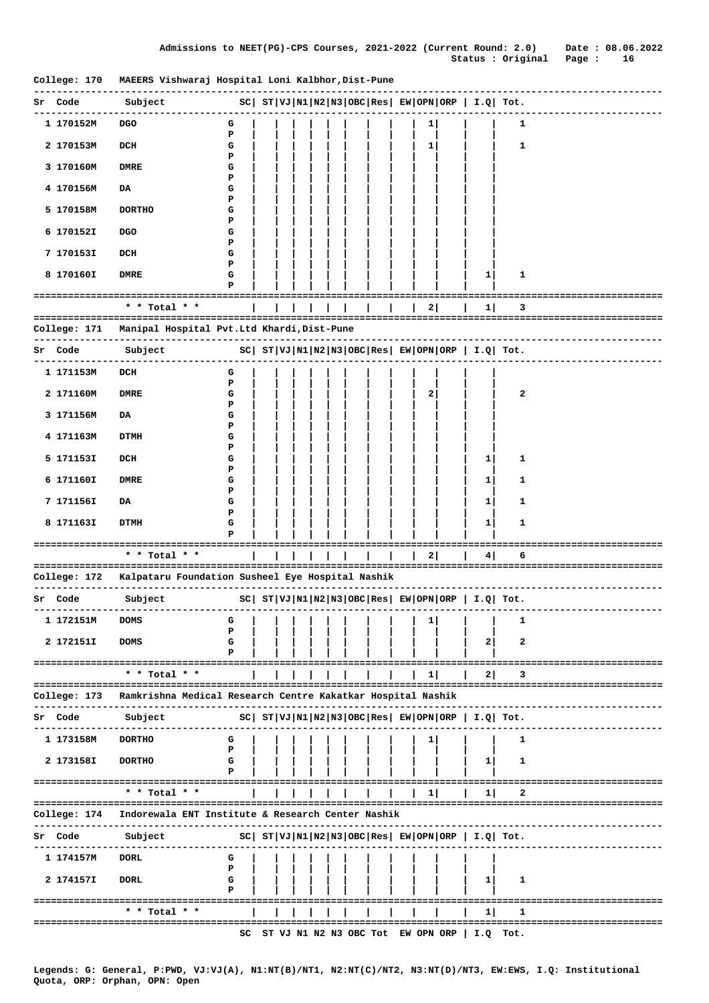| College: 170 | MAEERS Vishwaraj Hospital Loni Kalbhor,Dist-Pune              |        |  |  |  |                                      |    |                                                        |                                                       |                                  |
|--------------|---------------------------------------------------------------|--------|--|--|--|--------------------------------------|----|--------------------------------------------------------|-------------------------------------------------------|----------------------------------|
| Sr Code      | Subject                                                       |        |  |  |  |                                      |    |                                                        | $ SC $ $ST VJ N1 N2 N3 OBC Res EW OPN ORP I.Q Tot.$   |                                  |
| 1 170152M    | <b>DGO</b>                                                    | G      |  |  |  |                                      | 1  |                                                        | 1                                                     |                                  |
| 2 170153M    | DCH                                                           | P<br>G |  |  |  |                                      | 1  |                                                        | $\mathbf{1}$                                          |                                  |
| 3 170160M    | <b>DMRE</b>                                                   | Р<br>G |  |  |  |                                      |    |                                                        |                                                       |                                  |
| 4 170156M    | DA                                                            | Р<br>G |  |  |  |                                      |    |                                                        |                                                       |                                  |
| 5 170158M    | <b>DORTHO</b>                                                 | Р<br>G |  |  |  |                                      |    |                                                        |                                                       |                                  |
| 6 170152I    | <b>DGO</b>                                                    | Р<br>G |  |  |  |                                      |    |                                                        |                                                       |                                  |
|              |                                                               | Р      |  |  |  |                                      |    |                                                        |                                                       |                                  |
| 7 170153I    | DCH                                                           | G<br>Р |  |  |  |                                      |    |                                                        |                                                       |                                  |
| 8 170160I    | DMRE                                                          | G<br>P |  |  |  |                                      |    | 1                                                      | 1                                                     |                                  |
|              |                                                               |        |  |  |  |                                      |    |                                                        |                                                       |                                  |
|              | * * Total * *                                                 |        |  |  |  |                                      | 2  | 11                                                     | з                                                     |                                  |
| College: 171 | Manipal Hospital Pvt.Ltd Khardi, Dist-Pune                    |        |  |  |  |                                      |    |                                                        |                                                       |                                  |
| Code<br>Sr   | Subject                                                       |        |  |  |  |                                      |    |                                                        | $ SC $ $ST VJ N1 N2 N3 OBC Res EW OPN ORP  I.Q  Tot.$ |                                  |
| 1 171153M    | DCH                                                           | G      |  |  |  |                                      |    |                                                        |                                                       |                                  |
| 2 171160M    | DMRE                                                          | Р<br>G |  |  |  |                                      | 2  |                                                        | 2                                                     |                                  |
| 3 171156M    | DA                                                            | Р<br>G |  |  |  |                                      |    |                                                        |                                                       |                                  |
| 4 171163M    | DTMH                                                          | Р<br>G |  |  |  |                                      |    |                                                        |                                                       |                                  |
| 5 171153I    | DCH                                                           | Р<br>G |  |  |  |                                      |    | 1                                                      | 1                                                     |                                  |
| 6 171160I    | <b>DMRE</b>                                                   | Р<br>G |  |  |  |                                      |    | 1                                                      | 1                                                     |                                  |
| 7 171156I    | DA                                                            | Р<br>G |  |  |  |                                      |    | 1                                                      | 1                                                     |                                  |
|              |                                                               | Р      |  |  |  |                                      |    |                                                        |                                                       |                                  |
| 8 171163I    | <b>DTMH</b>                                                   | G      |  |  |  |                                      |    | 1                                                      | 1                                                     |                                  |
|              | ======================================<br>* * Total * *       |        |  |  |  |                                      | 2  | 4                                                      | 6                                                     |                                  |
|              |                                                               |        |  |  |  |                                      |    |                                                        |                                                       |                                  |
|              | College: 172 Kalpataru Foundation Susheel Eye Hospital Nashik |        |  |  |  |                                      |    |                                                        |                                                       |                                  |
| Sr Code      | Subject                                                       |        |  |  |  |                                      |    |                                                        | $ SC $ $ST VJ N1 N2 N3 OBC Res EW OPN ORP I.Q Tot.$   |                                  |
| 1 172151M    | <b>DOMS</b>                                                   | G      |  |  |  |                                      | 1  |                                                        | 1                                                     |                                  |
| 2 172151I    | <b>DOMS</b>                                                   | Р<br>G |  |  |  |                                      |    | 2                                                      | 2                                                     |                                  |
|              | =======================                                       | Р      |  |  |  |                                      |    |                                                        |                                                       |                                  |
|              | * * Total * *                                                 |        |  |  |  |                                      | 1  | 2                                                      |                                                       |                                  |
| College: 173 | Ramkrishna Medical Research Centre Kakatkar Hospital Nashik   |        |  |  |  |                                      |    |                                                        |                                                       |                                  |
| Sr Code      | Subject                                                       |        |  |  |  |                                      |    | $ SC $ $ST VJ N1 N2 N3 OBC Res EW OPN ORP   I.Q  Tot.$ |                                                       |                                  |
| 1 173158M    | <b>DORTHO</b>                                                 | G      |  |  |  |                                      | Τ. |                                                        | 1                                                     |                                  |
| 2 173158I    | <b>DORTHO</b>                                                 | P<br>G |  |  |  |                                      |    | $1 \vert$                                              | 1                                                     |                                  |
|              |                                                               | P      |  |  |  |                                      |    |                                                        |                                                       | -----------------------------    |
|              | $*$ * Total * *                                               |        |  |  |  |                                      | 1  | 1                                                      | 2                                                     |                                  |
| College: 174 | Indorewala ENT Institute & Research Center Nashik             |        |  |  |  |                                      |    |                                                        |                                                       | ================================ |
| Sr Code      | Subject                                                       |        |  |  |  |                                      |    | $ SC $ $ST VJ N1 N2 N3 OBC Res EW OPN ORP  I.Q  Tot.$  |                                                       |                                  |
|              |                                                               |        |  |  |  |                                      |    |                                                        |                                                       |                                  |
| 1 174157M    | <b>DORL</b>                                                   | G<br>P |  |  |  |                                      |    |                                                        |                                                       |                                  |
| 2 174157I    | DORL                                                          | G<br>P |  |  |  |                                      |    | 1.                                                     | 1                                                     |                                  |
|              | * * Total * *                                                 |        |  |  |  |                                      |    | 1                                                      | 1                                                     |                                  |
|              |                                                               |        |  |  |  |                                      |    |                                                        |                                                       |                                  |
|              |                                                               |        |  |  |  | SC ST VJ N1 N2 N3 OBC Tot EW OPN ORP |    |                                                        | $I.Q$ Tot.                                            |                                  |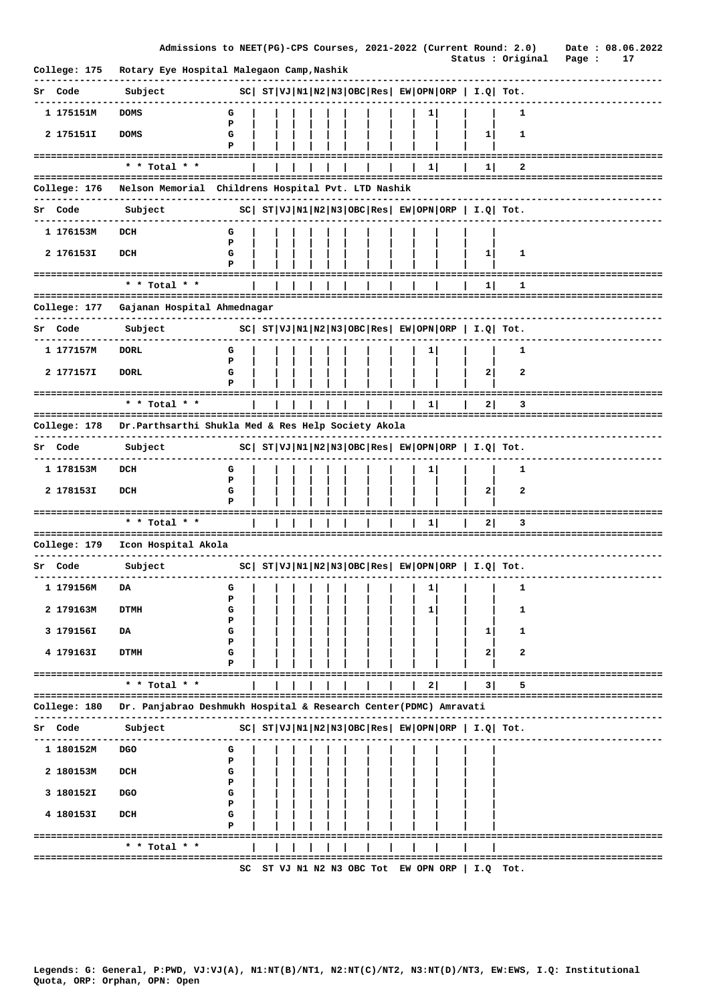|                    | Admissions to NEET(PG)-CPS Courses, 2021-2022 (Current Round: 2.0)            |        |  |  |  |  |              |             |                                                            | Status : Original | Date: 08.06.2022<br>17<br>Page : |
|--------------------|-------------------------------------------------------------------------------|--------|--|--|--|--|--------------|-------------|------------------------------------------------------------|-------------------|----------------------------------|
| College: 175       | Rotary Eye Hospital Malegaon Camp, Nashik                                     |        |  |  |  |  |              |             |                                                            |                   |                                  |
| Sr Code            | Subject                                                                       |        |  |  |  |  |              |             | $ SC $ $ST VJ N1 N2 N3 OBC Res $ $EW OPN ORP$   $I.Q$ Tot. |                   |                                  |
| 1 175151M          | <b>DOMS</b>                                                                   | G      |  |  |  |  | 1            |             |                                                            | 1                 |                                  |
| 2 175151I          | <b>DOMS</b>                                                                   | P<br>G |  |  |  |  |              |             | 1                                                          | 1                 |                                  |
|                    |                                                                               | P      |  |  |  |  |              |             |                                                            |                   |                                  |
|                    | =====================<br>* * Total * *                                        |        |  |  |  |  | 11           |             | 11                                                         | 2                 |                                  |
|                    |                                                                               |        |  |  |  |  |              |             |                                                            |                   |                                  |
| College: 176       | Nelson Memorial Childrens Hospital Pvt. LTD Nashik                            |        |  |  |  |  |              |             |                                                            |                   |                                  |
| Sr Code            | Subject                                                                       |        |  |  |  |  |              |             | $ SC $ $ST VJ N1 N2 N3 OBC Res  EW OPN ORP   I.Q  Tot.$    |                   |                                  |
| 1 176153M          | DCH                                                                           | G      |  |  |  |  |              |             |                                                            |                   |                                  |
| 2 176153I          | DCH                                                                           | P<br>G |  |  |  |  |              |             | $1 \mid$                                                   | 1                 |                                  |
|                    |                                                                               | Р      |  |  |  |  |              |             |                                                            |                   |                                  |
| ================== | ------------------------------------<br>* * Total * *                         |        |  |  |  |  |              |             | 1                                                          | 1                 |                                  |
| College: 177       | Gajanan Hospital Ahmednagar                                                   |        |  |  |  |  |              |             |                                                            |                   |                                  |
| Sr Code            | Subject                                                                       |        |  |  |  |  |              |             | $ SC $ $ST VJ N1 N2 N3 OBC Res EW OPN ORP  I.Q  Tot.$      |                   |                                  |
| 1 177157M          | DORL                                                                          | G      |  |  |  |  | 1            |             |                                                            | 1                 |                                  |
|                    |                                                                               | P      |  |  |  |  |              |             |                                                            |                   |                                  |
| 2 177157I          | <b>DORL</b>                                                                   | G<br>P |  |  |  |  |              |             | $\mathbf{2}$                                               | 2                 |                                  |
|                    | * * Total * *                                                                 |        |  |  |  |  | $\mathbf{1}$ |             | 2                                                          | 3                 |                                  |
|                    |                                                                               |        |  |  |  |  |              |             |                                                            |                   |                                  |
| College: 178       | Dr. Parthsarthi Shukla Med & Res Help Society Akola                           |        |  |  |  |  |              |             |                                                            |                   |                                  |
| Sr Code            | Subject                                                                       |        |  |  |  |  |              |             | $ SC $ $ST VJ N1 N2 N3 OBC Res EW OPN ORP I.Q Tot.$        |                   |                                  |
| 1 178153M          | DCH                                                                           | G<br>P |  |  |  |  |              |             |                                                            | 1                 |                                  |
| 2 178153I          | DCH                                                                           | G      |  |  |  |  |              |             | $\mathbf{2}$                                               | 2                 |                                  |
|                    |                                                                               | Р      |  |  |  |  |              |             |                                                            |                   |                                  |
|                    | * * Total * *                                                                 |        |  |  |  |  | 1            |             | 21                                                         | з                 |                                  |
| College: 179       | Icon Hospital Akola                                                           |        |  |  |  |  |              |             |                                                            |                   |                                  |
| Sr Code            | Subject                                                                       |        |  |  |  |  |              |             | $ SC $ $ST VJ N1 N2 N3 OBC Res EW OPN ORP I.Q Tot.$        |                   |                                  |
|                    |                                                                               |        |  |  |  |  |              |             |                                                            |                   |                                  |
| 1 179156M          | DA                                                                            | G<br>P |  |  |  |  | 1            |             |                                                            | 1                 |                                  |
| 2 179163M          | <b>DTMH</b>                                                                   | G      |  |  |  |  | 11           |             |                                                            | 1                 |                                  |
| 3 179156I          | DA                                                                            | Р<br>G |  |  |  |  |              |             | 1                                                          | 1                 |                                  |
| 4 179163I          | <b>DTMH</b>                                                                   | Р<br>G |  |  |  |  |              |             | 2                                                          | 2                 |                                  |
|                    |                                                                               | P      |  |  |  |  |              |             |                                                            |                   |                                  |
|                    | * * Total * *                                                                 |        |  |  |  |  | 2            | =========== | 3                                                          | 5                 | ================================ |
|                    | College: 180 Dr. Panjabrao Deshmukh Hospital & Research Center(PDMC) Amravati |        |  |  |  |  |              |             |                                                            |                   |                                  |
|                    |                                                                               |        |  |  |  |  |              |             |                                                            |                   | -------------------------        |
| Sr Code            | Subject                                                                       |        |  |  |  |  |              |             | $ SC $ $ST VJ N1 N2 N3 OBC Res EW OPN ORP  I.Q  Tot.$      |                   |                                  |
| 1 180152M          | DGO                                                                           | G<br>P |  |  |  |  |              |             |                                                            |                   |                                  |
| 2 180153M          | DCH                                                                           | G      |  |  |  |  |              |             |                                                            |                   |                                  |
| 3 180152I          | DGO                                                                           | Р<br>G |  |  |  |  |              |             |                                                            |                   |                                  |
|                    |                                                                               | P      |  |  |  |  |              |             |                                                            |                   |                                  |
| 4 180153I          | DCH                                                                           | G<br>P |  |  |  |  |              |             |                                                            |                   |                                  |
|                    | =====================================<br>* * Total * *                        |        |  |  |  |  |              |             |                                                            |                   |                                  |
|                    | =========================                                                     |        |  |  |  |  |              |             |                                                            |                   | ================================ |
|                    |                                                                               |        |  |  |  |  |              |             | SC ST VJ N1 N2 N3 OBC Tot EW OPN ORP   I.Q Tot.            |                   |                                  |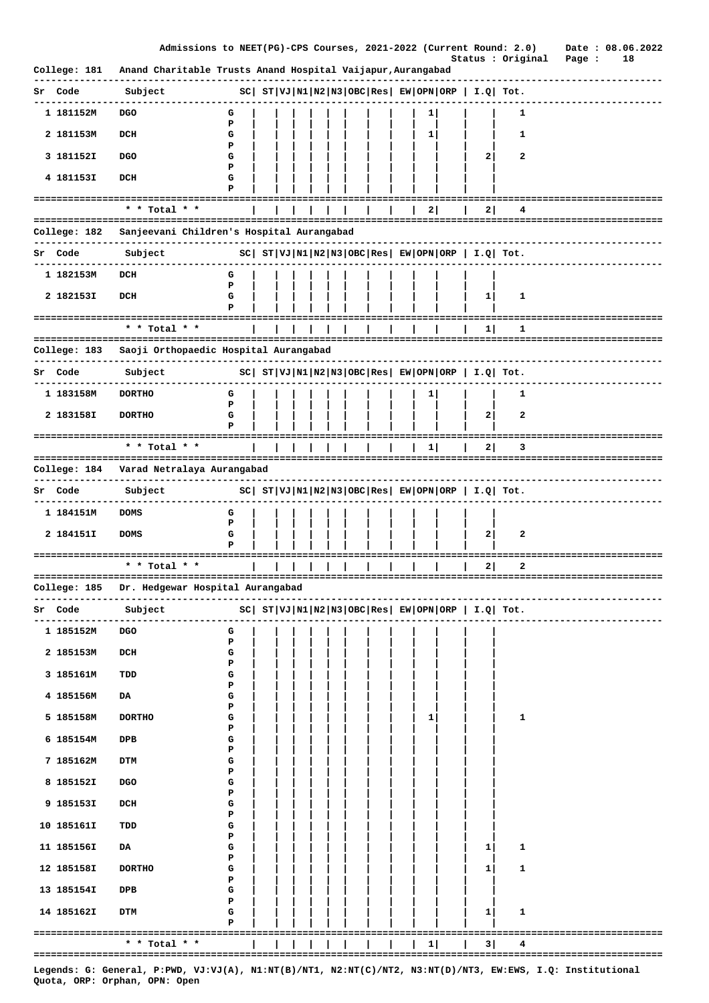|                            | Admissions to NEET(PG)-CPS Courses, 2021-2022 (Current Round: 2.0)                                                                          |             |  |  |  |  |   |              | Status : Original                                           | Date: 08.06.2022<br>Page :<br>18       |
|----------------------------|---------------------------------------------------------------------------------------------------------------------------------------------|-------------|--|--|--|--|---|--------------|-------------------------------------------------------------|----------------------------------------|
| College: 181               | Anand Charitable Trusts Anand Hospital Vaijapur, Aurangabad                                                                                 |             |  |  |  |  |   |              |                                                             |                                        |
| Sr Code                    | Subject                                                                                                                                     |             |  |  |  |  |   |              | $ SC $ $ST VJ N1 N2 N3 OBC Res EW OPN ORP  I.Q  Tot.$       |                                        |
| 1 181152M                  | <b>DGO</b>                                                                                                                                  | G           |  |  |  |  | 1 |              | 1                                                           |                                        |
| 2 181153M                  | DCH                                                                                                                                         | P<br>G      |  |  |  |  | 1 |              | 1                                                           |                                        |
| 3 1811521                  | <b>DGO</b>                                                                                                                                  | P<br>G      |  |  |  |  |   | $\mathbf{2}$ | 2                                                           |                                        |
| 4 181153I                  | DCH                                                                                                                                         | Р<br>G<br>P |  |  |  |  |   |              |                                                             |                                        |
|                            | * * Total * *                                                                                                                               |             |  |  |  |  | 2 | 21           | 4                                                           |                                        |
| College: 182               | Sanjeevani Children's Hospital Aurangabad                                                                                                   |             |  |  |  |  |   |              |                                                             |                                        |
| Sr Code                    | Subject                                                                                                                                     |             |  |  |  |  |   |              | $ SC $ $ST VJ N1 N2 N3 OBC Res EW OPN ORP  I.Q  Tot.$       |                                        |
| 1 182153M                  | DCH                                                                                                                                         | G           |  |  |  |  |   |              |                                                             |                                        |
|                            |                                                                                                                                             | P           |  |  |  |  |   |              |                                                             |                                        |
| 2 182153I                  | DCH                                                                                                                                         | G<br>P      |  |  |  |  |   | $\mathbf{1}$ | 1                                                           |                                        |
| :========================= | * * Total * *                                                                                                                               |             |  |  |  |  |   | 1            | 1                                                           | =============                          |
| College: 183               | Saoji Orthopaedic Hospital Aurangabad                                                                                                       |             |  |  |  |  |   |              |                                                             |                                        |
| Sr Code                    | Subject                                                                                                                                     |             |  |  |  |  |   |              | $ SC $ $ST VJ N1 N2 N3 OBC Res $ $EW OPN ORP $ $I.Q$ $Tot.$ |                                        |
|                            |                                                                                                                                             |             |  |  |  |  |   |              |                                                             |                                        |
| 1 183158M                  | <b>DORTHO</b>                                                                                                                               | G<br>Р      |  |  |  |  | 1 |              | 1                                                           |                                        |
| 2 183158I                  | <b>DORTHO</b>                                                                                                                               | G           |  |  |  |  |   | 2            | 2                                                           |                                        |
|                            | * * Total * *                                                                                                                               |             |  |  |  |  | 1 | 2            | 3                                                           | -------------------------------------- |
| College: 184               | Varad Netralaya Aurangabad                                                                                                                  |             |  |  |  |  |   |              |                                                             |                                        |
|                            |                                                                                                                                             |             |  |  |  |  |   |              |                                                             |                                        |
| Sr Code                    | Subject                                                                                                                                     |             |  |  |  |  |   |              | $ SC $ $ST VJ N1 N2 N3 OBC Res EW OPN ORP  I.Q  Tot.$       |                                        |
| 1 184151M                  | <b>DOMS</b>                                                                                                                                 | G<br>P      |  |  |  |  |   |              |                                                             |                                        |
| 2 184151I                  | <b>DOMS</b>                                                                                                                                 | G<br>Р      |  |  |  |  |   | $\mathbf{2}$ | 2                                                           |                                        |
| ==================         | * * Total * *                                                                                                                               |             |  |  |  |  |   | 21           | 2                                                           | ====================                   |
|                            |                                                                                                                                             |             |  |  |  |  |   |              |                                                             |                                        |
| College: 185               | Dr. Hedgewar Hospital Aurangabad                                                                                                            |             |  |  |  |  |   |              |                                                             |                                        |
| Sr Code                    | Subject                                                                                                                                     |             |  |  |  |  |   |              | $ SC $ $ST VJ N1 N2 N3 OBC Res $ $EW OPN ORP$   $I.Q$ Tot.  | -------------------                    |
| 1 185152M                  | DGO                                                                                                                                         | G<br>P      |  |  |  |  |   |              |                                                             |                                        |
| 2 185153M                  | DCH                                                                                                                                         | G           |  |  |  |  |   |              |                                                             |                                        |
| 3 185161M                  | TDD                                                                                                                                         | Р<br>G      |  |  |  |  |   |              |                                                             |                                        |
| 4 185156M                  | DA                                                                                                                                          | Р<br>G      |  |  |  |  |   |              |                                                             |                                        |
| 5 185158M                  | <b>DORTHO</b>                                                                                                                               | P<br>G      |  |  |  |  | 1 |              | 1                                                           |                                        |
|                            |                                                                                                                                             | Р           |  |  |  |  |   |              |                                                             |                                        |
| 6 185154M                  | DPB                                                                                                                                         | G<br>Р      |  |  |  |  |   |              |                                                             |                                        |
| 7 185162M                  | <b>DTM</b>                                                                                                                                  | G<br>Р      |  |  |  |  |   |              |                                                             |                                        |
| 8 185152I                  | <b>DGO</b>                                                                                                                                  | G<br>Р      |  |  |  |  |   |              |                                                             |                                        |
| 9 185153I                  | DCH                                                                                                                                         | G           |  |  |  |  |   |              |                                                             |                                        |
| 10 185161I                 | TDD                                                                                                                                         | Р<br>G      |  |  |  |  |   |              |                                                             |                                        |
| 11 185156I                 | DA.                                                                                                                                         | Р<br>G      |  |  |  |  |   | 1            | 1                                                           |                                        |
| 12 185158I                 | <b>DORTHO</b>                                                                                                                               | P<br>G      |  |  |  |  |   | 1            | 1                                                           |                                        |
|                            |                                                                                                                                             | Р           |  |  |  |  |   |              |                                                             |                                        |
| 13 185154I                 | DPB                                                                                                                                         | G<br>Р      |  |  |  |  |   |              |                                                             |                                        |
| 14 185162I                 | <b>DTM</b>                                                                                                                                  | G<br>Р      |  |  |  |  |   | 1            | 1                                                           |                                        |
|                            | * * Total * *                                                                                                                               |             |  |  |  |  | 1 | 3            | 4                                                           |                                        |
|                            |                                                                                                                                             |             |  |  |  |  |   |              |                                                             |                                        |
|                            | Legends: G: General, P:PWD, VJ:VJ(A), N1:NT(B)/NT1, N2:NT(C)/NT2, N3:NT(D)/NT3, EW:EWS, I.Q: Institutional<br>Quota, ORP: Orphan, OPN: Open |             |  |  |  |  |   |              |                                                             |                                        |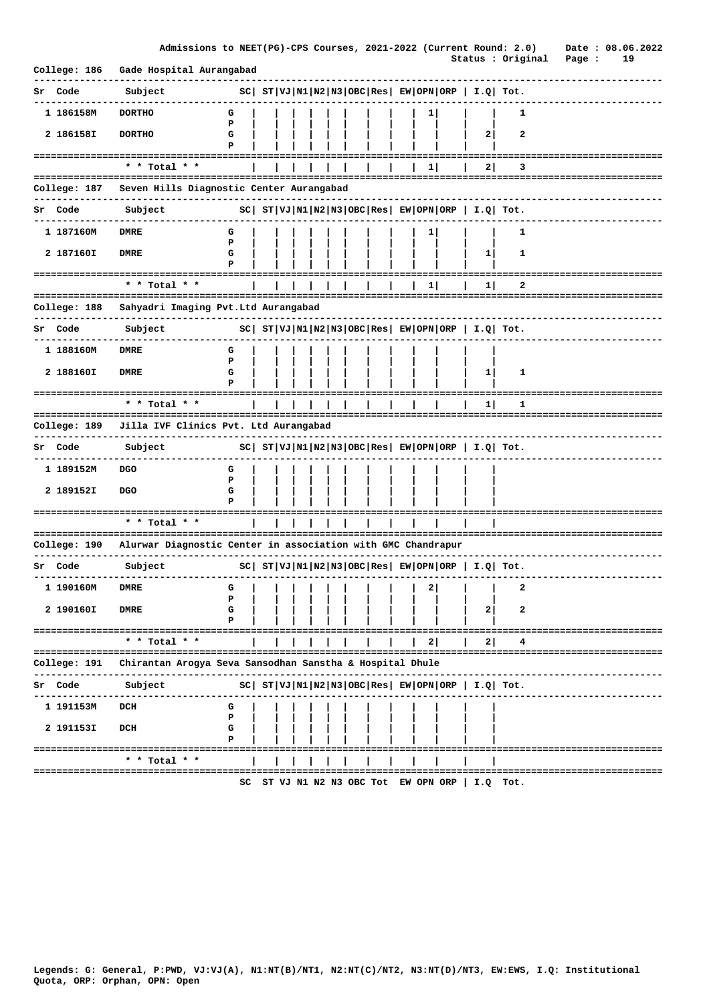|                               |                                                              | Admissions to NEET(PG)-CPS Courses, 2021-2022 (Current Round: 2.0) |  |  |  |   |       |                                                             |                   | Date: 08.06.2022                      |
|-------------------------------|--------------------------------------------------------------|--------------------------------------------------------------------|--|--|--|---|-------|-------------------------------------------------------------|-------------------|---------------------------------------|
| College: 186                  | Gade Hospital Aurangabad                                     |                                                                    |  |  |  |   |       |                                                             | Status : Original | Page :<br>19                          |
| Sr Code                       | Subject                                                      |                                                                    |  |  |  |   |       | $ SC $ $ST VJ N1 N2 N3 OBC Res EW OPN ORP   I.Q  Tot.$      |                   |                                       |
| 1 186158M                     | <b>DORTHO</b>                                                | G                                                                  |  |  |  | ı |       |                                                             | 1                 |                                       |
| 2 186158I                     | <b>DORTHO</b>                                                | P<br>G<br>Р                                                        |  |  |  |   |       | 2                                                           | 2                 |                                       |
|                               | * * Total * *                                                |                                                                    |  |  |  | 1 |       | 2                                                           | з                 |                                       |
| College: 187                  | Seven Hills Diagnostic Center Aurangabad                     |                                                                    |  |  |  |   |       |                                                             |                   |                                       |
| Sr Code                       | Subject                                                      |                                                                    |  |  |  |   |       | $ SC $ $ST VJ N1 N2 N3 OBC Res $ $EW OPN ORP$   $I.Q$ Tot.  |                   |                                       |
| 1 187160M                     | <b>DMRE</b>                                                  | G                                                                  |  |  |  | 1 |       |                                                             | 1                 |                                       |
| 2 187160I                     | <b>DMRE</b>                                                  | P<br>G<br>Р                                                        |  |  |  |   |       | 1                                                           | 1                 |                                       |
|                               | =================================<br>* * Total * *           |                                                                    |  |  |  | 1 |       | 1 I                                                         | 2                 |                                       |
| ============================= |                                                              |                                                                    |  |  |  |   |       |                                                             |                   | .==================================== |
| College: 188                  | Sahyadri Imaging Pvt.Ltd Aurangabad                          |                                                                    |  |  |  |   |       |                                                             |                   |                                       |
| Sr Code                       | Subject                                                      |                                                                    |  |  |  |   |       | $ SC $ $ST VJ N1 N2 N3 OBC Res $ $EW OPN ORP $ $I.Q$ $Tot.$ |                   |                                       |
| 1 188160M                     | DMRE                                                         | G<br>Р                                                             |  |  |  |   |       |                                                             |                   |                                       |
| 2 188160I                     | <b>DMRE</b>                                                  | G<br>Р                                                             |  |  |  |   |       | $\mathbf{1}$                                                | 1                 |                                       |
|                               | * * Total * *                                                |                                                                    |  |  |  |   | ===== | =====<br>$1\vert$                                           | =====<br>1        |                                       |
| College: 189                  | Jilla IVF Clinics Pvt. Ltd Aurangabad                        |                                                                    |  |  |  |   |       |                                                             | ============      |                                       |
| Sr Code                       | Subject                                                      |                                                                    |  |  |  |   |       | $ SC $ $ST VJ N1 N2 N3 OBC Res EW OPN ORP  I.Q  Tot.$       |                   |                                       |
|                               |                                                              |                                                                    |  |  |  |   |       |                                                             |                   |                                       |
| 1 189152M                     | DGO                                                          | G<br>P                                                             |  |  |  |   |       |                                                             |                   |                                       |
| 2 189152I                     | <b>DGO</b>                                                   | G                                                                  |  |  |  |   |       |                                                             |                   |                                       |
|                               |                                                              |                                                                    |  |  |  |   |       |                                                             |                   |                                       |
|                               | * * Total * *                                                |                                                                    |  |  |  |   |       |                                                             |                   |                                       |
| College: 190                  | Alurwar Diagnostic Center in association with GMC Chandrapur |                                                                    |  |  |  |   |       |                                                             |                   |                                       |
| Sr Code                       | Subject                                                      |                                                                    |  |  |  |   |       | $ SC $ $ST VJ N1 N2 N3 OBC Res EW OPN ORP  I.Q  Tot.$       |                   |                                       |
| 1 190160M                     | <b>DMRE</b>                                                  | G                                                                  |  |  |  | 2 |       |                                                             | 2                 |                                       |
| 2 190160I                     | <b>DMRE</b>                                                  | Р<br>G                                                             |  |  |  |   |       | 2                                                           | 2                 |                                       |
|                               | ------------------------------------                         | P                                                                  |  |  |  |   |       |                                                             |                   | =====================                 |
|                               | * * Total * *                                                |                                                                    |  |  |  | 2 |       | 2                                                           |                   |                                       |
| College: 191                  | Chirantan Arogya Seva Sansodhan Sanstha & Hospital Dhule     |                                                                    |  |  |  |   |       |                                                             |                   |                                       |
| Sr Code                       | Subject                                                      |                                                                    |  |  |  |   |       | $ SC $ $ST VJ N1 N2 N3 OBC Res $ $EW OPN ORP$   $I.Q$ Tot.  |                   |                                       |
| 1 191153M                     | DCH                                                          | G<br>P                                                             |  |  |  |   |       |                                                             |                   |                                       |
| 2 191153I                     | DCH                                                          | G                                                                  |  |  |  |   |       |                                                             |                   |                                       |
|                               |                                                              |                                                                    |  |  |  |   |       |                                                             |                   |                                       |
|                               |                                                              | Р                                                                  |  |  |  |   |       |                                                             |                   |                                       |
|                               | * * Total * *<br>:==========================                 |                                                                    |  |  |  |   |       |                                                             |                   |                                       |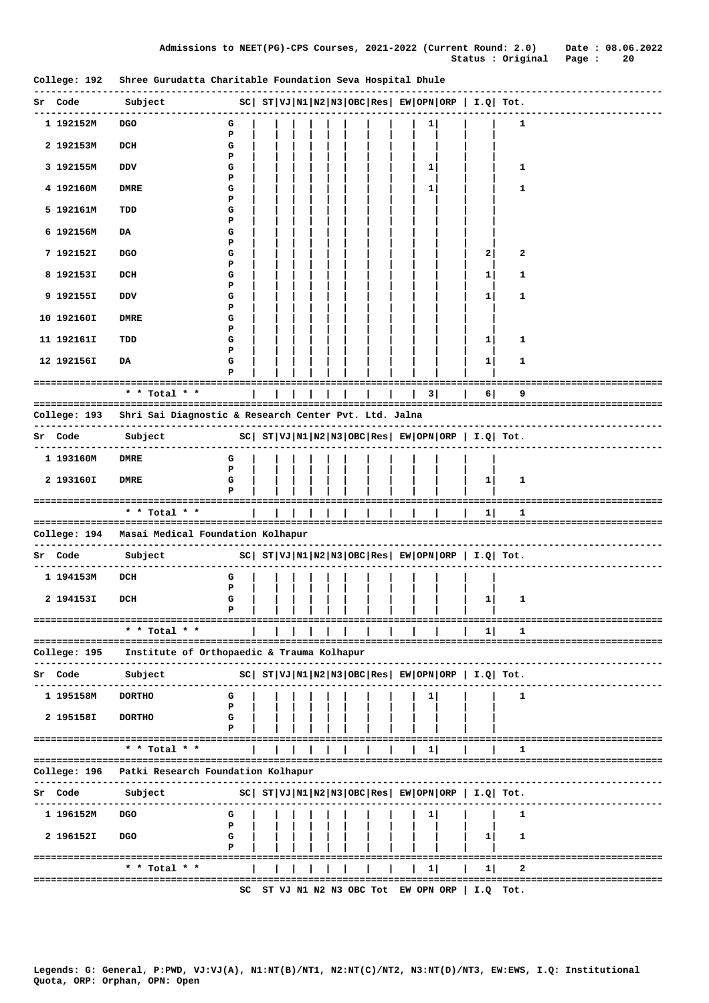|                            |                                                                                                                                                                                                                                                                                                                                                                                                                                  |        |  |         |  |  |              |                                   |                |                                                                       | ------------------------         |
|----------------------------|----------------------------------------------------------------------------------------------------------------------------------------------------------------------------------------------------------------------------------------------------------------------------------------------------------------------------------------------------------------------------------------------------------------------------------|--------|--|---------|--|--|--------------|-----------------------------------|----------------|-----------------------------------------------------------------------|----------------------------------|
| Sr Code                    | $\nonumber \begin{array}{l c c c c c c c} \text{Subject} & \text{sc} & \text{sr} & \text{vr} & \text{v1} & \text{m2} & \text{m3} & \text{OBC} & \text{Res} & \text{EW} & \text{OPN} & \text{ORP} & \text{I.Q} & \text{Tot.t.} \\ \hline \text{1} & \text{1} & \text{1} & \text{1} & \text{1} & \text{1} & \text{1} & \text{1} & \text{1} & \text{1} & \text{1} & \text{1} & \text{1} & \text{1} & \text{1} & \text{1} & \text{1$ |        |  |         |  |  |              |                                   |                |                                                                       |                                  |
| 1 192152M                  | DGO                                                                                                                                                                                                                                                                                                                                                                                                                              | G      |  |         |  |  | $\mathbf{1}$ |                                   |                | 1                                                                     |                                  |
|                            |                                                                                                                                                                                                                                                                                                                                                                                                                                  | Р      |  |         |  |  |              |                                   |                |                                                                       |                                  |
| 2 192153M                  | DCH                                                                                                                                                                                                                                                                                                                                                                                                                              | G<br>Р |  |         |  |  |              |                                   |                |                                                                       |                                  |
| 3 192155M                  | DDV                                                                                                                                                                                                                                                                                                                                                                                                                              | G      |  |         |  |  | 1            |                                   |                | 1                                                                     |                                  |
| 4 192160M                  | <b>DMRE</b>                                                                                                                                                                                                                                                                                                                                                                                                                      | Р<br>G |  |         |  |  | 1            |                                   |                | 1                                                                     |                                  |
|                            |                                                                                                                                                                                                                                                                                                                                                                                                                                  | P      |  |         |  |  |              |                                   |                |                                                                       |                                  |
| 5 192161M                  | TDD                                                                                                                                                                                                                                                                                                                                                                                                                              | G<br>Р |  |         |  |  |              |                                   |                |                                                                       |                                  |
| 6 192156M                  | DA                                                                                                                                                                                                                                                                                                                                                                                                                               | G      |  |         |  |  |              |                                   |                |                                                                       |                                  |
| 7 192152I                  | <b>DGO</b>                                                                                                                                                                                                                                                                                                                                                                                                                       | Р<br>G |  |         |  |  |              |                                   | 2              | 2                                                                     |                                  |
|                            |                                                                                                                                                                                                                                                                                                                                                                                                                                  | Р      |  |         |  |  |              |                                   |                |                                                                       |                                  |
| 8 192153I                  | DCH                                                                                                                                                                                                                                                                                                                                                                                                                              | G<br>Р |  |         |  |  |              |                                   | 1              | 1                                                                     |                                  |
| 9 192155I                  | DDV                                                                                                                                                                                                                                                                                                                                                                                                                              | G      |  |         |  |  |              |                                   | 1              | 1                                                                     |                                  |
| 10 192160I                 | <b>DMRE</b>                                                                                                                                                                                                                                                                                                                                                                                                                      | Р<br>G |  |         |  |  |              |                                   |                |                                                                       |                                  |
|                            |                                                                                                                                                                                                                                                                                                                                                                                                                                  | Р      |  |         |  |  |              |                                   |                |                                                                       |                                  |
| 11 192161I                 | TDD                                                                                                                                                                                                                                                                                                                                                                                                                              | G<br>Р |  |         |  |  |              |                                   | 1              | 1                                                                     |                                  |
| 12 192156I                 | DA                                                                                                                                                                                                                                                                                                                                                                                                                               | G      |  |         |  |  |              |                                   | 1              | 1                                                                     |                                  |
|                            |                                                                                                                                                                                                                                                                                                                                                                                                                                  | Р      |  |         |  |  |              |                                   |                |                                                                       |                                  |
|                            | * * Total * *                                                                                                                                                                                                                                                                                                                                                                                                                    |        |  |         |  |  |              |                                   | 6              | 9                                                                     |                                  |
|                            |                                                                                                                                                                                                                                                                                                                                                                                                                                  |        |  |         |  |  |              |                                   |                |                                                                       |                                  |
| . <b>.</b> .               | College: 193 Shri Sai Diagnostic & Research Center Pvt. Ltd. Jalna<br>----------------                                                                                                                                                                                                                                                                                                                                           |        |  |         |  |  |              |                                   |                |                                                                       | -------------------------------  |
|                            | $ SC $ $ST VJ N1 N2 N3 OBC Res $ $EW OPN ORP $ $I.Q $ $Tot.$<br>Sr Code Subject<br>-------------                                                                                                                                                                                                                                                                                                                                 |        |  |         |  |  |              |                                   |                |                                                                       |                                  |
| -------------<br>1 193160M | <b>DMRE</b>                                                                                                                                                                                                                                                                                                                                                                                                                      | G      |  |         |  |  |              |                                   |                |                                                                       |                                  |
|                            |                                                                                                                                                                                                                                                                                                                                                                                                                                  | P      |  |         |  |  |              |                                   |                |                                                                       |                                  |
| 2 193160I                  | <b>DMRE</b>                                                                                                                                                                                                                                                                                                                                                                                                                      | G<br>Р |  |         |  |  |              |                                   | 1 <sub>1</sub> | 1                                                                     |                                  |
|                            |                                                                                                                                                                                                                                                                                                                                                                                                                                  |        |  |         |  |  |              |                                   |                |                                                                       |                                  |
|                            | * * Total * *                                                                                                                                                                                                                                                                                                                                                                                                                    |        |  | 1 1 1 1 |  |  |              |                                   | 1              | 1                                                                     |                                  |
|                            | College: 194 Masai Medical Foundation Kolhapur                                                                                                                                                                                                                                                                                                                                                                                   |        |  |         |  |  |              |                                   |                |                                                                       |                                  |
| Sr Code                    | Subject                                                                                                                                                                                                                                                                                                                                                                                                                          |        |  |         |  |  |              |                                   |                | SC   ST   VJ   N1   N2   N3   OBC   Res   EW   OPN   ORP   I.Q   Tot. |                                  |
|                            |                                                                                                                                                                                                                                                                                                                                                                                                                                  |        |  |         |  |  |              |                                   |                |                                                                       | -----------------------          |
| 1 194153M                  | DCH                                                                                                                                                                                                                                                                                                                                                                                                                              | G<br>Р |  |         |  |  |              |                                   |                |                                                                       |                                  |
| 2 194153I                  | DCH                                                                                                                                                                                                                                                                                                                                                                                                                              | G      |  |         |  |  |              |                                   | $\mathbf{1}$   | 1                                                                     |                                  |
|                            | -------------                                                                                                                                                                                                                                                                                                                                                                                                                    | P      |  |         |  |  |              |                                   |                |                                                                       |                                  |
|                            | * * Total * *                                                                                                                                                                                                                                                                                                                                                                                                                    |        |  |         |  |  |              |                                   | 1              | 1                                                                     |                                  |
| College: 195               | Institute of Orthopaedic & Trauma Kolhapur                                                                                                                                                                                                                                                                                                                                                                                       |        |  |         |  |  |              |                                   |                |                                                                       |                                  |
|                            |                                                                                                                                                                                                                                                                                                                                                                                                                                  |        |  |         |  |  |              |                                   |                |                                                                       |                                  |
| Sr Code                    | Subject                                                                                                                                                                                                                                                                                                                                                                                                                          |        |  |         |  |  |              |                                   |                | $ SC $ $ST VJ N1 N2 N3 OBC Res EW OPN ORP I.Q Tot.$                   |                                  |
| 1 195158M                  | <b>DORTHO</b>                                                                                                                                                                                                                                                                                                                                                                                                                    | G      |  |         |  |  |              |                                   |                | 1                                                                     |                                  |
|                            |                                                                                                                                                                                                                                                                                                                                                                                                                                  | Р<br>G |  |         |  |  |              |                                   |                |                                                                       |                                  |
| 2 195158I                  | <b>DORTHO</b>                                                                                                                                                                                                                                                                                                                                                                                                                    | P      |  |         |  |  |              |                                   |                |                                                                       |                                  |
|                            | ===================================<br>$*$ * Total * *                                                                                                                                                                                                                                                                                                                                                                           |        |  |         |  |  |              |                                   |                |                                                                       | -------------------------------- |
|                            |                                                                                                                                                                                                                                                                                                                                                                                                                                  |        |  |         |  |  | 11           |                                   |                | ı                                                                     |                                  |
| College: 196               | Patki Research Foundation Kolhapur                                                                                                                                                                                                                                                                                                                                                                                               |        |  |         |  |  |              |                                   |                |                                                                       |                                  |
| Sr Code                    | Subject                                                                                                                                                                                                                                                                                                                                                                                                                          |        |  |         |  |  |              |                                   |                | $ SC $ $ST VJ N1 N2 N3 OBC Res  EW OPN ORP   I.Q  Tot.$               |                                  |
|                            |                                                                                                                                                                                                                                                                                                                                                                                                                                  |        |  |         |  |  |              |                                   |                |                                                                       |                                  |
| 1 196152M                  | <b>DGO</b>                                                                                                                                                                                                                                                                                                                                                                                                                       | G<br>Р |  |         |  |  | ı            |                                   |                | 1                                                                     |                                  |
| 2 196152I                  | <b>DGO</b>                                                                                                                                                                                                                                                                                                                                                                                                                       | G      |  |         |  |  |              |                                   | $1 \vert$      | 1                                                                     |                                  |
|                            | ==================================                                                                                                                                                                                                                                                                                                                                                                                               | P      |  |         |  |  |              |                                   |                |                                                                       | -----------------------------    |
|                            | * * Total * *                                                                                                                                                                                                                                                                                                                                                                                                                    |        |  |         |  |  | 1            |                                   | 11             | 2                                                                     |                                  |
|                            | ================                                                                                                                                                                                                                                                                                                                                                                                                                 | SC     |  |         |  |  |              | ST VJ N1 N2 N3 OBC Tot EW OPN ORP |                | $I.Q$ Tot.                                                            | =============================    |

College: 192 Shree Gurudatta Charitable Foundation Seva Hospital Dhule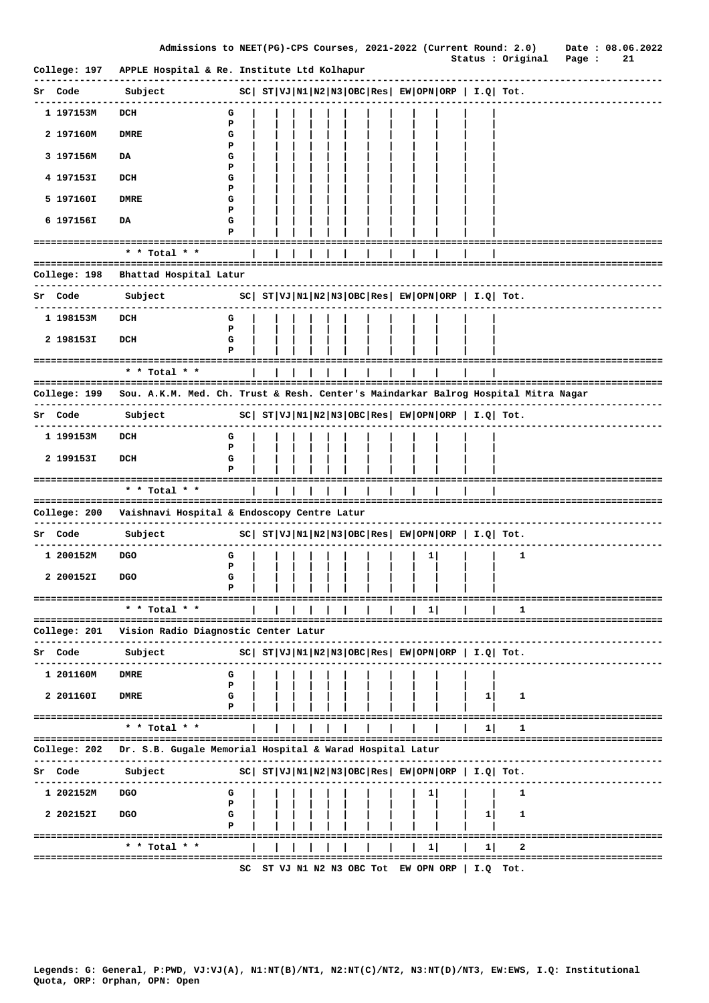|              | Admissions to NEET(PG)-CPS Courses, 2021-2022 (Current Round: 2.0)                 |        |    |  |  |  |                                   |    |                                                     |                                                            |        | Date: 08.06.2022              |
|--------------|------------------------------------------------------------------------------------|--------|----|--|--|--|-----------------------------------|----|-----------------------------------------------------|------------------------------------------------------------|--------|-------------------------------|
| College: 197 | APPLE Hospital & Re. Institute Ltd Kolhapur                                        |        |    |  |  |  |                                   |    |                                                     | Status : Original                                          | Page : | 21                            |
| Sr Code      | Subject                                                                            |        |    |  |  |  |                                   |    |                                                     | $ SC $ $ST VJ N1 N2 N3 OBC Res $ $EW OPN ORP$   $I.Q$ Tot. |        |                               |
| 1 197153M    | DCH                                                                                | G      |    |  |  |  |                                   |    |                                                     |                                                            |        |                               |
| 2 197160M    | <b>DMRE</b>                                                                        | P<br>G |    |  |  |  |                                   |    |                                                     |                                                            |        |                               |
| 3 197156M    | DA                                                                                 | P<br>G |    |  |  |  |                                   |    |                                                     |                                                            |        |                               |
| 4 197153I    | DCH                                                                                | P<br>G |    |  |  |  |                                   |    |                                                     |                                                            |        |                               |
| 5 197160I    | <b>DMRE</b>                                                                        | P<br>G |    |  |  |  |                                   |    |                                                     |                                                            |        |                               |
| 6 197156I    | DA                                                                                 | Р<br>G |    |  |  |  |                                   |    |                                                     |                                                            |        |                               |
|              |                                                                                    | P      |    |  |  |  |                                   |    |                                                     |                                                            |        |                               |
|              | * * Total * *                                                                      |        |    |  |  |  |                                   |    |                                                     |                                                            |        |                               |
| College: 198 | Bhattad Hospital Latur                                                             |        |    |  |  |  |                                   |    |                                                     |                                                            |        |                               |
| Sr Code      | Subject                                                                            |        |    |  |  |  |                                   |    |                                                     | $ SC $ $ST VJ N1 N2 N3 OBC Res EW OPN ORP I.Q Tot.$        |        |                               |
| 1 198153M    | DCH                                                                                | G      |    |  |  |  |                                   |    |                                                     |                                                            |        |                               |
| 2 198153I    | DCH                                                                                | P<br>G |    |  |  |  |                                   |    |                                                     |                                                            |        |                               |
|              | ====================================                                               |        |    |  |  |  |                                   |    |                                                     |                                                            |        |                               |
|              | * * Total * *<br>=====================================                             |        |    |  |  |  |                                   |    |                                                     |                                                            |        | ========================      |
| College: 199 | Sou. A.K.M. Med. Ch. Trust & Resh. Center's Maindarkar Balrog Hospital Mitra Nagar |        |    |  |  |  |                                   |    |                                                     |                                                            |        |                               |
| Sr Code      | Subject                                                                            |        |    |  |  |  |                                   |    |                                                     | $ SC $ $ST VJ N1 N2 N3 OBC Res EW OPN ORP I.Q Tot.$        |        |                               |
| 1 199153M    | DCH                                                                                | G<br>Р |    |  |  |  |                                   |    |                                                     |                                                            |        |                               |
| 2 199153I    | DCH                                                                                | G<br>P |    |  |  |  |                                   |    |                                                     |                                                            |        |                               |
|              |                                                                                    |        |    |  |  |  |                                   |    |                                                     |                                                            |        |                               |
|              | * * Total * *                                                                      |        |    |  |  |  |                                   |    |                                                     |                                                            |        |                               |
|              | College: 200 Vaishnavi Hospital & Endoscopy Centre Latur                           |        |    |  |  |  |                                   |    |                                                     |                                                            |        |                               |
| Sr Code      | Subject                                                                            |        |    |  |  |  |                                   |    |                                                     | $ SC $ $ST VJ N1 N2 N3 OBC Res EW OPN ORP I.Q Tot.$        |        |                               |
| 1 200152M    | <b>DGO</b>                                                                         | G<br>P |    |  |  |  |                                   | ı  |                                                     | 1                                                          |        |                               |
| 2 200152I    | <b>DGO</b>                                                                         | G<br>P |    |  |  |  |                                   |    |                                                     |                                                            |        |                               |
|              | ===================================<br>* * Total * *                               |        |    |  |  |  |                                   | 1  |                                                     | ı                                                          |        | ========================      |
| College: 201 | Vision Radio Diagnostic Center Latur                                               |        |    |  |  |  |                                   |    |                                                     |                                                            |        | ===========================   |
|              |                                                                                    |        |    |  |  |  |                                   |    |                                                     |                                                            |        |                               |
| Code         | Subject                                                                            |        |    |  |  |  |                                   |    | $ SC $ $ST VJ N1 N2 N3 OBC Res EW OPN ORP I.Q Tot.$ |                                                            |        |                               |
| 1 201160M    | <b>DMRE</b>                                                                        | G<br>P |    |  |  |  |                                   |    |                                                     |                                                            |        |                               |
| 2 201160I    | <b>DMRE</b>                                                                        | G<br>Р |    |  |  |  |                                   |    | 11                                                  | 1                                                          |        |                               |
|              | ===================================<br>* * Total * *                               |        |    |  |  |  |                                   |    | 11                                                  |                                                            |        |                               |
| College: 202 | Dr. S.B. Gugale Memorial Hospital & Warad Hospital Latur                           |        |    |  |  |  |                                   |    |                                                     |                                                            |        | ============================= |
| Sr Code      | Subject                                                                            |        |    |  |  |  |                                   |    |                                                     | $ SC $ $ST VJ N1 N2 N3 OBC Res EW OPN ORP  I.Q  Tot.$      |        |                               |
| 1 202152M    | <b>DGO</b>                                                                         | G      |    |  |  |  |                                   |    |                                                     | 1                                                          |        |                               |
| 2 202152I    | <b>DGO</b>                                                                         | Р<br>G |    |  |  |  |                                   |    | 1                                                   | 1                                                          |        |                               |
|              |                                                                                    | Р      |    |  |  |  |                                   |    |                                                     |                                                            |        |                               |
|              | * * Total * *                                                                      |        |    |  |  |  |                                   | 11 | 11                                                  | 2                                                          |        |                               |
|              |                                                                                    |        | sc |  |  |  | ST VJ N1 N2 N3 OBC Tot EW OPN ORP |    | I.Q                                                 | ====<br>Tot.                                               |        |                               |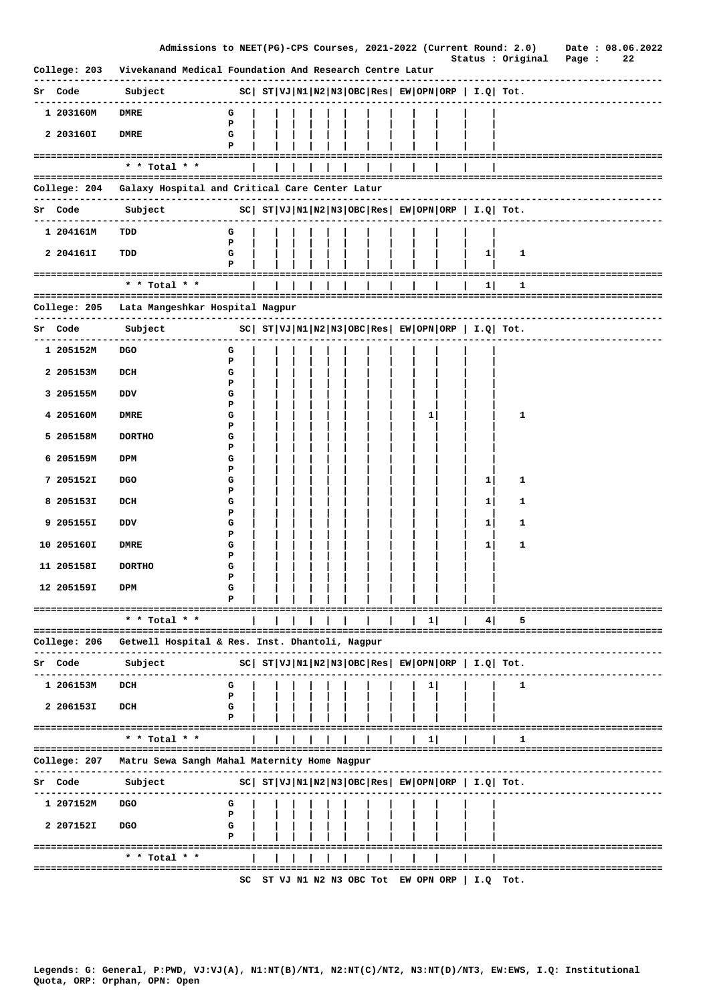|         |              | Admissions to NEET(PG)-CPS Courses, 2021-2022 (Current Round: 2.0) Date: 08.06.2022 |        |  |  |  |  |    |                                   |                                                         | Status : Original                                            |                         | Page : | 22 |                       |
|---------|--------------|-------------------------------------------------------------------------------------|--------|--|--|--|--|----|-----------------------------------|---------------------------------------------------------|--------------------------------------------------------------|-------------------------|--------|----|-----------------------|
|         | College: 203 | Vivekanand Medical Foundation And Research Centre Latur                             |        |  |  |  |  |    |                                   |                                                         |                                                              |                         |        |    |                       |
| Sr Code |              | Subject                                                                             |        |  |  |  |  |    |                                   |                                                         | $ SC $ $ST VJ N1 N2 N3 OBC Res $ $EW OPN ORP $ $I.Q $ $Tot.$ |                         |        |    |                       |
|         | 1 203160M    | <b>DMRE</b>                                                                         | G      |  |  |  |  |    |                                   |                                                         |                                                              |                         |        |    |                       |
|         | 2 203160I    | <b>DMRE</b>                                                                         | Р<br>G |  |  |  |  |    |                                   |                                                         |                                                              |                         |        |    |                       |
|         |              |                                                                                     | P      |  |  |  |  |    |                                   |                                                         |                                                              |                         |        |    |                       |
|         |              | * * Total * *                                                                       |        |  |  |  |  |    |                                   |                                                         |                                                              |                         |        |    |                       |
|         |              | College: 204 Galaxy Hospital and Critical Care Center Latur                         |        |  |  |  |  |    |                                   |                                                         |                                                              | ----------------------- |        |    |                       |
|         |              | Sr Code Subject                                                                     |        |  |  |  |  |    |                                   |                                                         | $ SC $ $ST VJ N1 N2 N3 OBC Res EW OPN ORP I.Q Tot.$          |                         |        |    | --------------------- |
|         | 1 204161M    | TDD                                                                                 | G      |  |  |  |  |    |                                   |                                                         |                                                              |                         |        |    |                       |
|         | 2 204161I    | TDD                                                                                 | Р<br>G |  |  |  |  |    |                                   | 1                                                       | 1                                                            |                         |        |    |                       |
|         |              | ---------------------------                                                         | Р      |  |  |  |  |    |                                   |                                                         |                                                              |                         |        |    |                       |
|         |              | * * Total * *                                                                       |        |  |  |  |  |    |                                   | 1                                                       | 1                                                            |                         |        |    |                       |
|         |              | College: 205 - Lata Mangeshkar Hospital Nagpur                                      |        |  |  |  |  |    |                                   |                                                         |                                                              |                         |        |    |                       |
|         | Sr Code      | Subject                                                                             |        |  |  |  |  |    |                                   |                                                         | $ SC $ $ST VJ N1 N2 N3 OBC Res EW OPN ORP I.Q Tot.$          |                         |        |    |                       |
|         | 1 205152M    | <b>DGO</b>                                                                          | G      |  |  |  |  |    |                                   |                                                         |                                                              |                         |        |    |                       |
|         | 2 205153M    | DCH                                                                                 | Р<br>G |  |  |  |  |    |                                   |                                                         |                                                              |                         |        |    |                       |
|         | 3 205155M    | DDV                                                                                 | P<br>G |  |  |  |  |    |                                   |                                                         |                                                              |                         |        |    |                       |
|         | 4 205160M    | DMRE                                                                                | Р<br>G |  |  |  |  | 1  |                                   |                                                         | 1                                                            |                         |        |    |                       |
|         | 5 205158M    | <b>DORTHO</b>                                                                       | P<br>G |  |  |  |  |    |                                   |                                                         |                                                              |                         |        |    |                       |
|         | 6 205159M    | DPM                                                                                 | P<br>G |  |  |  |  |    |                                   |                                                         |                                                              |                         |        |    |                       |
|         | 7 205152I    | <b>DGO</b>                                                                          | Р<br>G |  |  |  |  |    |                                   | 1                                                       | 1                                                            |                         |        |    |                       |
|         | 8 205153I    | DCH                                                                                 | Р<br>G |  |  |  |  |    |                                   | 1                                                       | 1                                                            |                         |        |    |                       |
|         | 9 205155I    | DDV                                                                                 | Р<br>G |  |  |  |  |    |                                   | 1                                                       | 1                                                            |                         |        |    |                       |
|         |              |                                                                                     | P      |  |  |  |  |    |                                   |                                                         |                                                              |                         |        |    |                       |
|         | 10 205160I   | <b>DMRE</b>                                                                         | G<br>P |  |  |  |  |    |                                   | 1                                                       | 1                                                            |                         |        |    |                       |
|         | 11 205158I   | <b>DORTHO</b>                                                                       | G<br>P |  |  |  |  |    |                                   |                                                         |                                                              |                         |        |    |                       |
|         | 12 205159I   | DPM                                                                                 | G      |  |  |  |  |    |                                   |                                                         |                                                              |                         |        |    |                       |
|         |              | * * Total *                                                                         |        |  |  |  |  | 1  |                                   |                                                         |                                                              |                         |        |    |                       |
|         |              |                                                                                     |        |  |  |  |  |    |                                   | 4                                                       |                                                              |                         |        |    |                       |
|         | College: 206 | Getwell Hospital & Res. Inst. Dhantoli, Nagpur                                      |        |  |  |  |  |    |                                   |                                                         |                                                              |                         |        |    |                       |
| sr      | Code         | Subject                                                                             |        |  |  |  |  |    |                                   | $ SC $ $ST VJ N1 N2 N3 OBC Res EW OPN ORP  I.Q  Tot.$   |                                                              |                         |        |    |                       |
|         | 1 206153M    | DCH                                                                                 | G<br>P |  |  |  |  | ı. |                                   |                                                         | 1                                                            |                         |        |    |                       |
|         | 2 206153I    | DCH                                                                                 | G      |  |  |  |  |    |                                   |                                                         |                                                              |                         |        |    |                       |
|         |              | =================                                                                   |        |  |  |  |  |    |                                   |                                                         |                                                              |                         |        |    |                       |
|         |              | * * Total * *<br>-------------------------                                          |        |  |  |  |  | п. |                                   |                                                         | ı                                                            |                         |        |    |                       |
|         | College: 207 | Matru Sewa Sangh Mahal Maternity Home Nagpur                                        |        |  |  |  |  |    |                                   |                                                         |                                                              |                         |        |    |                       |
| Sr      | Code         | Subject                                                                             |        |  |  |  |  |    |                                   | $ SC $ $ST VJ N1 N2 N3 OBC Res  EW OPN ORP   I.Q  Tot.$ |                                                              |                         |        |    |                       |
|         | 1 207152M    | DGO                                                                                 | G<br>Р |  |  |  |  |    |                                   |                                                         |                                                              |                         |        |    |                       |
|         | 2 2071521    | <b>DGO</b>                                                                          | G      |  |  |  |  |    |                                   |                                                         |                                                              |                         |        |    |                       |
|         |              | ============================                                                        | P      |  |  |  |  |    |                                   |                                                         |                                                              |                         |        |    |                       |
|         |              | * * Total * *                                                                       |        |  |  |  |  |    |                                   |                                                         |                                                              |                         |        |    |                       |
|         |              |                                                                                     | SC     |  |  |  |  |    | ST VJ N1 N2 N3 OBC Tot EW OPN ORP | I.Q                                                     | Tot.                                                         |                         |        |    |                       |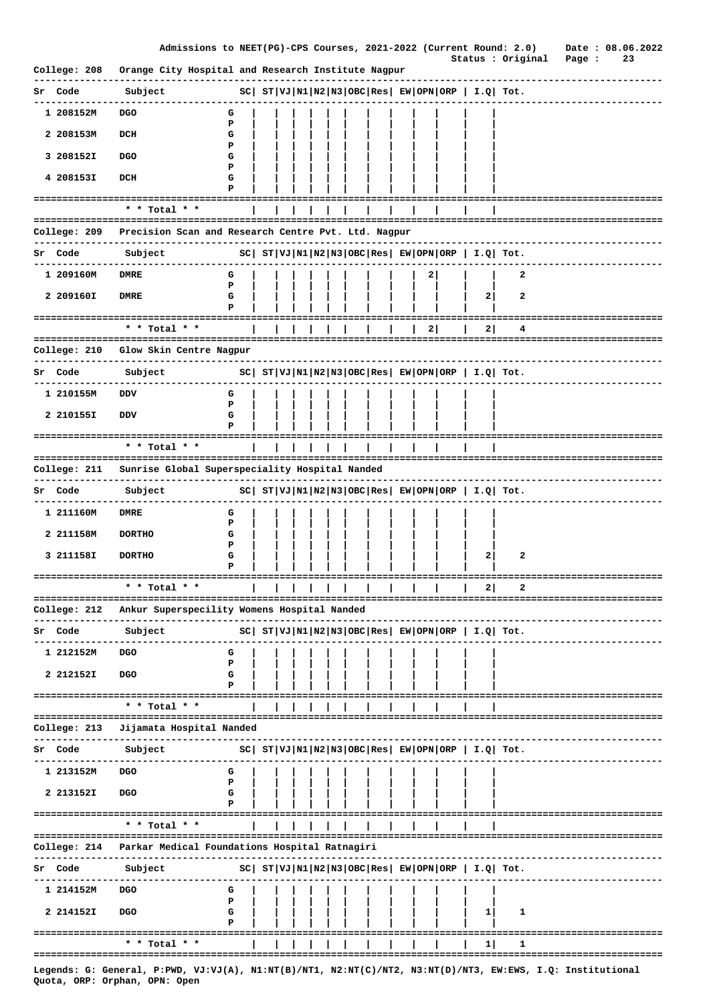|              | Admissions to NEET(PG)-CPS Courses, 2021-2022 (Current Round: 2.0)                                         |             |  |  |  |  |   |              | Status : Original                                            | Page : | Date: 08.06.2022<br>23 |  |
|--------------|------------------------------------------------------------------------------------------------------------|-------------|--|--|--|--|---|--------------|--------------------------------------------------------------|--------|------------------------|--|
| College: 208 | Orange City Hospital and Research Institute Nagpur                                                         |             |  |  |  |  |   |              |                                                              |        |                        |  |
| Sr Code      | Subject                                                                                                    |             |  |  |  |  |   |              | $ SC $ $ST VJ N1 N2 N3 OBC Res EW OPN ORP  I.Q  Tot.$        |        |                        |  |
| 1 208152M    | <b>DGO</b>                                                                                                 | G<br>P      |  |  |  |  |   |              |                                                              |        |                        |  |
| 2 208153M    | DCH                                                                                                        | G           |  |  |  |  |   |              |                                                              |        |                        |  |
| 3 208152I    | <b>DGO</b>                                                                                                 | P<br>G      |  |  |  |  |   |              |                                                              |        |                        |  |
| 4 208153I    | DCH                                                                                                        | Р<br>G<br>P |  |  |  |  |   |              |                                                              |        |                        |  |
|              | * * Total * *                                                                                              |             |  |  |  |  |   |              |                                                              |        |                        |  |
| College: 209 | -------------------------------------<br>Precision Scan and Research Centre Pvt. Ltd. Nagpur               |             |  |  |  |  |   |              | ==============================                               |        |                        |  |
| Sr Code      | ------------<br>Subject                                                                                    |             |  |  |  |  |   |              | $ SC $ $ST VJ N1 N2 N3 OBC Res EW OPN ORP  I.Q  Tot.$        |        |                        |  |
|              |                                                                                                            |             |  |  |  |  |   |              |                                                              |        |                        |  |
| 1 209160M    | <b>DMRE</b>                                                                                                | G<br>P      |  |  |  |  | 2 |              | 2                                                            |        |                        |  |
| 2 209160I    | <b>DMRE</b>                                                                                                | G<br>P      |  |  |  |  |   | $\mathbf{2}$ | 2                                                            |        |                        |  |
|              | $*$ * Total * *                                                                                            |             |  |  |  |  | 2 | 2            | 4                                                            |        |                        |  |
| College: 210 | Glow Skin Centre Nagpur                                                                                    |             |  |  |  |  |   |              |                                                              |        |                        |  |
|              |                                                                                                            |             |  |  |  |  |   |              | --------------                                               |        |                        |  |
| Sr Code      | Subject                                                                                                    |             |  |  |  |  |   |              | $ SC $ $ST VJ N1 N2 N3 OBC Res $ $EW OPN ORP $ $I.Q $ $Tot.$ |        |                        |  |
| 1 210155M    | DDV                                                                                                        | G<br>P      |  |  |  |  |   |              |                                                              |        |                        |  |
| 2 210155I    | DDV                                                                                                        | G           |  |  |  |  |   |              |                                                              |        |                        |  |
|              | =================================<br>* * Total * *                                                         |             |  |  |  |  |   |              |                                                              |        |                        |  |
| College: 211 | ===================================<br>Sunrise Global Superspeciality Hospital Nanded                      |             |  |  |  |  |   |              | --------------------------------                             |        |                        |  |
|              |                                                                                                            |             |  |  |  |  |   |              |                                                              |        |                        |  |
| Sr Code      | Subject                                                                                                    |             |  |  |  |  |   |              | $ SC $ $ST VJ N1 N2 N3 OBC Res  EW OPN ORP   I.Q  Tot.$      |        |                        |  |
| 1 211160M    | <b>DMRE</b>                                                                                                | G<br>Р      |  |  |  |  |   |              |                                                              |        |                        |  |
| 2 211158M    | <b>DORTHO</b>                                                                                              | G<br>P      |  |  |  |  |   |              |                                                              |        |                        |  |
| 3 211158I    | <b>DORTHO</b>                                                                                              | G<br>Р      |  |  |  |  |   | $\mathbf{2}$ | 2                                                            |        |                        |  |
|              | * * Total * *                                                                                              |             |  |  |  |  |   | 2            | 2                                                            |        |                        |  |
|              | :===================================                                                                       |             |  |  |  |  |   |              |                                                              |        |                        |  |
| College: 212 | Ankur Superspecility Womens Hospital Nanded                                                                |             |  |  |  |  |   |              |                                                              |        |                        |  |
| Sr Code      | Subject                                                                                                    |             |  |  |  |  |   |              | $ SC $ $ST VJ N1 N2 N3 OBC Res EW OPN ORP I.Q Tot.$          |        |                        |  |
| 1 212152M    | <b>DGO</b>                                                                                                 | G<br>P      |  |  |  |  |   |              |                                                              |        |                        |  |
| 2 212152I    | <b>DGO</b>                                                                                                 | G<br>Р      |  |  |  |  |   |              |                                                              |        |                        |  |
|              | * * Total * *                                                                                              |             |  |  |  |  |   |              |                                                              |        |                        |  |
| College: 213 | Jijamata Hospital Nanded                                                                                   |             |  |  |  |  |   |              |                                                              |        |                        |  |
| Sr Code      | Subject                                                                                                    |             |  |  |  |  |   |              | $ SC $ $ST VJ N1 N2 N3 OBC Res $ $EW OPN ORP$   $I.Q$ Tot.   |        |                        |  |
| 1 213152M    | DGO                                                                                                        | G           |  |  |  |  |   |              |                                                              |        |                        |  |
| 2 213152I    | <b>DGO</b>                                                                                                 | P<br>G      |  |  |  |  |   |              |                                                              |        |                        |  |
|              | ===================                                                                                        |             |  |  |  |  |   |              |                                                              |        |                        |  |
|              | * * Total * *                                                                                              |             |  |  |  |  |   |              |                                                              |        |                        |  |
| College: 214 | Parkar Medical Foundations Hospital Ratnagiri                                                              |             |  |  |  |  |   |              |                                                              |        |                        |  |
| Sr Code      | Subject                                                                                                    |             |  |  |  |  |   |              | $ SC $ $ST VJ N1 N2 N3 OBC Res EW OPN ORP  I.Q  Tot.$        |        |                        |  |
| 1 214152M    | <b>DGO</b>                                                                                                 | G           |  |  |  |  |   |              |                                                              |        |                        |  |
| 2 214152I    | <b>DGO</b>                                                                                                 | Р<br>G      |  |  |  |  |   | 1            | 1                                                            |        |                        |  |
|              |                                                                                                            |             |  |  |  |  |   |              |                                                              |        |                        |  |
|              | * * Total * *<br>==============================                                                            |             |  |  |  |  |   | 1            | ı                                                            |        |                        |  |
|              | Legends: G: General, P:PWD, VJ:VJ(A), N1:NT(B)/NT1, N2:NT(C)/NT2, N3:NT(D)/NT3, EW:EWS, I.Q: Institutional |             |  |  |  |  |   |              |                                                              |        |                        |  |

Quota, ORP: Orphan, OPN: Open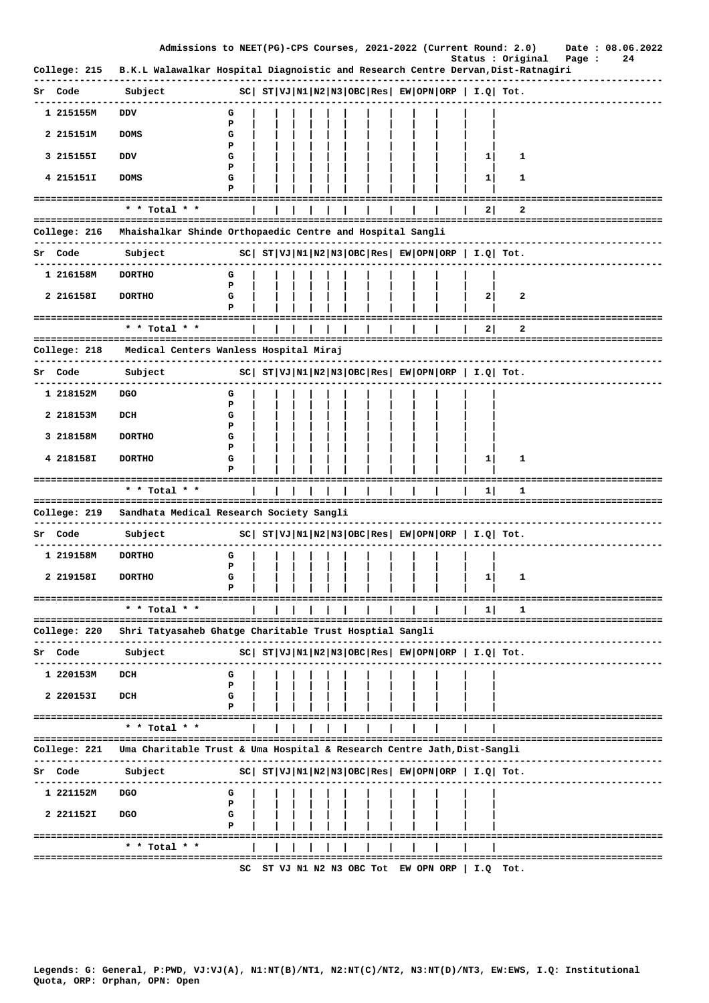|              | Admissions to NEET(PG)-CPS Courses, 2021-2022 (Current Round: 2.0)                                                |             |  |  |  |  |  |                                                         | Status : Original                                            | Page :                        | Date: 08.06.2022<br>24 |
|--------------|-------------------------------------------------------------------------------------------------------------------|-------------|--|--|--|--|--|---------------------------------------------------------|--------------------------------------------------------------|-------------------------------|------------------------|
| College: 215 | B.K.L Walawalkar Hospital Diagnoistic and Research Centre Dervan, Dist-Ratnagiri                                  |             |  |  |  |  |  |                                                         |                                                              |                               |                        |
| Sr Code      | Subject                                                                                                           |             |  |  |  |  |  | $ SC $ $ST VJ N1 N2 N3 OBC Res  EW OPN ORP   I.Q  Tot.$ |                                                              |                               |                        |
| 1 215155M    | <b>DDV</b>                                                                                                        | G           |  |  |  |  |  |                                                         |                                                              |                               |                        |
| 2 215151M    | <b>DOMS</b>                                                                                                       | P<br>G      |  |  |  |  |  |                                                         |                                                              |                               |                        |
| 3 215155I    | DDV                                                                                                               | P<br>G      |  |  |  |  |  | 1                                                       | 1                                                            |                               |                        |
| 4 215151I    | <b>DOMS</b>                                                                                                       | Р<br>G      |  |  |  |  |  | 1                                                       | 1                                                            |                               |                        |
|              | -------------------------------------                                                                             | Р           |  |  |  |  |  |                                                         |                                                              |                               |                        |
|              | * * Total * *<br>======================================                                                           |             |  |  |  |  |  | 2                                                       | 2<br>=====================================                   |                               |                        |
| College: 216 | Mhaishalkar Shinde Orthopaedic Centre and Hospital Sangli                                                         |             |  |  |  |  |  |                                                         |                                                              |                               |                        |
| Sr Code      | -----------<br>Subject                                                                                            |             |  |  |  |  |  |                                                         | $ SC $ $ST VJ N1 N2 N3 OBC Res EW OPN ORP  I.Q  Tot.$        |                               |                        |
| 1 216158M    | <b>DORTHO</b>                                                                                                     | G           |  |  |  |  |  |                                                         |                                                              |                               |                        |
| 2 216158I    | <b>DORTHO</b>                                                                                                     | P<br>G<br>P |  |  |  |  |  | 2                                                       | 2                                                            |                               |                        |
|              |                                                                                                                   |             |  |  |  |  |  |                                                         |                                                              |                               |                        |
|              | * * Total * *                                                                                                     |             |  |  |  |  |  | 2                                                       | 2                                                            |                               |                        |
| College: 218 | Medical Centers Wanless Hospital Miraj                                                                            |             |  |  |  |  |  |                                                         |                                                              |                               |                        |
| Sr Code      | Subject                                                                                                           |             |  |  |  |  |  |                                                         | $ SC $ $ST VJ N1 N2 N3 OBC Res $ $EW OPN ORP $ $I.Q $ $Tot.$ |                               |                        |
| 1 218152M    | DGO                                                                                                               | G<br>P      |  |  |  |  |  |                                                         |                                                              |                               |                        |
| 2 218153M    | DCH                                                                                                               | G           |  |  |  |  |  |                                                         |                                                              |                               |                        |
| 3 218158M    | <b>DORTHO</b>                                                                                                     | Р<br>G      |  |  |  |  |  |                                                         |                                                              |                               |                        |
| 4 218158I    | <b>DORTHO</b>                                                                                                     | P<br>G      |  |  |  |  |  | $\mathbf{1}$                                            | 1                                                            |                               |                        |
|              | ================================                                                                                  |             |  |  |  |  |  |                                                         |                                                              |                               |                        |
|              | * * Total * *<br>==================================                                                               |             |  |  |  |  |  | 1                                                       | 1<br>------------------------------------                    |                               |                        |
| College: 219 | Sandhata Medical Research Society Sangli                                                                          |             |  |  |  |  |  |                                                         |                                                              |                               |                        |
| Sr Code      | Subject                                                                                                           |             |  |  |  |  |  | $ SC $ $ST VJ N1 N2 N3 OBC Res  EW OPN ORP   I.Q  Tot.$ |                                                              |                               |                        |
| 1 219158M    | <b>DORTHO</b>                                                                                                     | G           |  |  |  |  |  |                                                         |                                                              |                               |                        |
| 2 219158I    | <b>DORTHO</b>                                                                                                     | P<br>G      |  |  |  |  |  | $\mathbf{1}$                                            | $\mathbf{1}$                                                 |                               |                        |
|              | ----------------------------------                                                                                |             |  |  |  |  |  |                                                         |                                                              |                               |                        |
|              | * * Total * *                                                                                                     |             |  |  |  |  |  | 1                                                       | ı                                                            |                               |                        |
| College: 220 | Shri Tatyasaheb Ghatge Charitable Trust Hosptial Sangli                                                           |             |  |  |  |  |  |                                                         |                                                              |                               |                        |
| Sr Code      | Subject                                                                                                           |             |  |  |  |  |  | $ SC $ $ST VJ N1 N2 N3 OBC Res EW OPN ORP   I.Q  Tot.$  |                                                              |                               |                        |
| 1 220153M    | DCH                                                                                                               | G           |  |  |  |  |  |                                                         |                                                              |                               |                        |
| 2 220153I    | DCH                                                                                                               | P<br>G      |  |  |  |  |  |                                                         |                                                              |                               |                        |
|              | ====================================<br>* * Total * *                                                             |             |  |  |  |  |  |                                                         |                                                              | ============================= |                        |
| College: 221 | ======================================<br>Uma Charitable Trust & Uma Hospital & Research Centre Jath, Dist-Sangli |             |  |  |  |  |  |                                                         | -----------------------------------                          |                               |                        |
| Code         | Subject                                                                                                           |             |  |  |  |  |  | $ SC $ $ST VJ N1 N2 N3 OBC Res  EW OPN ORP   I.Q  Tot.$ |                                                              |                               |                        |
| 1 221152M    | DGO                                                                                                               | G           |  |  |  |  |  |                                                         |                                                              |                               |                        |
| 2 221152I    | <b>DGO</b>                                                                                                        | Р<br>G      |  |  |  |  |  |                                                         |                                                              |                               |                        |
|              |                                                                                                                   | Р           |  |  |  |  |  |                                                         |                                                              |                               |                        |
|              | $*$ * Total * *                                                                                                   |             |  |  |  |  |  |                                                         |                                                              |                               |                        |
|              |                                                                                                                   |             |  |  |  |  |  | SC ST VJ N1 N2 N3 OBC Tot EW OPN ORP $ $ I.Q Tot.       |                                                              |                               |                        |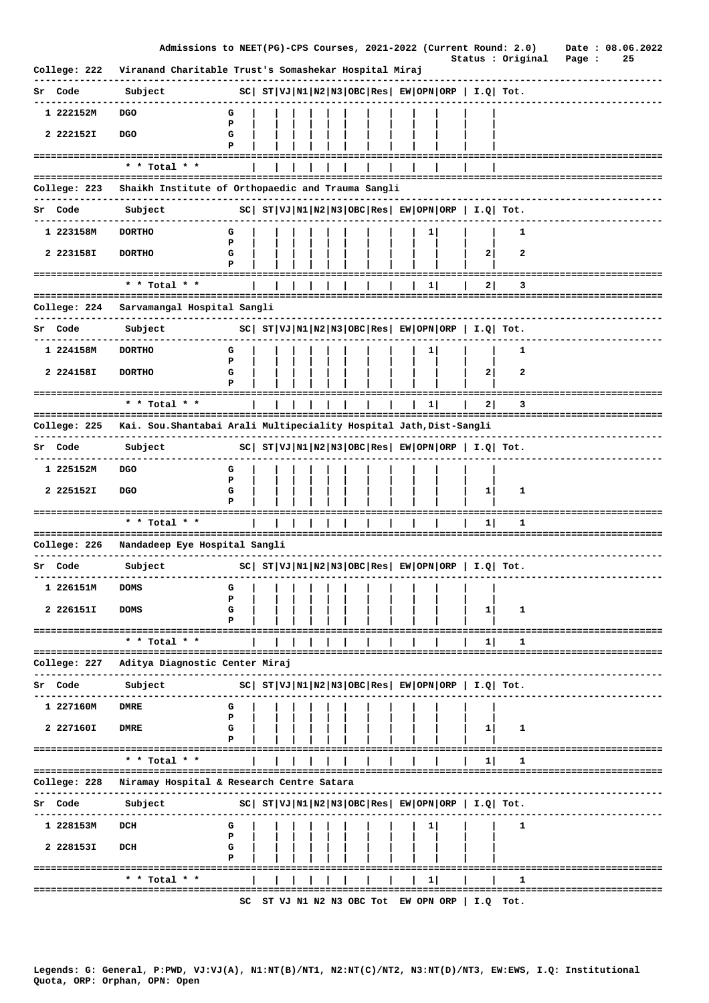|              | Admissions to NEET(PG)-CPS Courses, 2021-2022 (Current Round: 2.0)  |             |  |  |  |  |    |                                                            | Status : Original      | Page :                          | Date: 08.06.2022<br>25 |  |
|--------------|---------------------------------------------------------------------|-------------|--|--|--|--|----|------------------------------------------------------------|------------------------|---------------------------------|------------------------|--|
| College: 222 | Viranand Charitable Trust's Somashekar Hospital Miraj               |             |  |  |  |  |    |                                                            |                        |                                 |                        |  |
| Sr Code      | Subject                                                             |             |  |  |  |  |    | $ SC $ $ST VJ N1 N2 N3 OBC Res EW OPN ORP  I.Q  Tot.$      |                        |                                 |                        |  |
| 1 222152M    | <b>DGO</b>                                                          | G           |  |  |  |  |    |                                                            |                        |                                 |                        |  |
| 2 222152I    | <b>DGO</b>                                                          | P<br>G<br>P |  |  |  |  |    |                                                            |                        |                                 |                        |  |
|              | --------------------------------------                              |             |  |  |  |  |    |                                                            |                        |                                 |                        |  |
|              | * * Total * *<br>==================================                 |             |  |  |  |  |    |                                                            |                        |                                 |                        |  |
| College: 223 | Shaikh Institute of Orthopaedic and Trauma Sangli                   |             |  |  |  |  |    |                                                            |                        |                                 |                        |  |
| Sr Code      | Subject                                                             |             |  |  |  |  |    | $ SC $ $ST VJ N1 N2 N3 OBC Res EW OPN ORP I.Q Tot.$        |                        |                                 |                        |  |
| 1 223158M    | <b>DORTHO</b>                                                       | G           |  |  |  |  | ı  |                                                            | 1                      |                                 |                        |  |
| 2 223158I    | <b>DORTHO</b>                                                       | P<br>G<br>Р |  |  |  |  |    | 2                                                          | 2                      |                                 |                        |  |
|              | * * Total * *                                                       |             |  |  |  |  | 1  | 2                                                          | з                      |                                 |                        |  |
| College: 224 | Sarvamangal Hospital Sangli                                         |             |  |  |  |  |    |                                                            |                        |                                 |                        |  |
| Sr Code      |                                                                     |             |  |  |  |  |    | $ SC $ $ST VJ N1 N2 N3 OBC Res  EW OPN ORP   I.Q  Tot.$    |                        |                                 |                        |  |
|              | Subject                                                             |             |  |  |  |  |    |                                                            |                        |                                 |                        |  |
| 1 224158M    | <b>DORTHO</b>                                                       | G<br>P      |  |  |  |  | ı  |                                                            | 1                      |                                 |                        |  |
| 2 224158I    | <b>DORTHO</b>                                                       | G<br>P      |  |  |  |  |    | $\mathbf{2}$                                               | 2                      |                                 |                        |  |
|              | ====================================                                |             |  |  |  |  |    |                                                            |                        |                                 |                        |  |
|              | * * Total * *<br>-----------------------                            |             |  |  |  |  | 11 | 21                                                         | 3<br>================= |                                 |                        |  |
| College: 225 | Kai. Sou. Shantabai Arali Multipeciality Hospital Jath, Dist-Sangli |             |  |  |  |  |    |                                                            |                        |                                 |                        |  |
| Sr Code      | Subject                                                             |             |  |  |  |  |    | $ SC $ $ST VJ N1 N2 N3 OBC Res  EW OPN ORP   I.Q  Tot.$    |                        |                                 |                        |  |
| 1 225152M    | <b>DGO</b>                                                          | G           |  |  |  |  |    |                                                            |                        |                                 |                        |  |
| 2 225152I    | <b>DGO</b>                                                          | Р<br>G<br>P |  |  |  |  |    | $\mathbf{1}$                                               | 1                      |                                 |                        |  |
|              |                                                                     |             |  |  |  |  |    |                                                            |                        |                                 |                        |  |
|              | $*$ * Total * *                                                     |             |  |  |  |  |    | 1                                                          | 1                      | =============================== |                        |  |
| College: 226 | Nandadeep Eye Hospital Sangli                                       |             |  |  |  |  |    |                                                            |                        |                                 |                        |  |
| Sr Code      | Subject                                                             |             |  |  |  |  |    | $ SC $ $ST VJ N1 N2 N3 OBC Res EW OPN ORP I.Q Tot.$        |                        |                                 |                        |  |
| 1 226151M    | <b>DOMS</b>                                                         | G           |  |  |  |  |    |                                                            |                        |                                 |                        |  |
| 2 226151I    | <b>DOMS</b>                                                         | P<br>G      |  |  |  |  |    | 1                                                          | 1                      |                                 |                        |  |
|              | ====================================                                | Р           |  |  |  |  |    |                                                            |                        |                                 |                        |  |
|              | * * Total * *                                                       |             |  |  |  |  |    | ᅬ                                                          | 1                      |                                 |                        |  |
| College: 227 | ===========================<br>Aditya Diagnostic Center Miraj       |             |  |  |  |  |    |                                                            |                        |                                 |                        |  |
| Sr Code      | Subject                                                             |             |  |  |  |  |    | $ SC $ $ST VJ N1 N2 N3 OBC Res $ $EW OPN ORP$   $I.Q$ Tot. |                        |                                 |                        |  |
| 1 227160M    | <b>DMRE</b>                                                         | G           |  |  |  |  |    |                                                            |                        |                                 |                        |  |
|              |                                                                     | P           |  |  |  |  |    |                                                            |                        |                                 |                        |  |
| 2 227160I    | <b>DMRE</b>                                                         | G<br>P      |  |  |  |  |    | 11                                                         | 1                      |                                 |                        |  |
|              | * * Total * *                                                       |             |  |  |  |  |    | 1                                                          | 1                      |                                 |                        |  |
|              |                                                                     |             |  |  |  |  |    |                                                            |                        |                                 |                        |  |
| College: 228 | Niramay Hospital & Research Centre Satara                           |             |  |  |  |  |    |                                                            |                        |                                 |                        |  |
| Sr Code      | Subject                                                             |             |  |  |  |  |    | $ SC $ $ST VJ N1 N2 N3 OBC Res EW OPN ORP  I.Q  Tot.$      |                        |                                 |                        |  |
| 1 228153M    | DCH                                                                 | G<br>P      |  |  |  |  | ı  |                                                            | 1                      |                                 |                        |  |
| 2 228153I    | DCH                                                                 | G           |  |  |  |  |    |                                                            |                        |                                 |                        |  |
|              | ===================================                                 | Р           |  |  |  |  |    |                                                            |                        |                                 |                        |  |
|              | $*$ * Total * *                                                     |             |  |  |  |  | 1  |                                                            | 1                      |                                 |                        |  |
|              |                                                                     |             |  |  |  |  |    | SC ST VJ N1 N2 N3 OBC Tot EW OPN ORP $ $ I.Q Tot.          |                        |                                 |                        |  |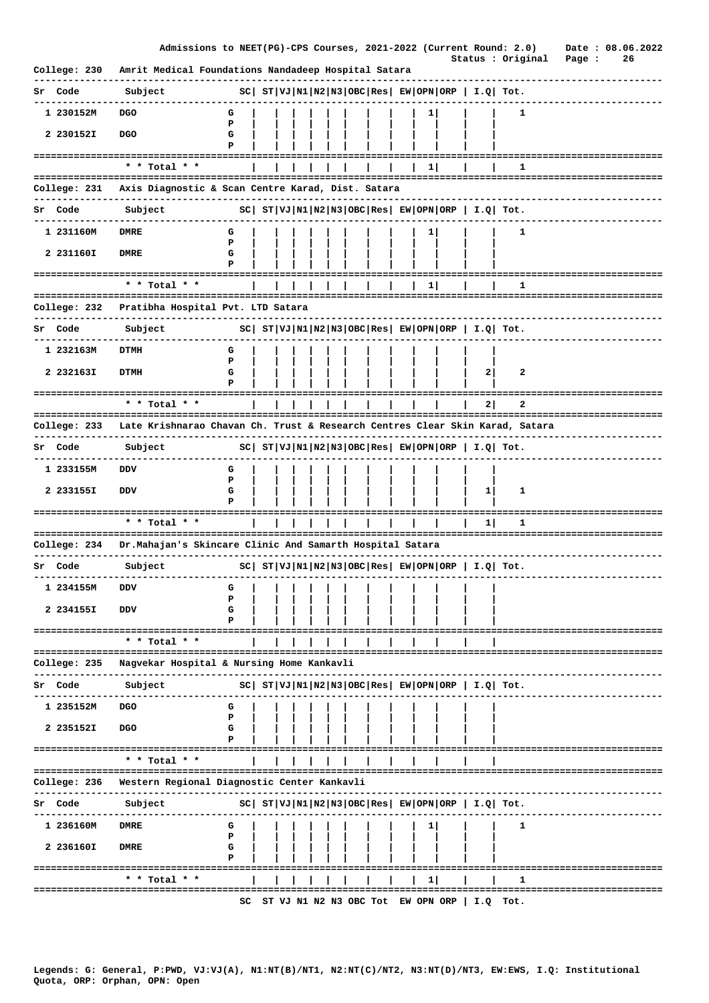|                              | Admissions to NEET(PG)-CPS Courses, 2021-2022 (Current Round: 2.0)                  |             |  |  |  |  |          |                                   | Status : Original                                           |          |                                 | Page : | 26 | Date: 08.06.2022       |
|------------------------------|-------------------------------------------------------------------------------------|-------------|--|--|--|--|----------|-----------------------------------|-------------------------------------------------------------|----------|---------------------------------|--------|----|------------------------|
| College: 230                 | Amrit Medical Foundations Nandadeep Hospital Satara                                 |             |  |  |  |  |          |                                   |                                                             |          |                                 |        |    |                        |
| Sr Code                      | Subject                                                                             |             |  |  |  |  |          |                                   | $ SC $ $ST VJ N1 N2 N3 OBC Res  EW OPN ORP   I.Q  Tot.$     |          |                                 |        |    |                        |
| 1 230152M                    | <b>DGO</b>                                                                          | G<br>P      |  |  |  |  | 1        |                                   |                                                             | 1        |                                 |        |    |                        |
| 2 230152I                    | <b>DGO</b>                                                                          | G<br>P      |  |  |  |  |          |                                   |                                                             |          |                                 |        |    |                        |
|                              |                                                                                     |             |  |  |  |  |          |                                   | ========================                                    |          |                                 |        |    |                        |
|                              | * * Total * *                                                                       |             |  |  |  |  | $1\vert$ |                                   |                                                             | 1        | =============================== |        |    |                        |
| College: 231                 | Axis Diagnostic & Scan Centre Karad, Dist. Satara                                   |             |  |  |  |  |          |                                   |                                                             |          |                                 |        |    |                        |
| Sr Code                      | Subject                                                                             |             |  |  |  |  |          |                                   | $ SC $ $ST VJ N1 N2 N3 OBC Res $ $EW OPN ORP$   $I.Q$ Tot.  |          |                                 |        |    |                        |
| 1 231160M                    | DMRE                                                                                | G           |  |  |  |  | ı        |                                   |                                                             | 1        |                                 |        |    |                        |
| 2 231160I                    | <b>DMRE</b>                                                                         | P<br>G<br>P |  |  |  |  |          |                                   |                                                             |          |                                 |        |    |                        |
|                              | * * Total * *                                                                       |             |  |  |  |  | ı        |                                   |                                                             | ı        |                                 |        |    |                        |
| College: 232                 | Pratibha Hospital Pvt. LTD Satara                                                   |             |  |  |  |  |          |                                   |                                                             |          | ==============================  |        |    |                        |
|                              |                                                                                     |             |  |  |  |  |          |                                   |                                                             |          |                                 |        |    |                        |
| Sr Code                      | Subject                                                                             |             |  |  |  |  |          |                                   | $ SC $ $ST VJ N1 N2 N3 OBC Res $ $EW OPN ORP$   $I.Q$ Tot.  |          |                                 |        |    |                        |
| 1 232163M                    | DTMH                                                                                | G<br>P      |  |  |  |  |          |                                   |                                                             |          |                                 |        |    |                        |
| 2 232163I                    | <b>DTMH</b>                                                                         | G           |  |  |  |  |          |                                   | $\mathbf{2}$                                                | 2        |                                 |        |    |                        |
|                              | ==============================<br>* * Total * *                                     |             |  |  |  |  |          |                                   |                                                             | 2        |                                 |        |    |                        |
|                              | =======================                                                             |             |  |  |  |  |          |                                   | 2                                                           |          |                                 |        |    | ====================== |
| College: 233                 | Late Krishnarao Chavan Ch. Trust & Research Centres Clear Skin Karad, Satara        |             |  |  |  |  |          |                                   |                                                             |          |                                 |        |    |                        |
| Sr Code                      | Subject                                                                             |             |  |  |  |  |          |                                   | $ SC $ $ST VJ N1 N2 N3 OBC Res  EW OPN ORP   I.Q  Tot.$     |          |                                 |        |    |                        |
| 1 233155M                    | vסם                                                                                 | G<br>P      |  |  |  |  |          |                                   |                                                             |          |                                 |        |    |                        |
| 2 233155I                    | DDV                                                                                 | G<br>Р      |  |  |  |  |          |                                   | $\mathbf{1}$                                                | 1        |                                 |        |    |                        |
| ============================ | * * Total * *                                                                       |             |  |  |  |  |          |                                   | 1                                                           | 1        |                                 |        |    |                        |
|                              |                                                                                     |             |  |  |  |  |          |                                   |                                                             |          |                                 |        |    |                        |
| College: 234                 | Dr.Mahajan's Skincare Clinic And Samarth Hospital Satara                            |             |  |  |  |  |          |                                   |                                                             |          |                                 |        |    |                        |
| Sr Code                      | Subject                                                                             |             |  |  |  |  |          |                                   | $ SC $ $ST VJ N1 N2 N3 OBC Res EW OPN ORP I.Q Tot.$         |          |                                 |        |    |                        |
| 1 234155M                    | DDV                                                                                 | G<br>Р      |  |  |  |  |          |                                   |                                                             |          |                                 |        |    |                        |
| 2 234155I                    | DDV                                                                                 | G<br>Р      |  |  |  |  |          |                                   |                                                             |          |                                 |        |    |                        |
|                              | =========================<br>* * Total * *                                          |             |  |  |  |  |          |                                   |                                                             |          |                                 |        |    |                        |
| College: 235                 | --------------------------------------<br>Nagvekar Hospital & Nursing Home Kankavli |             |  |  |  |  |          |                                   |                                                             |          |                                 |        |    |                        |
|                              |                                                                                     |             |  |  |  |  |          |                                   |                                                             |          |                                 |        |    |                        |
| Code                         | Subject                                                                             |             |  |  |  |  |          |                                   | $ SC $ $ST VJ N1 N2 N3 OBC Res $ $EW OPN ORP $ $I.Q$ $Tot.$ |          |                                 |        |    |                        |
| 1 235152M                    | <b>DGO</b>                                                                          | G<br>Р      |  |  |  |  |          |                                   |                                                             |          |                                 |        |    |                        |
| 2 235152I                    | <b>DGO</b>                                                                          | G<br>Р      |  |  |  |  |          |                                   |                                                             |          |                                 |        |    |                        |
|                              | ====================================<br>* * Total * *                               |             |  |  |  |  |          |                                   |                                                             |          |                                 |        |    |                        |
|                              |                                                                                     |             |  |  |  |  |          |                                   |                                                             |          |                                 |        |    |                        |
| College: 236                 | Western Regional Diagnostic Center Kankavli                                         |             |  |  |  |  |          |                                   |                                                             |          |                                 |        |    |                        |
| Sr Code                      | Subject                                                                             |             |  |  |  |  |          |                                   | $ SC $ $ST VJ N1 N2 N3 OBC Res EW OPN ORP  I.Q  Tot.$       |          |                                 |        |    |                        |
| 1 236160M                    | <b>DMRE</b>                                                                         | G           |  |  |  |  |          |                                   |                                                             | 1        |                                 |        |    |                        |
| 2 236160I                    | DMRE                                                                                | P<br>G      |  |  |  |  |          |                                   |                                                             |          |                                 |        |    |                        |
|                              |                                                                                     | Р           |  |  |  |  |          |                                   |                                                             |          |                                 |        |    |                        |
|                              | * * Total * *<br>======================                                             |             |  |  |  |  | $1\vert$ |                                   |                                                             | 1        | =============================   |        |    |                        |
|                              |                                                                                     | SC          |  |  |  |  |          | ST VJ N1 N2 N3 OBC Tot EW OPN ORP |                                                             | I.Q Tot. |                                 |        |    |                        |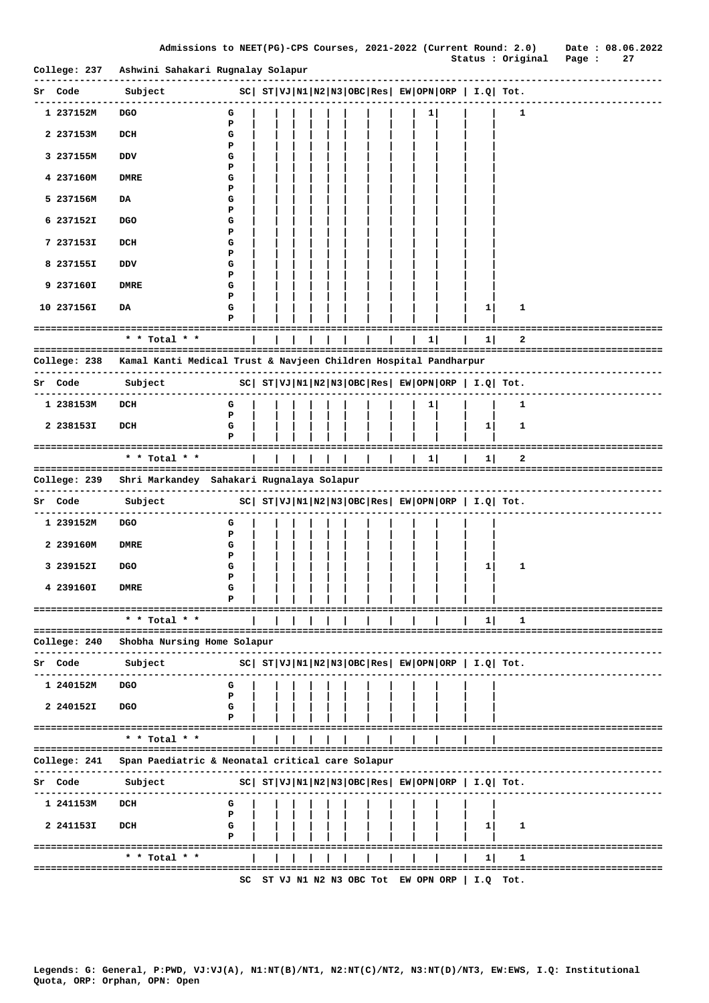|  |  |  |  |  |  | Admissions to NEET(PG)-CPS Courses, 2021–2022 (Current Round: 2.0) |  |  |  |  |
|--|--|--|--|--|--|--------------------------------------------------------------------|--|--|--|--|
|--|--|--|--|--|--|--------------------------------------------------------------------|--|--|--|--|

Date: 08.06.2022 Status : Original Page : 27

| College: 237   | Ashwini Sahakari Rugnalay Solapur                                                              |                                                              |  |  |  |                                   |          |                                                            | status . Oiiginai rage .              |  |  |
|----------------|------------------------------------------------------------------------------------------------|--------------------------------------------------------------|--|--|--|-----------------------------------|----------|------------------------------------------------------------|---------------------------------------|--|--|
| Sr Code        | Subject                                                                                        | $ SC $ $ST VJ N1 N2 N3 OBC Res $ $EW OPN ORP $ $I.Q $ $Tot.$ |  |  |  |                                   |          |                                                            |                                       |  |  |
| 1 237152M      | <b>DGO</b>                                                                                     | G                                                            |  |  |  | 1                                 |          |                                                            | 1                                     |  |  |
| 2 237153M      | DCH                                                                                            | P<br>G                                                       |  |  |  |                                   |          |                                                            |                                       |  |  |
| 3 237155M      | DDV                                                                                            | Р<br>G                                                       |  |  |  |                                   |          |                                                            |                                       |  |  |
| 4 237160M      | <b>DMRE</b>                                                                                    | Р<br>G                                                       |  |  |  |                                   |          |                                                            |                                       |  |  |
| 5 237156M      | DA                                                                                             | Р<br>G                                                       |  |  |  |                                   |          |                                                            |                                       |  |  |
| 6 237152I      |                                                                                                | Р<br>G                                                       |  |  |  |                                   |          |                                                            |                                       |  |  |
|                | <b>DGO</b>                                                                                     | Р                                                            |  |  |  |                                   |          |                                                            |                                       |  |  |
| 7 237153I      | DCH                                                                                            | G<br>Р                                                       |  |  |  |                                   |          |                                                            |                                       |  |  |
| 8 237155I      | VQ                                                                                             | G<br>Р                                                       |  |  |  |                                   |          |                                                            |                                       |  |  |
| 9 237160I      | <b>DMRE</b>                                                                                    | G<br>Р                                                       |  |  |  |                                   |          |                                                            |                                       |  |  |
| 10 237156I     | DA                                                                                             | G<br>Р                                                       |  |  |  |                                   |          | 1                                                          | 1                                     |  |  |
|                | * * Total * *                                                                                  |                                                              |  |  |  |                                   | $1\vert$ | 1<br>$\mathbf{I}$                                          | :===============================<br>2 |  |  |
|                |                                                                                                |                                                              |  |  |  |                                   |          |                                                            |                                       |  |  |
| -----------    | College: 238 Kamal Kanti Medical Trust & Navjeen Children Hospital Pandharpur<br>------------- |                                                              |  |  |  |                                   |          |                                                            |                                       |  |  |
| <b>Sr</b> Code | Subject                                                                                        |                                                              |  |  |  |                                   |          | $ SC $ $ST VJ N1 N2 N3 OBC Res $ $EW OPN ORP$   $I.Q$ Tot. |                                       |  |  |
| 1 238153M      | DCH                                                                                            | G<br>Р                                                       |  |  |  | 1                                 |          |                                                            | 1                                     |  |  |
| 2 238153I      | DCH                                                                                            | G<br>Р                                                       |  |  |  |                                   |          | 1                                                          | 1                                     |  |  |
|                | * * Total * *                                                                                  |                                                              |  |  |  |                                   | 1        | 1                                                          | 2                                     |  |  |
| College: 239   | Shri Markandey  Sahakari Rugnalaya Solapur                                                     |                                                              |  |  |  |                                   |          |                                                            |                                       |  |  |
| Sr Code        | ----------------------------<br>Subject                                                        | $ SC $ $ST VJ N1 N2 N3 OBC Res $ $EW OPN ORP $ $I.Q $ $Tot.$ |  |  |  |                                   |          |                                                            | ------------------------------        |  |  |
|                |                                                                                                |                                                              |  |  |  |                                   |          |                                                            |                                       |  |  |
| 1 239152M      | <b>DGO</b>                                                                                     | G<br>P                                                       |  |  |  |                                   |          |                                                            |                                       |  |  |
| 2 239160M      | <b>DMRE</b>                                                                                    | G<br>Р                                                       |  |  |  |                                   |          |                                                            |                                       |  |  |
| 3 239152I      | <b>DGO</b>                                                                                     | G<br>Р                                                       |  |  |  |                                   |          | 1                                                          | 1                                     |  |  |
| 4 239160I      | <b>DMRE</b>                                                                                    | G<br>Р                                                       |  |  |  |                                   |          |                                                            |                                       |  |  |
|                | -------------------------------------<br>* * Total * *                                         |                                                              |  |  |  |                                   |          | 1                                                          |                                       |  |  |
| College: 240   | =====================================<br>Shobha Nursing Home Solapur                           |                                                              |  |  |  |                                   |          |                                                            |                                       |  |  |
|                |                                                                                                |                                                              |  |  |  |                                   |          |                                                            |                                       |  |  |
| Sr Code        | Subject                                                                                        |                                                              |  |  |  |                                   |          | $ SC $ $ST VJ N1 N2 N3 OBC Res EW OPN ORP  I.Q  Tot.$      |                                       |  |  |
| 1 240152M      | <b>DGO</b>                                                                                     | G<br>P                                                       |  |  |  |                                   |          |                                                            |                                       |  |  |
| 2 240152I      | <b>DGO</b>                                                                                     | G<br>Р                                                       |  |  |  |                                   |          |                                                            |                                       |  |  |
|                | * * Total * *                                                                                  |                                                              |  |  |  |                                   |          |                                                            |                                       |  |  |
| College: 241   | Span Paediatric & Neonatal critical care Solapur                                               |                                                              |  |  |  |                                   |          |                                                            |                                       |  |  |
|                |                                                                                                |                                                              |  |  |  |                                   |          |                                                            |                                       |  |  |
| Sr Code        | Subject                                                                                        |                                                              |  |  |  |                                   |          | $ SC $ $ST VJ N1 N2 N3 OBC Res EW OPN ORP  I.Q  Tot.$      |                                       |  |  |
| 1 241153M      | DCH                                                                                            | G<br>P                                                       |  |  |  |                                   |          |                                                            |                                       |  |  |
| 2 241153I      | DCH                                                                                            | G<br>P                                                       |  |  |  |                                   |          | 1                                                          | 1                                     |  |  |
|                | ===================================<br>* * Total * *                                           |                                                              |  |  |  |                                   |          | 1 I                                                        | 1                                     |  |  |
|                |                                                                                                | sc                                                           |  |  |  | ST VJ N1 N2 N3 OBC Tot EW OPN ORP |          |                                                            | $I.Q$ Tot.                            |  |  |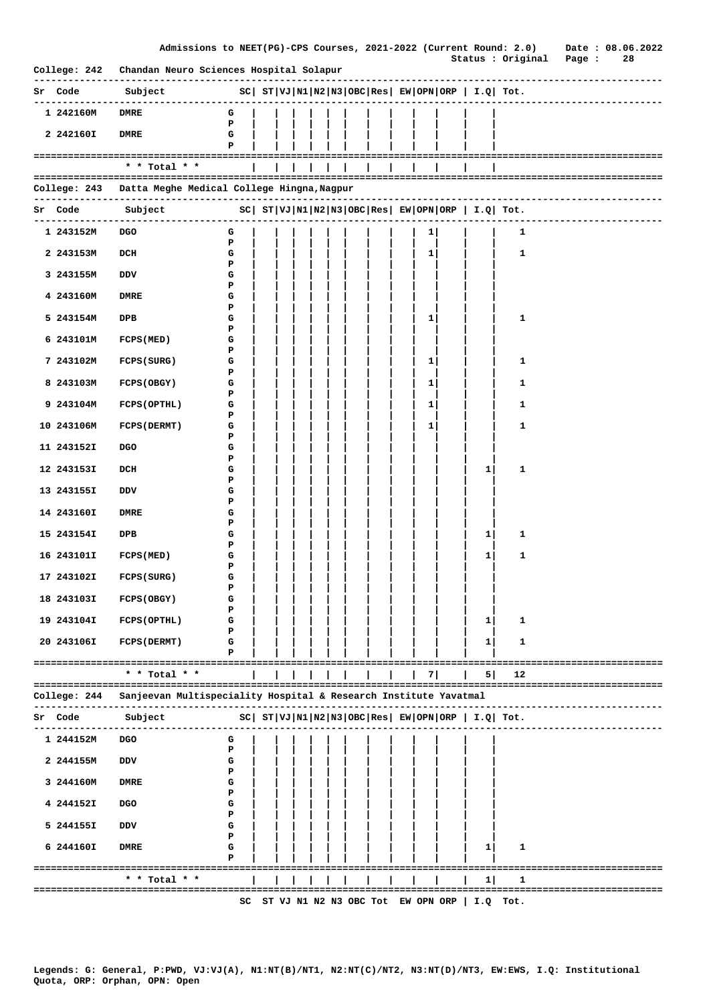|                |                                                                  |                                                              |  |  |  |  |              |              | Admissions to NEET(PG)-CPS Courses, 2021-2022 (Current Round: 2.0) Date : 08.06.2022 |                       |    |  |
|----------------|------------------------------------------------------------------|--------------------------------------------------------------|--|--|--|--|--------------|--------------|--------------------------------------------------------------------------------------|-----------------------|----|--|
|                | College: 242 Chandan Neuro Sciences Hospital Solapur             |                                                              |  |  |  |  |              |              | Status : Original Page :<br>------------------------------                           |                       | 28 |  |
| <b>Sr Code</b> | Subject                                                          | $ SC $ $ST VJ N1 N2 N3 OBC Res $ $EW OPN ORP $ $I.Q $ $Tot.$ |  |  |  |  |              |              |                                                                                      |                       |    |  |
| 1 242160M      | <b>DMRE</b>                                                      | G<br>P                                                       |  |  |  |  |              |              |                                                                                      |                       |    |  |
| 2 242160I      | <b>DMRE</b>                                                      | G<br>P                                                       |  |  |  |  |              |              |                                                                                      |                       |    |  |
|                | ====================================<br>$*$ * Total * *          |                                                              |  |  |  |  |              |              |                                                                                      |                       |    |  |
| College: 243   | Datta Meghe Medical College Hingna, Nagpur                       |                                                              |  |  |  |  |              |              |                                                                                      |                       |    |  |
| <b>Sr Code</b> | Subject                                                          |                                                              |  |  |  |  |              |              | $ SC $ $ST VJ N1 N2 N3 OBC Res $ $EW OPN ORP $ $I.Q $ $Tot.$                         |                       |    |  |
| 1 243152M      | DGO                                                              | G                                                            |  |  |  |  | 1            |              | 1                                                                                    |                       |    |  |
| 2 243153M      |                                                                  | P<br>G                                                       |  |  |  |  |              |              | 1                                                                                    |                       |    |  |
|                | DCH                                                              | P                                                            |  |  |  |  | 1            |              |                                                                                      |                       |    |  |
| 3 243155M      | DDV                                                              | G<br>Р                                                       |  |  |  |  |              |              |                                                                                      |                       |    |  |
| 4 243160M      | DMRE                                                             | G<br>Р                                                       |  |  |  |  |              |              |                                                                                      |                       |    |  |
| 5 243154M      | DPB                                                              | G<br>Р                                                       |  |  |  |  | $\mathbf{1}$ |              | 1                                                                                    |                       |    |  |
| 6 243101M      | <b>FCPS (MED)</b>                                                | G<br>Р                                                       |  |  |  |  |              |              |                                                                                      |                       |    |  |
| 7 243102M      | FCPS (SURG)                                                      | G                                                            |  |  |  |  | 1            |              | 1                                                                                    |                       |    |  |
| 8 243103M      | FCPS (OBGY)                                                      | P<br>G                                                       |  |  |  |  | $\mathbf{1}$ |              | 1                                                                                    |                       |    |  |
| 9 243104M      | <b>FCPS (OPTHL)</b>                                              | P<br>G                                                       |  |  |  |  | 1            |              | 1                                                                                    |                       |    |  |
| 10 243106M     | <b>FCPS (DERMT)</b>                                              | P<br>G                                                       |  |  |  |  | $\mathbf{1}$ |              | 1                                                                                    |                       |    |  |
| 11 243152I     | <b>DGO</b>                                                       | P<br>G                                                       |  |  |  |  |              |              |                                                                                      |                       |    |  |
| 12 243153I     | DCH                                                              | P<br>G                                                       |  |  |  |  |              | $\mathbf{1}$ | 1                                                                                    |                       |    |  |
| 13 243155I     | DDV                                                              | P<br>G                                                       |  |  |  |  |              |              |                                                                                      |                       |    |  |
|                |                                                                  | Р                                                            |  |  |  |  |              |              |                                                                                      |                       |    |  |
| 14 243160I     | DMRE                                                             | G<br>P                                                       |  |  |  |  |              |              |                                                                                      |                       |    |  |
| 15 243154I     | DPB                                                              | G<br>Р                                                       |  |  |  |  |              | $\mathbf{1}$ | 1                                                                                    |                       |    |  |
| 16 243101I     | FCPS (MED)                                                       | G<br>P                                                       |  |  |  |  |              | $\mathbf{1}$ | 1                                                                                    |                       |    |  |
| 17 243102I     | <b>FCPS (SURG)</b>                                               | G<br>Р                                                       |  |  |  |  |              |              |                                                                                      |                       |    |  |
| 18 243103I     | FCPS (OBGY)                                                      | G                                                            |  |  |  |  |              |              |                                                                                      |                       |    |  |
| 19 243104I     | FCPS (OPTHL)                                                     | Р<br>G                                                       |  |  |  |  |              | 1            | 1                                                                                    |                       |    |  |
| 20 243106I     | <b>FCPS (DERMT)</b>                                              | Р<br>G                                                       |  |  |  |  |              | $\mathbf{1}$ | 1                                                                                    |                       |    |  |
|                |                                                                  | Р                                                            |  |  |  |  |              |              |                                                                                      |                       |    |  |
|                | * * Total * *                                                    |                                                              |  |  |  |  | 7            | 5            | 12                                                                                   |                       |    |  |
| College: 244   | Sanjeevan Multispeciality Hospital & Research Institute Yavatmal |                                                              |  |  |  |  |              |              |                                                                                      |                       |    |  |
| Sr Code        | Subject                                                          |                                                              |  |  |  |  |              |              | $ SC $ $ST VJ N1 N2 N3 OBC Res $ $EW OPN ORP $ $I.Q$ $Tot.$                          |                       |    |  |
| 1 244152M      | <b>DGO</b>                                                       | G<br>Р                                                       |  |  |  |  |              |              |                                                                                      |                       |    |  |
| 2 244155M      | DDV                                                              | G                                                            |  |  |  |  |              |              |                                                                                      |                       |    |  |
| 3 244160M      | <b>DMRE</b>                                                      | Р<br>G                                                       |  |  |  |  |              |              |                                                                                      |                       |    |  |
| 4 244152I      | <b>DGO</b>                                                       | Р<br>G                                                       |  |  |  |  |              |              |                                                                                      |                       |    |  |
| 5 244155I      | DDV                                                              | Р<br>G                                                       |  |  |  |  |              |              |                                                                                      |                       |    |  |
| 6 244160I      | <b>DMRE</b>                                                      | Р<br>G                                                       |  |  |  |  |              | $\mathbf{1}$ | 1                                                                                    |                       |    |  |
|                | ==========================                                       | P                                                            |  |  |  |  |              |              |                                                                                      |                       |    |  |
|                | * * Total * *<br>====================                            |                                                              |  |  |  |  |              | 1            | 1                                                                                    | ===================== |    |  |
|                |                                                                  |                                                              |  |  |  |  |              |              | SC ST VJ N1 N2 N3 OBC Tot EW OPN ORP   I.Q Tot.                                      |                       |    |  |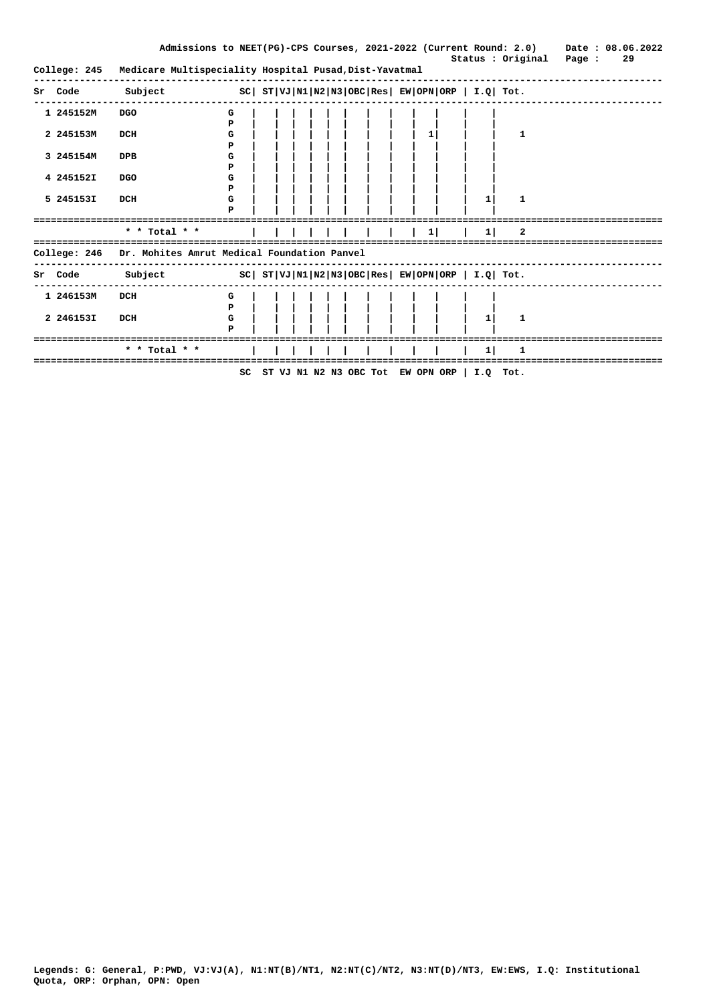|              |                                                                     |        |  |                                                  |           | Status : Original Page : | Admissions to NEET(PG)-CPS Courses, 2021-2022 (Current Round: 2.0) Date: 08.06.2022<br>29 |  |
|--------------|---------------------------------------------------------------------|--------|--|--------------------------------------------------|-----------|--------------------------|-------------------------------------------------------------------------------------------|--|
| College: 245 | Medicare Multispeciality Hospital Pusad, Dist-Yavatmal              |        |  |                                                  |           |                          |                                                                                           |  |
| Sr Code      | Subject                                                             |        |  | $SC  ST VJ N1 N2 N3 OBC Res EW OPN ORP I.Q Tot.$ |           |                          |                                                                                           |  |
| 1 245152M    | DGO                                                                 | G<br>Р |  |                                                  |           |                          |                                                                                           |  |
| 2 245153M    | DCH                                                                 | G<br>P |  | 1 <sup>1</sup>                                   |           | 1                        |                                                                                           |  |
| 3 245154M    | DPB                                                                 | G<br>P |  |                                                  |           |                          |                                                                                           |  |
| 4 245152I    | <b>DGO</b>                                                          | G<br>P |  |                                                  |           |                          |                                                                                           |  |
| 5 245153I    | DCH                                                                 | G<br>P |  |                                                  | 1         | 1                        |                                                                                           |  |
|              |                                                                     |        |  |                                                  |           |                          |                                                                                           |  |
|              | * * Total * *                                                       |        |  | 1 <sup>1</sup>                                   | $1 \vert$ | $\mathbf{2}$             |                                                                                           |  |
| College: 246 | Dr. Mohites Amrut Medical Foundation Panvel                         |        |  |                                                  |           |                          |                                                                                           |  |
|              | Sr Code Subject $SC  ST VJ N1 N2 N3 OBC Res  EW OPN ORP  I.Q  Tot.$ |        |  |                                                  |           |                          |                                                                                           |  |
| 1 246153M    | DCH                                                                 | G<br>P |  |                                                  |           |                          |                                                                                           |  |
| 2 246153I    | DCH                                                                 | G<br>P |  |                                                  | 1         | 1                        |                                                                                           |  |
|              |                                                                     |        |  |                                                  |           |                          |                                                                                           |  |
|              | * * Total * *                                                       |        |  |                                                  | 1         |                          |                                                                                           |  |
|              |                                                                     | SC     |  | ST VJ N1 N2 N3 OBC Tot EW OPN ORP   I.Q Tot.     |           |                          |                                                                                           |  |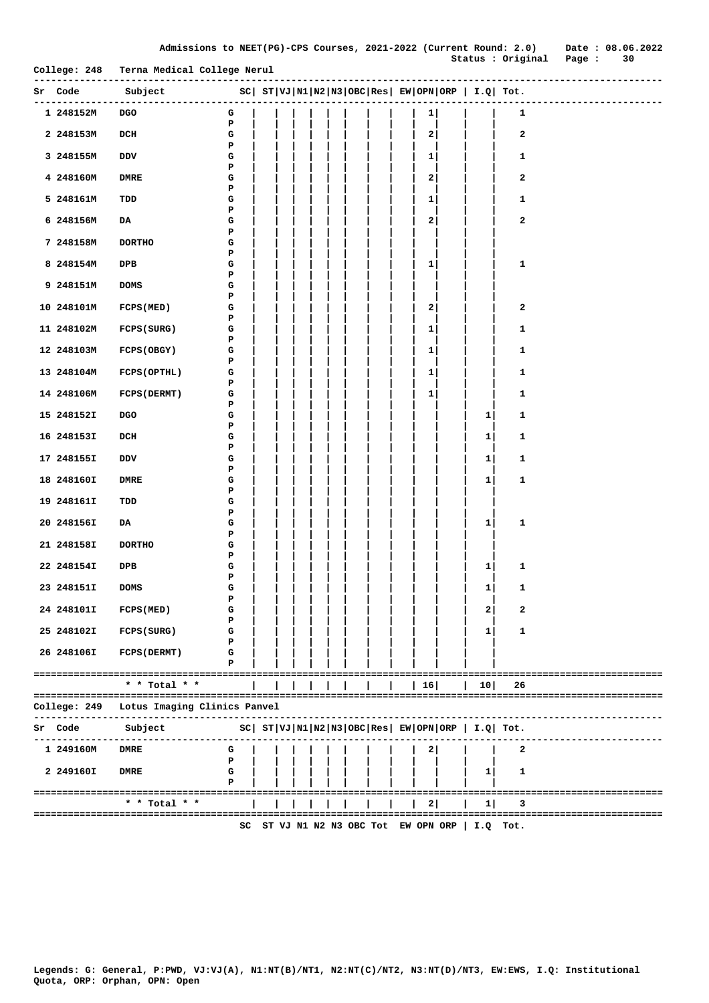|       |                           |                                                              | Р           |         |  |  |  |    |                                   |              |                                                                                                                                                                                                                                   |                        |
|-------|---------------------------|--------------------------------------------------------------|-------------|---------|--|--|--|----|-----------------------------------|--------------|-----------------------------------------------------------------------------------------------------------------------------------------------------------------------------------------------------------------------------------|------------------------|
|       | 5 248161M                 | TDD                                                          | G<br>P      |         |  |  |  | 1  |                                   |              | 1                                                                                                                                                                                                                                 |                        |
|       | 6 248156M                 | DA                                                           | G<br>P      |         |  |  |  | 2  |                                   |              | 2                                                                                                                                                                                                                                 |                        |
|       | 7 248158M                 | <b>DORTHO</b>                                                | G           |         |  |  |  |    |                                   |              |                                                                                                                                                                                                                                   |                        |
|       | 8 248154M                 | DPB                                                          | P<br>G<br>P |         |  |  |  | 1  |                                   |              | $\mathbf{1}$                                                                                                                                                                                                                      |                        |
|       | 9 248151M                 | <b>DOMS</b>                                                  | G<br>P      |         |  |  |  |    |                                   |              |                                                                                                                                                                                                                                   |                        |
|       | 10 248101M                | <b>FCPS (MED)</b>                                            | G<br>P      |         |  |  |  | 2  |                                   |              | $\mathbf{2}$                                                                                                                                                                                                                      |                        |
|       | 11 248102M                | FCPS (SURG)                                                  | G           |         |  |  |  | 1  |                                   |              | $\mathbf{1}$                                                                                                                                                                                                                      |                        |
|       | 12 248103M                | FCPS (OBGY)                                                  | Р<br>G<br>Р |         |  |  |  | 1  |                                   |              | $\mathbf{1}$                                                                                                                                                                                                                      |                        |
|       | 13 248104M                | <b>FCPS (OPTHL)</b>                                          | G<br>Р      |         |  |  |  | 1  |                                   |              | 1                                                                                                                                                                                                                                 |                        |
|       | 14 248106M                | <b>FCPS (DERMT)</b>                                          | G<br>Р      |         |  |  |  | 1  |                                   |              | 1                                                                                                                                                                                                                                 |                        |
|       | 15 248152I                | <b>DGO</b>                                                   | G<br>Р      |         |  |  |  |    |                                   | $\mathbf{1}$ | 1                                                                                                                                                                                                                                 |                        |
|       | 16 248153I                | DCH                                                          | G           |         |  |  |  |    |                                   | 1            | 1                                                                                                                                                                                                                                 |                        |
|       | 17 248155I                | DDV                                                          | Р<br>G      |         |  |  |  |    |                                   | 1            | 1                                                                                                                                                                                                                                 |                        |
|       | 18 248160I                | <b>DMRE</b>                                                  | P<br>G      |         |  |  |  |    |                                   | 1            | 1                                                                                                                                                                                                                                 |                        |
|       | 19 248161I                | TDD                                                          | P<br>G      |         |  |  |  |    |                                   |              |                                                                                                                                                                                                                                   |                        |
|       | 20 248156I                | DA                                                           | P<br>G<br>P |         |  |  |  |    |                                   | $\mathbf{1}$ | 1                                                                                                                                                                                                                                 |                        |
|       | 21 248158I                | <b>DORTHO</b>                                                | G<br>Р      |         |  |  |  |    |                                   |              |                                                                                                                                                                                                                                   |                        |
|       | 22 248154I                | DPB                                                          | G           |         |  |  |  |    |                                   | $\mathbf{1}$ | 1                                                                                                                                                                                                                                 |                        |
|       | 23 248151I                | <b>DOMS</b>                                                  | Р<br>G      |         |  |  |  |    |                                   | 1            | 1                                                                                                                                                                                                                                 |                        |
|       | 24 248101I                | <b>FCPS (MED)</b>                                            | Р<br>G      |         |  |  |  |    |                                   | 2            | 2                                                                                                                                                                                                                                 |                        |
|       | 25 248102I                | FCPS (SURG)                                                  | Р<br>G<br>Р |         |  |  |  |    |                                   | 1            | 1                                                                                                                                                                                                                                 |                        |
|       | 26 248106I                | <b>FCPS (DERMT)</b>                                          | G<br>Р      |         |  |  |  |    |                                   |              |                                                                                                                                                                                                                                   |                        |
|       |                           | * * Total * *                                                |             | $=$ $=$ |  |  |  | 16 |                                   | 10           | 26                                                                                                                                                                                                                                |                        |
|       | =========<br>College: 249 | ----------------------------<br>Lotus Imaging Clinics Panvel |             |         |  |  |  |    |                                   |              |                                                                                                                                                                                                                                   |                        |
|       | Sr Code                   | Subject                                                      |             |         |  |  |  |    |                                   |              | $SC \left  \begin{array}{l l l} \texttt{ST} & \texttt{VJ} & \texttt{N1} & \texttt{N2} & \texttt{N3} & \texttt{OBC} & \texttt{Res} & \texttt{EW} & \texttt{OPN} & \texttt{ORP} & \texttt{I.Q} & \texttt{Tot.} \end{array} \right.$ |                        |
|       | 1 249160M                 | <b>DMRE</b>                                                  | G           |         |  |  |  | 2  |                                   |              | 2                                                                                                                                                                                                                                 |                        |
|       | 2 249160I                 | DMRE                                                         | P<br>G<br>Р |         |  |  |  |    |                                   | $\mathbf{1}$ | 1                                                                                                                                                                                                                                 |                        |
| ===== |                           |                                                              |             |         |  |  |  |    |                                   |              |                                                                                                                                                                                                                                   | ====================== |
|       |                           | * * Total * *                                                |             |         |  |  |  | 2  |                                   | $\mathbf{1}$ | з                                                                                                                                                                                                                                 |                        |
|       |                           |                                                              | SC          |         |  |  |  |    | ST VJ N1 N2 N3 OBC Tot EW OPN ORP |              | $I.Q$ Tot.                                                                                                                                                                                                                        |                        |

**-------------------------------------------------------------------------------------------------------------- Sr Code Subject SC| ST|VJ|N1|N2|N3|OBC|Res| EW|OPN|ORP | I.Q| Tot.**

**College: 248 Terna Medical College Nerul** 

**--------------------------------------------------------------------------------------------------------------**

 **1 248152M DGO G | | | | | | | | | 1| | | 1 P | | | | | | | | | | | |**

 **2 248153M DCH G | | | | | | | | | 2| | | 2 P | | | | | | | | | | | |**

**3 248155M** DDV  $\begin{array}{c} \mathbf{G} \\ \mathbf{P} \end{array}$   $\begin{array}{c} \begin{array}{c} \mathbf{G} \\ \mathbf{P} \end{array}$   $\begin{array}{ccc} \begin{array}{ccc} \mathbf{G} \\ \mathbf{P} \end{array} & \begin{array}{ccc} \mathbf{I} \\ \mathbf{I} \end{array} & \begin{array}{ccc} \mathbf{I} \\ \mathbf{I} \end{array} & \begin{array}{ccc} \mathbf{I} \\ \mathbf{I} \end{array} & \begin{array}{ccc} \mathbf{I} \\ \mathbf{I} \end{array} & \begin{array$  **P | | | | | | | | | | | | 4 248160M DMRE G | | | | | | | | | 2| | | 2**

 **Status : Original Page : 30**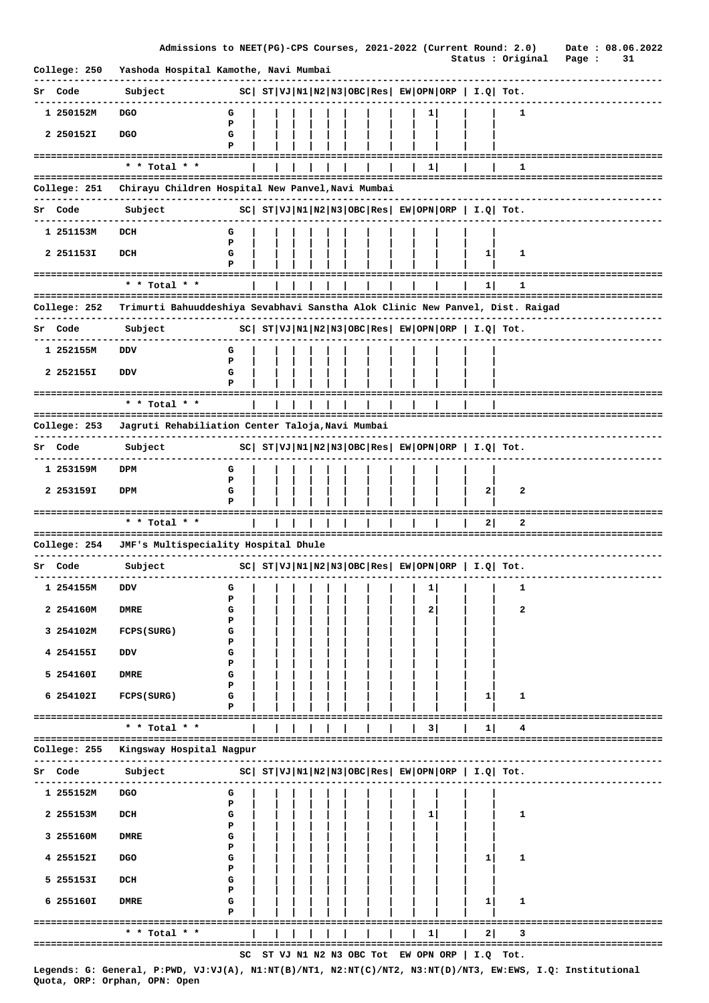|                         | Admissions to NEET(PG)-CPS Courses, 2021-2022 (Current Round: 2.0)                                                  |                                                     |  |  |  |        |          |          |                                                             | Status : Original                                       | Date: 08.06.2022<br>Page : | 31 |  |
|-------------------------|---------------------------------------------------------------------------------------------------------------------|-----------------------------------------------------|--|--|--|--------|----------|----------|-------------------------------------------------------------|---------------------------------------------------------|----------------------------|----|--|
| College: 250            | Yashoda Hospital Kamothe, Navi Mumbai                                                                               |                                                     |  |  |  |        |          |          |                                                             |                                                         |                            |    |  |
| Sr Code                 | Subject                                                                                                             |                                                     |  |  |  |        |          |          |                                                             | $ SC $ $ST VJ N1 N2 N3 OBC Res EW OPN ORP  I.Q  Tot.$   |                            |    |  |
| 1 250152M               | <b>DGO</b>                                                                                                          | G                                                   |  |  |  |        | $1 \mid$ |          |                                                             | 1                                                       |                            |    |  |
| 2 250152I               | <b>DGO</b>                                                                                                          | Р<br>G<br>Р                                         |  |  |  |        |          |          |                                                             |                                                         |                            |    |  |
| ======================= | * * Total * *                                                                                                       |                                                     |  |  |  |        | 1        |          |                                                             | ı                                                       |                            |    |  |
|                         |                                                                                                                     |                                                     |  |  |  |        |          |          |                                                             |                                                         |                            |    |  |
| College: 251            | Chirayu Children Hospital New Panvel, Navi Mumbai                                                                   |                                                     |  |  |  |        |          |          |                                                             |                                                         |                            |    |  |
| Code<br>Sr              | Subject                                                                                                             |                                                     |  |  |  |        |          |          |                                                             | $ SC $ $ST VJ N1 N2 N3 OBC Res  EW OPN ORP   I.Q  Tot.$ |                            |    |  |
| 1 251153M               | DCH                                                                                                                 | G<br>P                                              |  |  |  |        |          |          |                                                             |                                                         |                            |    |  |
| 2 251153I               | DCH                                                                                                                 | G                                                   |  |  |  |        |          |          | $\mathbf{1}$                                                | 1                                                       |                            |    |  |
|                         | =================                                                                                                   | Р                                                   |  |  |  |        |          |          |                                                             |                                                         |                            |    |  |
|                         | * * Total * *                                                                                                       |                                                     |  |  |  |        |          |          | 11                                                          | 1<br>-----------------------------                      |                            |    |  |
| College: 252            | Trimurti Bahuuddeshiya Sevabhavi Sanstha Alok Clinic New Panvel, Dist. Raigad                                       |                                                     |  |  |  |        |          |          |                                                             |                                                         |                            |    |  |
| Sr Code                 | Subject                                                                                                             |                                                     |  |  |  |        |          |          |                                                             | $ SC $ $ST VJ N1 N2 N3 OBC Res EW OPN ORP   I.Q  Tot.$  |                            |    |  |
| 1 252155M               | DDV                                                                                                                 | G                                                   |  |  |  |        |          |          |                                                             |                                                         |                            |    |  |
| 2 252155I               | DDV                                                                                                                 | Р<br>G                                              |  |  |  |        |          |          |                                                             |                                                         |                            |    |  |
|                         |                                                                                                                     | Р                                                   |  |  |  |        |          |          |                                                             |                                                         |                            |    |  |
|                         | * * Total * *                                                                                                       |                                                     |  |  |  |        |          |          |                                                             |                                                         |                            |    |  |
| College: 253            | Jagruti Rehabiliation Center Taloja, Navi Mumbai                                                                    |                                                     |  |  |  |        |          |          |                                                             | =============================                           |                            |    |  |
| Sr Code                 | Subject                                                                                                             |                                                     |  |  |  |        |          |          |                                                             | $ SC $ $ST VJ N1 N2 N3 OBC Res EW OPN ORP  I.Q  Tot.$   |                            |    |  |
|                         |                                                                                                                     |                                                     |  |  |  |        |          |          |                                                             |                                                         |                            |    |  |
| 1 253159M               | DPM                                                                                                                 | G<br>P                                              |  |  |  |        |          |          |                                                             |                                                         |                            |    |  |
| 2 253159I               | DPM                                                                                                                 | G<br>Р                                              |  |  |  |        |          |          | $\mathbf{2}$                                                | 2                                                       |                            |    |  |
|                         | * * Total * *                                                                                                       |                                                     |  |  |  |        |          |          | $\mathbf{2}$                                                | 2                                                       |                            |    |  |
| College: 254            | JMF's Multispeciality Hospital Dhule                                                                                |                                                     |  |  |  |        |          |          |                                                             |                                                         | ==================         |    |  |
|                         |                                                                                                                     |                                                     |  |  |  |        |          |          |                                                             |                                                         |                            |    |  |
| Sr Code                 | Subject                                                                                                             |                                                     |  |  |  |        |          |          | $ SC $ $ST VJ N1 N2 N3 OBC Res $ $EW OPN ORP $ $I.Q$ $Tot.$ |                                                         |                            |    |  |
| 1 254155M               | VQ                                                                                                                  | G<br>P                                              |  |  |  |        | 1        |          |                                                             | 1                                                       |                            |    |  |
| 2 254160M               | <b>DMRE</b>                                                                                                         | G<br>P                                              |  |  |  |        | 2        |          |                                                             | 2                                                       |                            |    |  |
| 3 254102M               | FCPS (SURG)                                                                                                         | G                                                   |  |  |  |        |          |          |                                                             |                                                         |                            |    |  |
| 4 254155I               | DDV                                                                                                                 | Р<br>G                                              |  |  |  |        |          |          |                                                             |                                                         |                            |    |  |
| 5 254160I               | <b>DMRE</b>                                                                                                         | Р<br>G                                              |  |  |  |        |          |          |                                                             |                                                         |                            |    |  |
| 6 254102I               |                                                                                                                     | Р<br>G                                              |  |  |  |        |          |          |                                                             | 1                                                       |                            |    |  |
|                         | FCPS (SURG)                                                                                                         | P                                                   |  |  |  |        |          |          | 1                                                           |                                                         |                            |    |  |
|                         | * * Total * *                                                                                                       |                                                     |  |  |  |        | 3        |          | 1                                                           |                                                         |                            |    |  |
| College: 255            | Kingsway Hospital Nagpur                                                                                            |                                                     |  |  |  |        |          |          |                                                             |                                                         |                            |    |  |
| Sr Code                 | ----------------------------<br>Subject                                                                             | $ SC $ $ST VJ N1 N2 N3 OBC Res EW OPN ORP I.Q Tot.$ |  |  |  |        |          |          |                                                             |                                                         |                            |    |  |
|                         |                                                                                                                     |                                                     |  |  |  |        |          |          |                                                             |                                                         |                            |    |  |
| 1 255152M               | <b>DGO</b>                                                                                                          | G<br>P                                              |  |  |  |        |          |          |                                                             |                                                         |                            |    |  |
| 2 255153M               | DCH                                                                                                                 | G<br>Р                                              |  |  |  |        | 1        |          |                                                             | 1                                                       |                            |    |  |
| 3 255160M               | <b>DMRE</b>                                                                                                         | G<br>Р                                              |  |  |  |        |          |          |                                                             |                                                         |                            |    |  |
| 4 255152I               | <b>DGO</b>                                                                                                          | G                                                   |  |  |  |        |          |          | 1                                                           | 1                                                       |                            |    |  |
| 5 255153I               | DCH                                                                                                                 | Р<br>G                                              |  |  |  |        |          |          |                                                             |                                                         |                            |    |  |
| 6 255160I               | <b>DMRE</b>                                                                                                         | Р<br>G                                              |  |  |  |        |          |          | $\mathbf{1}$                                                | 1                                                       |                            |    |  |
|                         |                                                                                                                     | P                                                   |  |  |  |        |          |          |                                                             |                                                         |                            |    |  |
|                         | ===================================<br>* * Total * *                                                                |                                                     |  |  |  |        | 1        |          | 21                                                          | 3                                                       | -------------------------- |    |  |
|                         |                                                                                                                     |                                                     |  |  |  | ====== |          | -------- | SC ST VJ N1 N2 N3 OBC Tot EW OPN ORP   I.Q Tot.             | ---------------------------------                       |                            |    |  |
|                         | The thing it that is an internal and a semidiated and a semidiated in the case of the faction of the constanting of |                                                     |  |  |  |        |          |          |                                                             |                                                         |                            |    |  |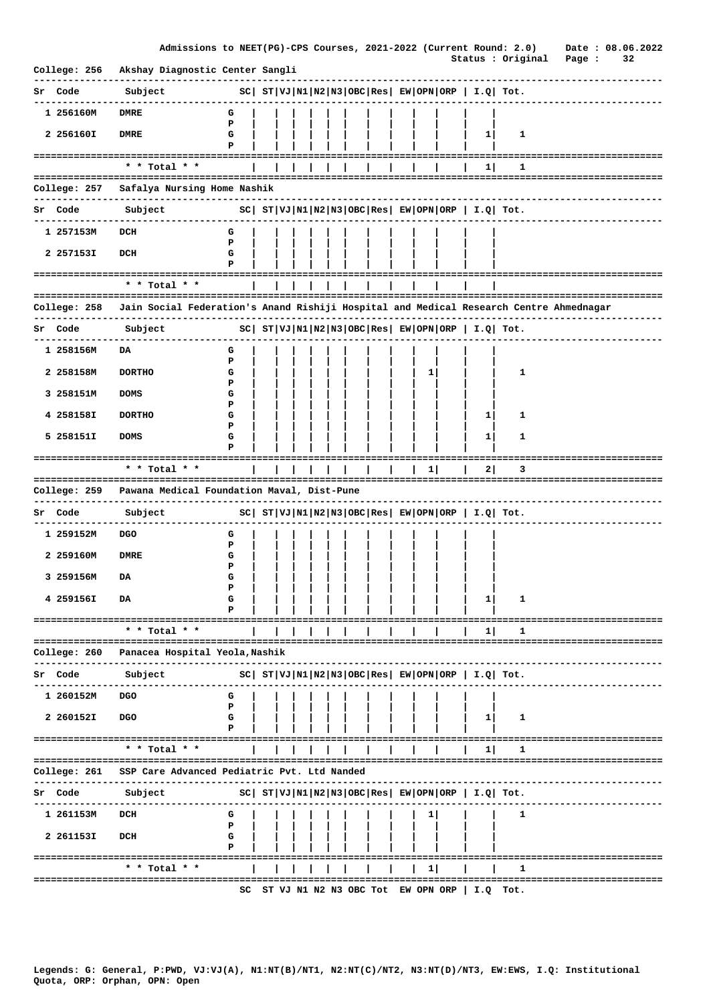|              | Admissions to NEET(PG)-CPS Courses, 2021-2022 (Current Round: 2.0)                     |             |  |  |  |  |              |          |                                                             | Date: 08.06.2022                   |
|--------------|----------------------------------------------------------------------------------------|-------------|--|--|--|--|--------------|----------|-------------------------------------------------------------|------------------------------------|
| College: 256 | Akshay Diagnostic Center Sangli                                                        |             |  |  |  |  |              |          | Status : Original Page :                                    | 32                                 |
| Sr Code      | Subject                                                                                |             |  |  |  |  |              |          | $ SC $ $ST VJ N1 N2 N3 OBC Res EW OPN ORP  I.Q  Tot.$       |                                    |
| 1 256160M    | <b>DMRE</b>                                                                            | G           |  |  |  |  |              |          |                                                             |                                    |
| 2 256160I    | <b>DMRE</b>                                                                            | P<br>G<br>Р |  |  |  |  |              | 1        | 1                                                           |                                    |
|              | * * Total * *                                                                          |             |  |  |  |  |              | 1        | 1                                                           |                                    |
| College: 257 | Safalya Nursing Home Nashik                                                            |             |  |  |  |  |              |          |                                                             |                                    |
| Sr Code      | Subject                                                                                |             |  |  |  |  |              |          | $ SC $ $ST VJ N1 N2 N3 OBC Res $ $EW OPN ORP$   $I.Q$ Tot.  |                                    |
|              |                                                                                        |             |  |  |  |  |              |          |                                                             |                                    |
| 1 257153M    | DCH                                                                                    | G<br>P      |  |  |  |  |              |          |                                                             |                                    |
| 2 257153I    | DCH                                                                                    | G<br>Р      |  |  |  |  |              |          |                                                             |                                    |
|              | ---------------------------------                                                      |             |  |  |  |  |              |          |                                                             |                                    |
|              | * * Total * *<br>===============================                                       |             |  |  |  |  |              |          |                                                             |                                    |
| College: 258 | Jain Social Federation's Anand Rishiji Hospital and Medical Research Centre Ahmednagar |             |  |  |  |  |              |          |                                                             |                                    |
| Sr Code      | Subject                                                                                |             |  |  |  |  |              |          | $SC  ST VJ N1 N2 N3 OBC Res  EW OPN ORP   I.Q  Tot.$        |                                    |
| 1 258156M    | DA                                                                                     | G           |  |  |  |  |              |          |                                                             |                                    |
| 2 258158M    | <b>DORTHO</b>                                                                          | Р<br>G      |  |  |  |  | $\mathbf{1}$ |          | 1                                                           |                                    |
| 3 258151M    | <b>DOMS</b>                                                                            | Р<br>G      |  |  |  |  |              |          |                                                             |                                    |
| 4 258158I    | <b>DORTHO</b>                                                                          | Р<br>G      |  |  |  |  |              | $1 \mid$ | 1                                                           |                                    |
| 5 258151I    | <b>DOMS</b>                                                                            | Р<br>G      |  |  |  |  |              | 1        | 1                                                           |                                    |
|              | -----------------------------------                                                    | P           |  |  |  |  |              |          |                                                             |                                    |
|              | * * Total * *                                                                          |             |  |  |  |  | 1            | 21       | з                                                           |                                    |
| College: 259 | Pawana Medical Foundation Maval, Dist-Pune                                             |             |  |  |  |  |              |          |                                                             |                                    |
| Sr Code      | .<br>Subject                                                                           |             |  |  |  |  |              |          | $ SC $ $ST VJ N1 N2 N3 OBC Res $ $EW OPN ORP $ $I.Q$ $Tot.$ |                                    |
| 1 259152M    | DGO                                                                                    | G           |  |  |  |  |              |          |                                                             |                                    |
| 2 259160M    |                                                                                        |             |  |  |  |  |              |          |                                                             |                                    |
|              | <b>DMRE</b>                                                                            | Р<br>G      |  |  |  |  |              |          |                                                             |                                    |
| 3 259156M    | DA                                                                                     | P<br>G      |  |  |  |  |              |          |                                                             |                                    |
|              |                                                                                        | P           |  |  |  |  |              |          |                                                             |                                    |
| 4 259156I    | DA                                                                                     | G<br>Р      |  |  |  |  |              | 1        | 1                                                           |                                    |
|              | * * Total * *                                                                          |             |  |  |  |  |              | 1        |                                                             |                                    |
| College: 260 | Panacea Hospital Yeola, Nashik                                                         |             |  |  |  |  |              |          |                                                             | ================================== |
|              |                                                                                        |             |  |  |  |  |              |          |                                                             |                                    |
| Code<br>Sr   | Subject                                                                                |             |  |  |  |  |              |          | $ SC $ $ST VJ N1 N2 N3 OBC Res  EW OPN ORP   I.Q  Tot.$     |                                    |
| 1 260152M    | <b>DGO</b>                                                                             | G<br>P      |  |  |  |  |              |          |                                                             |                                    |
| 2 260152I    | <b>DGO</b>                                                                             | G           |  |  |  |  |              | $1 \mid$ | 1                                                           |                                    |
|              | =======================<br>* * Total * *                                               |             |  |  |  |  |              | 11       | 1                                                           |                                    |
|              | =====================                                                                  |             |  |  |  |  |              |          |                                                             |                                    |
| College: 261 | SSP Care Advanced Pediatric Pvt. Ltd Nanded                                            |             |  |  |  |  |              |          |                                                             |                                    |
| Code<br>Sr   | Subject                                                                                |             |  |  |  |  |              |          | $ SC $ $ST VJ N1 N2 N3 OBC Res $ $EW OPN ORP $ $I.Q$ $Tot.$ |                                    |
| 1 261153M    | DCH                                                                                    | G           |  |  |  |  | 1.           |          | 1                                                           |                                    |
| 2 261153I    | DCH                                                                                    | P<br>G      |  |  |  |  |              |          |                                                             |                                    |
|              | ===================                                                                    | Р           |  |  |  |  |              |          |                                                             |                                    |
|              | * * Total * *<br>================                                                      |             |  |  |  |  | $\mathbf{1}$ |          |                                                             |                                    |